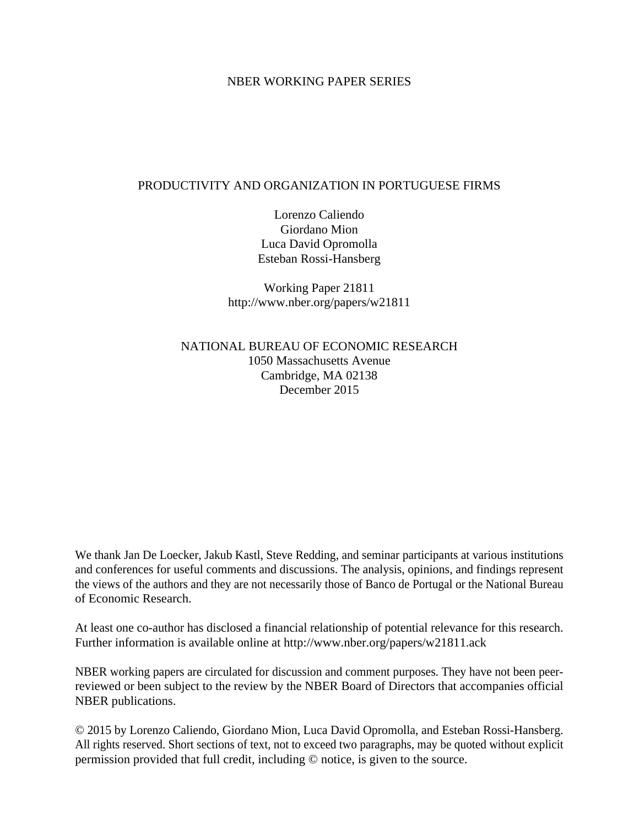# NBER WORKING PAPER SERIES

# PRODUCTIVITY AND ORGANIZATION IN PORTUGUESE FIRMS

Lorenzo Caliendo Giordano Mion Luca David Opromolla Esteban Rossi-Hansberg

Working Paper 21811 http://www.nber.org/papers/w21811

NATIONAL BUREAU OF ECONOMIC RESEARCH 1050 Massachusetts Avenue Cambridge, MA 02138 December 2015

We thank Jan De Loecker, Jakub Kastl, Steve Redding, and seminar participants at various institutions and conferences for useful comments and discussions. The analysis, opinions, and findings represent the views of the authors and they are not necessarily those of Banco de Portugal or the National Bureau of Economic Research.

At least one co-author has disclosed a financial relationship of potential relevance for this research. Further information is available online at http://www.nber.org/papers/w21811.ack

NBER working papers are circulated for discussion and comment purposes. They have not been peerreviewed or been subject to the review by the NBER Board of Directors that accompanies official NBER publications.

© 2015 by Lorenzo Caliendo, Giordano Mion, Luca David Opromolla, and Esteban Rossi-Hansberg. All rights reserved. Short sections of text, not to exceed two paragraphs, may be quoted without explicit permission provided that full credit, including © notice, is given to the source.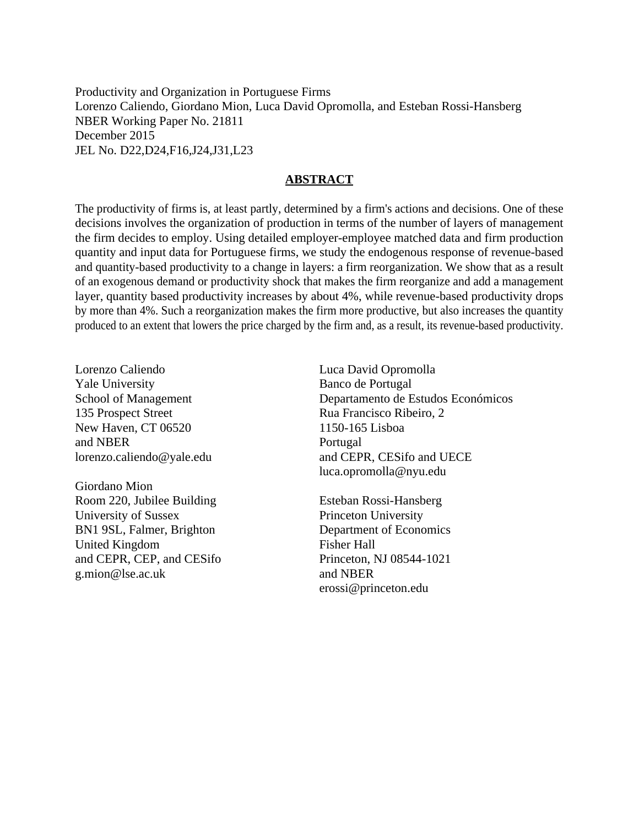Productivity and Organization in Portuguese Firms Lorenzo Caliendo, Giordano Mion, Luca David Opromolla, and Esteban Rossi-Hansberg NBER Working Paper No. 21811 December 2015 JEL No. D22,D24,F16,J24,J31,L23

## **ABSTRACT**

The productivity of firms is, at least partly, determined by a firm's actions and decisions. One of these decisions involves the organization of production in terms of the number of layers of management the firm decides to employ. Using detailed employer-employee matched data and firm production quantity and input data for Portuguese firms, we study the endogenous response of revenue-based and quantity-based productivity to a change in layers: a firm reorganization. We show that as a result of an exogenous demand or productivity shock that makes the firm reorganize and add a management layer, quantity based productivity increases by about 4%, while revenue-based productivity drops by more than 4%. Such a reorganization makes the firm more productive, but also increases the quantity produced to an extent that lowers the price charged by the firm and, as a result, its revenue-based productivity.

Lorenzo Caliendo Yale University School of Management 135 Prospect Street New Haven, CT 06520 and NBER lorenzo.caliendo@yale.edu

Giordano Mion Room 220, Jubilee Building University of Sussex BN1 9SL, Falmer, Brighton United Kingdom and CEPR, CEP, and CESifo g.mion@lse.ac.uk

Luca David Opromolla Banco de Portugal Departamento de Estudos Económicos Rua Francisco Ribeiro, 2 1150-165 Lisboa Portugal and CEPR, CESifo and UECE luca.opromolla@nyu.edu

Esteban Rossi-Hansberg Princeton University Department of Economics Fisher Hall Princeton, NJ 08544-1021 and NBER erossi@princeton.edu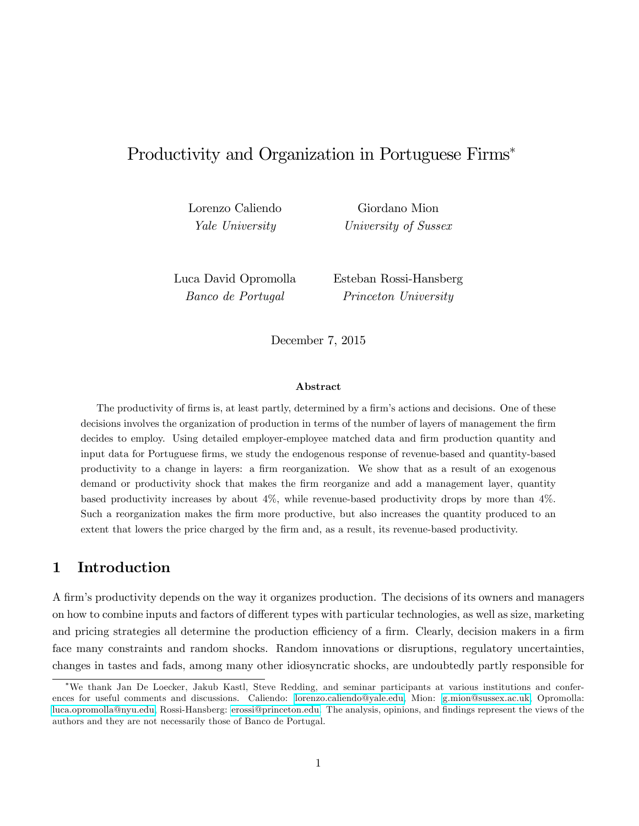# Productivity and Organization in Portuguese Firms

Lorenzo Caliendo Giordano Mion

Yale University University of Sussex

Luca David Opromolla Esteban Rossi-Hansberg Banco de Portugal Princeton University

December 7, 2015

#### Abstract

The productivity of firms is, at least partly, determined by a firm's actions and decisions. One of these decisions involves the organization of production in terms of the number of layers of management the firm decides to employ. Using detailed employer-employee matched data and firm production quantity and input data for Portuguese firms, we study the endogenous response of revenue-based and quantity-based productivity to a change in layers: a firm reorganization. We show that as a result of an exogenous demand or productivity shock that makes the firm reorganize and add a management layer, quantity based productivity increases by about 4%, while revenue-based productivity drops by more than 4%. Such a reorganization makes the firm more productive, but also increases the quantity produced to an extent that lowers the price charged by the firm and, as a result, its revenue-based productivity.

# 1 Introduction

A Örmís productivity depends on the way it organizes production. The decisions of its owners and managers on how to combine inputs and factors of different types with particular technologies, as well as size, marketing and pricing strategies all determine the production efficiency of a firm. Clearly, decision makers in a firm face many constraints and random shocks. Random innovations or disruptions, regulatory uncertainties, changes in tastes and fads, among many other idiosyncratic shocks, are undoubtedly partly responsible for

We thank Jan De Loecker, Jakub Kastl, Steve Redding, and seminar participants at various institutions and conferences for useful comments and discussions. Caliendo: [lorenzo.caliendo@yale.edu,](mailto:lorenzo.caliendo@yale.edu) Mion: [g.mion@sussex.ac.uk,](mailto:g.mion@surrey.ac.uk) Opromolla: [luca.opromolla@nyu.edu,](mailto:luca.opromolla@nyu.edu) Rossi-Hansberg: [erossi@princeton.edu.](mailto:erossi@princeton.edu) The analysis, opinions, and Öndings represent the views of the authors and they are not necessarily those of Banco de Portugal.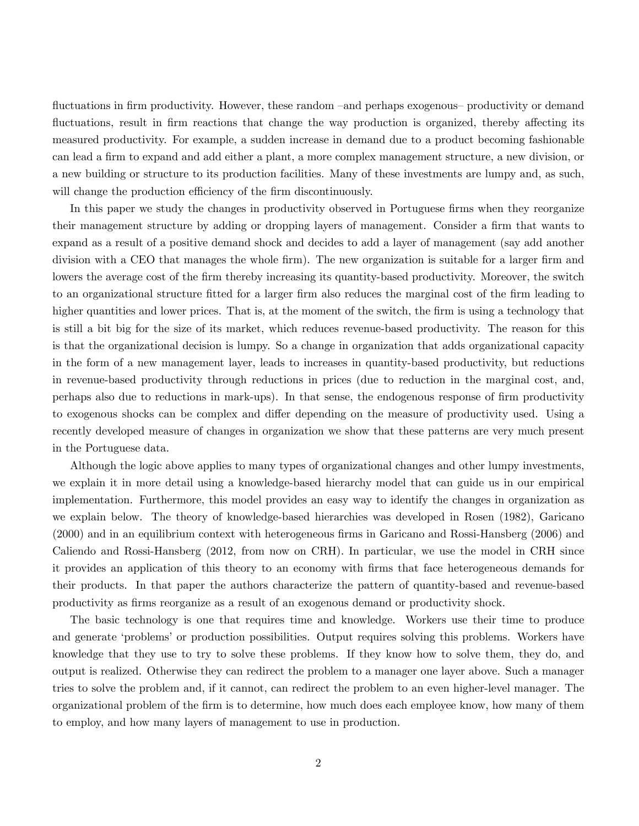fluctuations in firm productivity. However, these random – and perhaps exogenous – productivity or demand fluctuations, result in firm reactions that change the way production is organized, thereby affecting its measured productivity. For example, a sudden increase in demand due to a product becoming fashionable can lead a firm to expand and add either a plant, a more complex management structure, a new division, or a new building or structure to its production facilities. Many of these investments are lumpy and, as such, will change the production efficiency of the firm discontinuously.

In this paper we study the changes in productivity observed in Portuguese firms when they reorganize their management structure by adding or dropping layers of management. Consider a firm that wants to expand as a result of a positive demand shock and decides to add a layer of management (say add another division with a CEO that manages the whole firm). The new organization is suitable for a larger firm and lowers the average cost of the firm thereby increasing its quantity-based productivity. Moreover, the switch to an organizational structure fitted for a larger firm also reduces the marginal cost of the firm leading to higher quantities and lower prices. That is, at the moment of the switch, the firm is using a technology that is still a bit big for the size of its market, which reduces revenue-based productivity. The reason for this is that the organizational decision is lumpy. So a change in organization that adds organizational capacity in the form of a new management layer, leads to increases in quantity-based productivity, but reductions in revenue-based productivity through reductions in prices (due to reduction in the marginal cost, and, perhaps also due to reductions in mark-ups). In that sense, the endogenous response of Örm productivity to exogenous shocks can be complex and differ depending on the measure of productivity used. Using a recently developed measure of changes in organization we show that these patterns are very much present in the Portuguese data.

Although the logic above applies to many types of organizational changes and other lumpy investments, we explain it in more detail using a knowledge-based hierarchy model that can guide us in our empirical implementation. Furthermore, this model provides an easy way to identify the changes in organization as we explain below. The theory of knowledge-based hierarchies was developed in Rosen (1982), Garicano (2000) and in an equilibrium context with heterogeneous firms in Garicano and Rossi-Hansberg (2006) and Caliendo and Rossi-Hansberg (2012, from now on CRH). In particular, we use the model in CRH since it provides an application of this theory to an economy with Örms that face heterogeneous demands for their products. In that paper the authors characterize the pattern of quantity-based and revenue-based productivity as firms reorganize as a result of an exogenous demand or productivity shock.

The basic technology is one that requires time and knowledge. Workers use their time to produce and generate 'problems' or production possibilities. Output requires solving this problems. Workers have knowledge that they use to try to solve these problems. If they know how to solve them, they do, and output is realized. Otherwise they can redirect the problem to a manager one layer above. Such a manager tries to solve the problem and, if it cannot, can redirect the problem to an even higher-level manager. The organizational problem of the firm is to determine, how much does each employee know, how many of them to employ, and how many layers of management to use in production.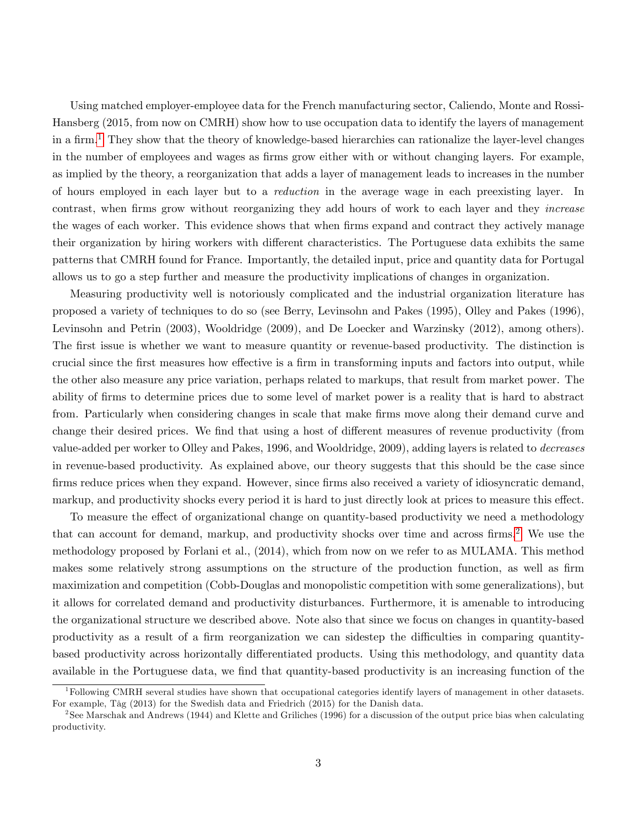Using matched employer-employee data for the French manufacturing sector, Caliendo, Monte and Rossi-Hansberg (2015, from now on CMRH) show how to use occupation data to identify the layers of management in a firm.<sup>[1](#page-4-0)</sup> They show that the theory of knowledge-based hierarchies can rationalize the layer-level changes in the number of employees and wages as firms grow either with or without changing layers. For example, as implied by the theory, a reorganization that adds a layer of management leads to increases in the number of hours employed in each layer but to a reduction in the average wage in each preexisting layer. In contrast, when firms grow without reorganizing they add hours of work to each layer and they *increase* the wages of each worker. This evidence shows that when firms expand and contract they actively manage their organization by hiring workers with different characteristics. The Portuguese data exhibits the same patterns that CMRH found for France. Importantly, the detailed input, price and quantity data for Portugal allows us to go a step further and measure the productivity implications of changes in organization.

Measuring productivity well is notoriously complicated and the industrial organization literature has proposed a variety of techniques to do so (see Berry, Levinsohn and Pakes (1995), Olley and Pakes (1996), Levinsohn and Petrin (2003), Wooldridge (2009), and De Loecker and Warzinsky (2012), among others). The first issue is whether we want to measure quantity or revenue-based productivity. The distinction is crucial since the first measures how effective is a firm in transforming inputs and factors into output, while the other also measure any price variation, perhaps related to markups, that result from market power. The ability of Örms to determine prices due to some level of market power is a reality that is hard to abstract from. Particularly when considering changes in scale that make firms move along their demand curve and change their desired prices. We find that using a host of different measures of revenue productivity (from value-added per worker to Olley and Pakes, 1996, and Wooldridge, 2009), adding layers is related to decreases in revenue-based productivity. As explained above, our theory suggests that this should be the case since firms reduce prices when they expand. However, since firms also received a variety of idiosyncratic demand, markup, and productivity shocks every period it is hard to just directly look at prices to measure this effect.

To measure the effect of organizational change on quantity-based productivity we need a methodology that can account for demand, markup, and productivity shocks over time and across firms.<sup>[2](#page-4-1)</sup> We use the methodology proposed by Forlani et al., (2014), which from now on we refer to as MULAMA. This method makes some relatively strong assumptions on the structure of the production function, as well as firm maximization and competition (Cobb-Douglas and monopolistic competition with some generalizations), but it allows for correlated demand and productivity disturbances. Furthermore, it is amenable to introducing the organizational structure we described above. Note also that since we focus on changes in quantity-based productivity as a result of a firm reorganization we can side teep the difficulties in comparing quantitybased productivity across horizontally differentiated products. Using this methodology, and quantity data available in the Portuguese data, we find that quantity-based productivity is an increasing function of the

<span id="page-4-0"></span><sup>&</sup>lt;sup>1</sup>Following CMRH several studies have shown that occupational categories identify layers of management in other datasets. For example, TÂg (2013) for the Swedish data and Friedrich (2015) for the Danish data.

<span id="page-4-1"></span><sup>2</sup> See Marschak and Andrews (1944) and Klette and Griliches (1996) for a discussion of the output price bias when calculating productivity.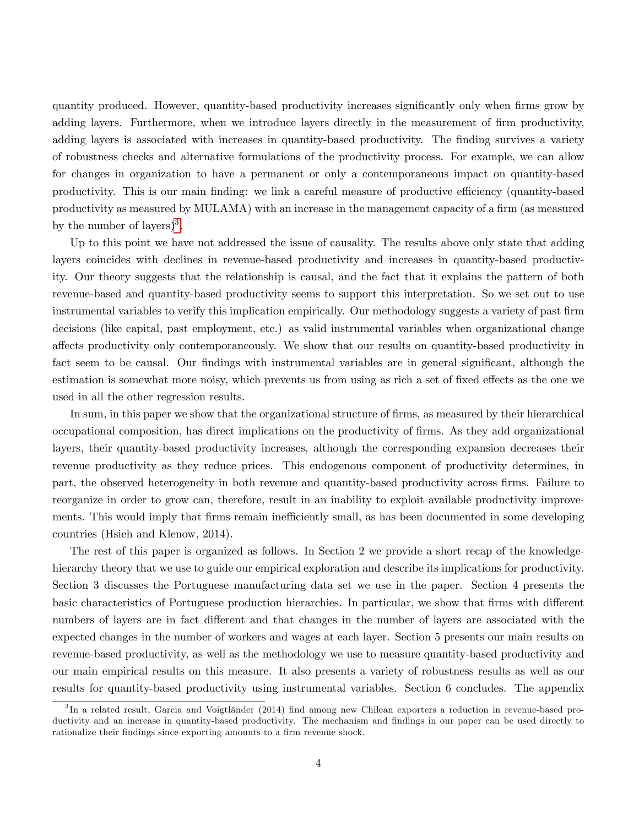quantity produced. However, quantity-based productivity increases significantly only when firms grow by adding layers. Furthermore, when we introduce layers directly in the measurement of firm productivity, adding layers is associated with increases in quantity-based productivity. The finding survives a variety of robustness checks and alternative formulations of the productivity process. For example, we can allow for changes in organization to have a permanent or only a contemporaneous impact on quantity-based productivity. This is our main finding: we link a careful measure of productive efficiency (quantity-based productivity as measured by MULAMA) with an increase in the management capacity of a firm (as measured by the number of layers $)^3$  $)^3$ .

Up to this point we have not addressed the issue of causality. The results above only state that adding layers coincides with declines in revenue-based productivity and increases in quantity-based productivity. Our theory suggests that the relationship is causal, and the fact that it explains the pattern of both revenue-based and quantity-based productivity seems to support this interpretation. So we set out to use instrumental variables to verify this implication empirically. Our methodology suggests a variety of past firm decisions (like capital, past employment, etc.) as valid instrumental variables when organizational change affects productivity only contemporaneously. We show that our results on quantity-based productivity in fact seem to be causal. Our findings with instrumental variables are in general significant, although the estimation is somewhat more noisy, which prevents us from using as rich a set of fixed effects as the one we used in all the other regression results.

In sum, in this paper we show that the organizational structure of firms, as measured by their hierarchical occupational composition, has direct implications on the productivity of Örms. As they add organizational layers, their quantity-based productivity increases, although the corresponding expansion decreases their revenue productivity as they reduce prices. This endogenous component of productivity determines, in part, the observed heterogeneity in both revenue and quantity-based productivity across firms. Failure to reorganize in order to grow can, therefore, result in an inability to exploit available productivity improvements. This would imply that firms remain inefficiently small, as has been documented in some developing countries (Hsieh and Klenow, 2014).

The rest of this paper is organized as follows. In Section 2 we provide a short recap of the knowledgehierarchy theory that we use to guide our empirical exploration and describe its implications for productivity. Section 3 discusses the Portuguese manufacturing data set we use in the paper. Section 4 presents the basic characteristics of Portuguese production hierarchies. In particular, we show that firms with different numbers of layers are in fact different and that changes in the number of layers are associated with the expected changes in the number of workers and wages at each layer. Section 5 presents our main results on revenue-based productivity, as well as the methodology we use to measure quantity-based productivity and our main empirical results on this measure. It also presents a variety of robustness results as well as our results for quantity-based productivity using instrumental variables. Section 6 concludes. The appendix

<span id="page-5-0"></span><sup>&</sup>lt;sup>3</sup>In a related result, Garcia and Voigtländer (2014) find among new Chilean exporters a reduction in revenue-based productivity and an increase in quantity-based productivity. The mechanism and findings in our paper can be used directly to rationalize their findings since exporting amounts to a firm revenue shock.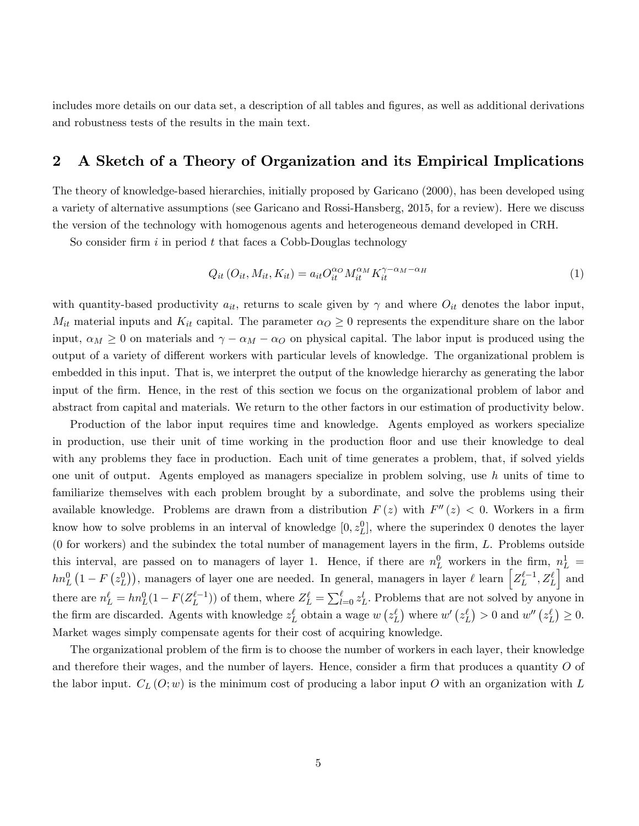includes more details on our data set, a description of all tables and figures, as well as additional derivations and robustness tests of the results in the main text.

# 2 A Sketch of a Theory of Organization and its Empirical Implications

The theory of knowledge-based hierarchies, initially proposed by Garicano (2000), has been developed using a variety of alternative assumptions (see Garicano and Rossi-Hansberg, 2015, for a review). Here we discuss the version of the technology with homogenous agents and heterogeneous demand developed in CRH.

So consider firm  $i$  in period  $t$  that faces a Cobb-Douglas technology

<span id="page-6-0"></span>
$$
Q_{it}(O_{it}, M_{it}, K_{it}) = a_{it}O_{it}^{\alpha_O}M_{it}^{\alpha_M}K_{it}^{\gamma - \alpha_M - \alpha_H}
$$
\n
$$
\tag{1}
$$

with quantity-based productivity  $a_{it}$ , returns to scale given by  $\gamma$  and where  $O_{it}$  denotes the labor input,  $M_{it}$  material inputs and  $K_{it}$  capital. The parameter  $\alpha_O \geq 0$  represents the expenditure share on the labor input,  $\alpha_M \geq 0$  on materials and  $\gamma - \alpha_M - \alpha_O$  on physical capital. The labor input is produced using the output of a variety of different workers with particular levels of knowledge. The organizational problem is embedded in this input. That is, we interpret the output of the knowledge hierarchy as generating the labor input of the firm. Hence, in the rest of this section we focus on the organizational problem of labor and abstract from capital and materials. We return to the other factors in our estimation of productivity below.

Production of the labor input requires time and knowledge. Agents employed as workers specialize in production, use their unit of time working in the production floor and use their knowledge to deal with any problems they face in production. Each unit of time generates a problem, that, if solved yields one unit of output. Agents employed as managers specialize in problem solving, use h units of time to familiarize themselves with each problem brought by a subordinate, and solve the problems using their available knowledge. Problems are drawn from a distribution  $F(z)$  with  $F''(z) < 0$ . Workers in a firm know how to solve problems in an interval of knowledge  $[0, z_L^0]$ , where the superindex 0 denotes the layer  $(0$  for workers) and the subindex the total number of management layers in the firm,  $L$ . Problems outside this interval, are passed on to managers of layer 1. Hence, if there are  $n_L^0$  workers in the firm,  $n_L^1$  =  $hn_L^0(1 - F(z_L^0))$ , managers of layer one are needed. In general, managers in layer  $\ell$  learn  $\left[ Z_L^{\ell-1}, Z_L^{\ell} \right]$  $\int$  and there are  $n_L^{\ell} = hn_L^0(1 - F(Z_L^{\ell-1}))$  of them, where  $Z_L^{\ell} = \sum_{l=0}^{\ell} z_L^l$ . Problems that are not solved by anyone in the firm are discarded. Agents with knowledge  $z_L^{\ell}$  obtain a wage  $w(z_L^{\ell})$  where  $w'(z_L^{\ell}) > 0$  and  $w''(z_L^{\ell}) \ge 0$ . Market wages simply compensate agents for their cost of acquiring knowledge.

The organizational problem of the firm is to choose the number of workers in each layer, their knowledge and therefore their wages, and the number of layers. Hence, consider a firm that produces a quantity  $O$  of the labor input.  $C_L(O; w)$  is the minimum cost of producing a labor input O with an organization with L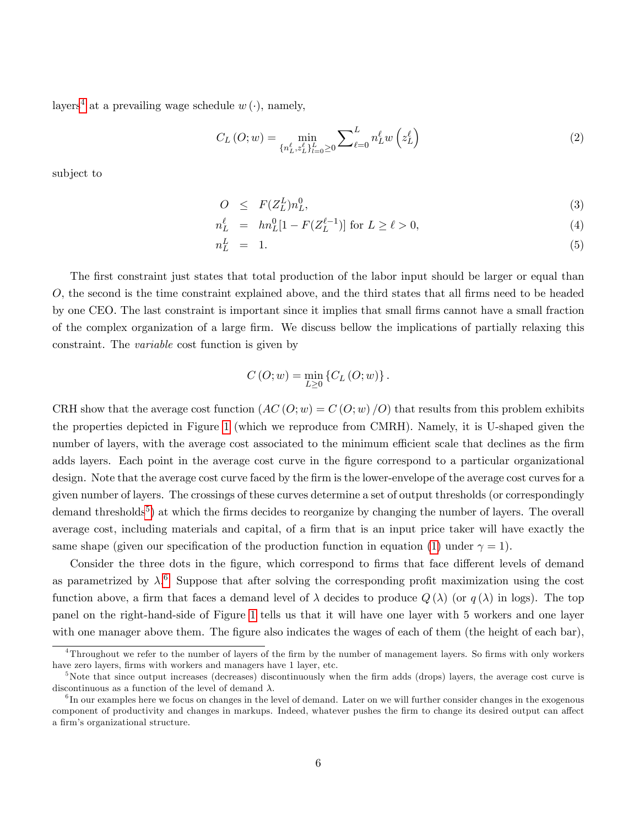layers<sup>[4](#page-7-0)</sup> at a prevailing wage schedule  $w(\cdot)$ , namely,

$$
C_{L}(O; w) = \min_{\{n_{L}^{\ell}, z_{L}^{\ell}\}_{L=0}^{L} \ge 0} \sum_{\ell=0}^{L} n_{L}^{\ell} w\left(z_{L}^{\ell}\right)
$$
 (2)

subject to

$$
O \leq F(Z_L^L) n_L^0, \tag{3}
$$

<span id="page-7-3"></span>
$$
n_L^{\ell} = hn_L^0[1 - F(Z_L^{\ell-1})] \text{ for } L \ge \ell > 0,
$$
\n(4)

$$
n_L^L = 1. \t\t(5)
$$

The first constraint just states that total production of the labor input should be larger or equal than O, the second is the time constraint explained above, and the third states that all firms need to be headed by one CEO. The last constraint is important since it implies that small Örms cannot have a small fraction of the complex organization of a large firm. We discuss bellow the implications of partially relaxing this constraint. The variable cost function is given by

$$
C\left(O; w\right) = \min_{L \geq 0} \left\{ C_L\left(O; w\right) \right\}.
$$

CRH show that the average cost function  $(AC (O; w) = C (O; w) / O)$  that results from this problem exhibits the properties depicted in Figure [1](#page-8-0) (which we reproduce from CMRH). Namely, it is U-shaped given the number of layers, with the average cost associated to the minimum efficient scale that declines as the firm adds layers. Each point in the average cost curve in the figure correspond to a particular organizational design. Note that the average cost curve faced by the firm is the lower-envelope of the average cost curves for a given number of layers. The crossings of these curves determine a set of output thresholds (or correspondingly demand thresholds<sup>[5](#page-7-1)</sup>) at which the firms decides to reorganize by changing the number of layers. The overall average cost, including materials and capital, of a firm that is an input price taker will have exactly the same shape (given our specification of the production function in equation [\(1\)](#page-6-0) under  $\gamma = 1$ ).

Consider the three dots in the figure, which correspond to firms that face different levels of demand as parametrized by  $\lambda$ <sup>[6](#page-7-2)</sup>. Suppose that after solving the corresponding profit maximization using the cost function above, a firm that faces a demand level of  $\lambda$  decides to produce  $Q(\lambda)$  (or  $q(\lambda)$  in logs). The top panel on the right-hand-side of Figure [1](#page-8-0) tells us that it will have one layer with 5 workers and one layer with one manager above them. The figure also indicates the wages of each of them (the height of each bar),

<span id="page-7-0"></span> $4$ Throughout we refer to the number of layers of the firm by the number of management layers. So firms with only workers have zero layers, firms with workers and managers have 1 layer, etc.

<span id="page-7-1"></span><sup>&</sup>lt;sup>5</sup>Note that since output increases (decreases) discontinuously when the firm adds (drops) layers, the average cost curve is discontinuous as a function of the level of demand  $\lambda$ .

<span id="page-7-2"></span> ${}^{6}$ In our examples here we focus on changes in the level of demand. Later on we will further consider changes in the exogenous component of productivity and changes in markups. Indeed, whatever pushes the firm to change its desired output can affect a firm's organizational structure.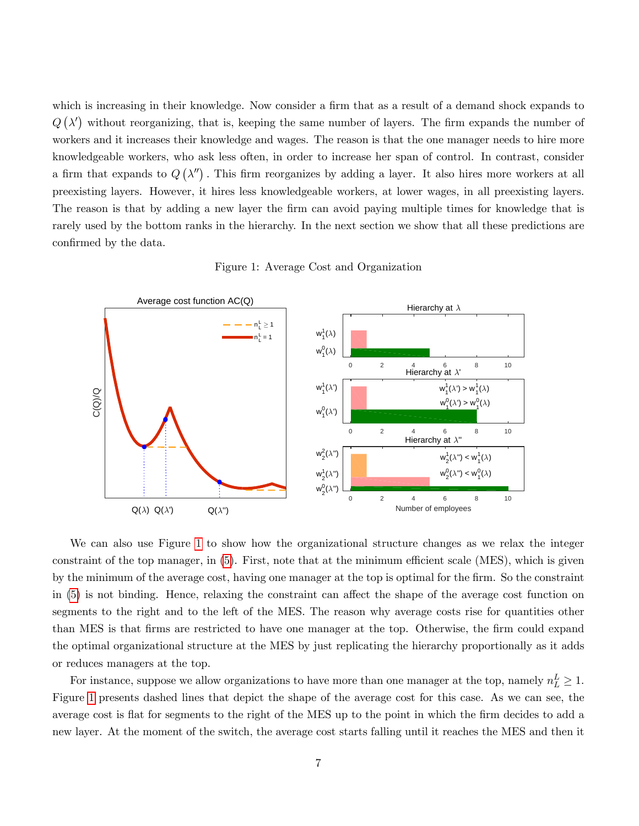which is increasing in their knowledge. Now consider a firm that as a result of a demand shock expands to  $Q(\lambda')$  without reorganizing, that is, keeping the same number of layers. The firm expands the number of workers and it increases their knowledge and wages. The reason is that the one manager needs to hire more knowledgeable workers, who ask less often, in order to increase her span of control. In contrast, consider a firm that expands to  $Q(\lambda'')$ . This firm reorganizes by adding a layer. It also hires more workers at all preexisting layers. However, it hires less knowledgeable workers, at lower wages, in all preexisting layers. The reason is that by adding a new layer the firm can avoid paying multiple times for knowledge that is rarely used by the bottom ranks in the hierarchy. In the next section we show that all these predictions are confirmed by the data.

Figure 1: Average Cost and Organization

<span id="page-8-0"></span>

We can also use Figure [1](#page-8-0) to show how the organizational structure changes as we relax the integer constraint of the top manager, in  $(5)$ . First, note that at the minimum efficient scale (MES), which is given by the minimum of the average cost, having one manager at the top is optimal for the firm. So the constraint in  $(5)$  is not binding. Hence, relaxing the constraint can affect the shape of the average cost function on segments to the right and to the left of the MES. The reason why average costs rise for quantities other than MES is that firms are restricted to have one manager at the top. Otherwise, the firm could expand the optimal organizational structure at the MES by just replicating the hierarchy proportionally as it adds or reduces managers at the top.

For instance, suppose we allow organizations to have more than one manager at the top, namely  $n_L^L \geq 1$ . Figure [1](#page-8-0) presents dashed lines that depict the shape of the average cost for this case. As we can see, the average cost is flat for segments to the right of the MES up to the point in which the firm decides to add a new layer. At the moment of the switch, the average cost starts falling until it reaches the MES and then it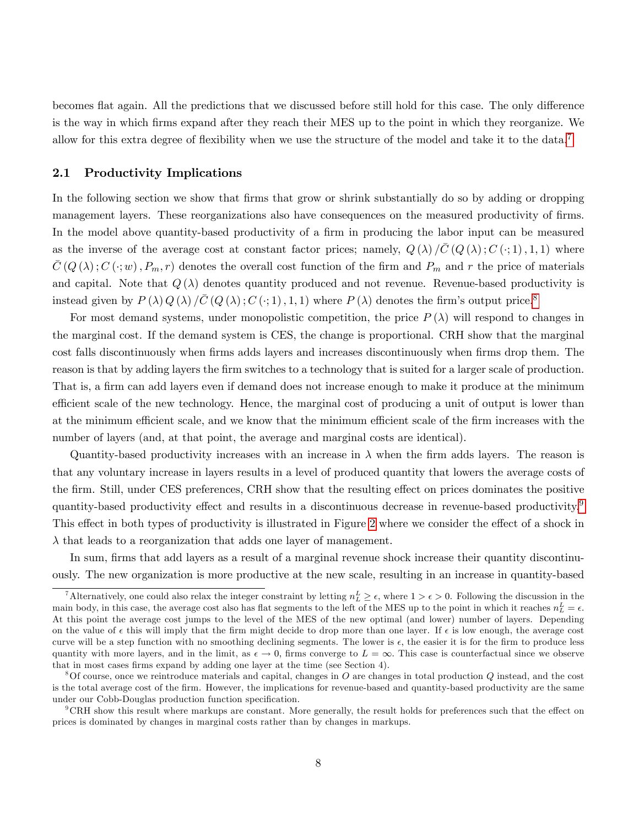becomes flat again. All the predictions that we discussed before still hold for this case. The only difference is the way in which Örms expand after they reach their MES up to the point in which they reorganize. We allow for this extra degree of flexibility when we use the structure of the model and take it to the data.<sup>[7](#page-9-0)</sup>

### 2.1 Productivity Implications

In the following section we show that firms that grow or shrink substantially do so by adding or dropping management layers. These reorganizations also have consequences on the measured productivity of firms. In the model above quantity-based productivity of a firm in producing the labor input can be measured as the inverse of the average cost at constant factor prices; namely,  $Q(\lambda)$   $\overline{C}(Q(\lambda); C(:,1), 1, 1)$  where  $\overline{C}(Q(\lambda); C(\cdot; w), P_m, r)$  denotes the overall cost function of the firm and  $P_m$  and r the price of materials and capital. Note that  $Q(\lambda)$  denotes quantity produced and not revenue. Revenue-based productivity is instead given by  $P(\lambda) Q(\lambda) / \overline{C}(Q(\lambda); C(:,1), 1, 1)$  where  $P(\lambda)$  denotes the firm's output price.<sup>[8](#page-9-1)</sup>

For most demand systems, under monopolistic competition, the price  $P(\lambda)$  will respond to changes in the marginal cost. If the demand system is CES, the change is proportional. CRH show that the marginal cost falls discontinuously when firms adds layers and increases discontinuously when firms drop them. The reason is that by adding layers the firm switches to a technology that is suited for a larger scale of production. That is, a firm can add layers even if demand does not increase enough to make it produce at the minimum efficient scale of the new technology. Hence, the marginal cost of producing a unit of output is lower than at the minimum efficient scale, and we know that the minimum efficient scale of the firm increases with the number of layers (and, at that point, the average and marginal costs are identical).

Quantity-based productivity increases with an increase in  $\lambda$  when the firm adds layers. The reason is that any voluntary increase in layers results in a level of produced quantity that lowers the average costs of the firm. Still, under CES preferences, CRH show that the resulting effect on prices dominates the positive quantity-based productivity effect and results in a discontinuous decrease in revenue-based productivity.<sup>[9](#page-9-2)</sup> This effect in both types of productivity is illustrated in Figure [2](#page-10-0) where we consider the effect of a shock in  $\lambda$  that leads to a reorganization that adds one layer of management.

In sum, firms that add layers as a result of a marginal revenue shock increase their quantity discontinuously. The new organization is more productive at the new scale, resulting in an increase in quantity-based

<span id="page-9-2"></span> ${}^{9}$ CRH show this result where markups are constant. More generally, the result holds for preferences such that the effect on prices is dominated by changes in marginal costs rather than by changes in markups.

<span id="page-9-0"></span><sup>&</sup>lt;sup>7</sup>Alternatively, one could also relax the integer constraint by letting  $n_L^L \geq \epsilon$ , where  $1 > \epsilon > 0$ . Following the discussion in the main body, in this case, the average cost also has flat segments to the left of the MES up to the point in which it reaches  $n_L^L = \epsilon$ . At this point the average cost jumps to the level of the MES of the new optimal (and lower) number of layers. Depending on the value of  $\epsilon$  this will imply that the firm might decide to drop more than one layer. If  $\epsilon$  is low enough, the average cost curve will be a step function with no smoothing declining segments. The lower is  $\epsilon$ , the easier it is for the firm to produce less quantity with more layers, and in the limit, as  $\epsilon \to 0$ , firms converge to  $L = \infty$ . This case is counterfactual since we observe that in most cases firms expand by adding one layer at the time (see Section 4).

<span id="page-9-1"></span> $8$ Of course, once we reintroduce materials and capital, changes in O are changes in total production Q instead, and the cost is the total average cost of the firm. However, the implications for revenue-based and quantity-based productivity are the same under our Cobb-Douglas production function specification.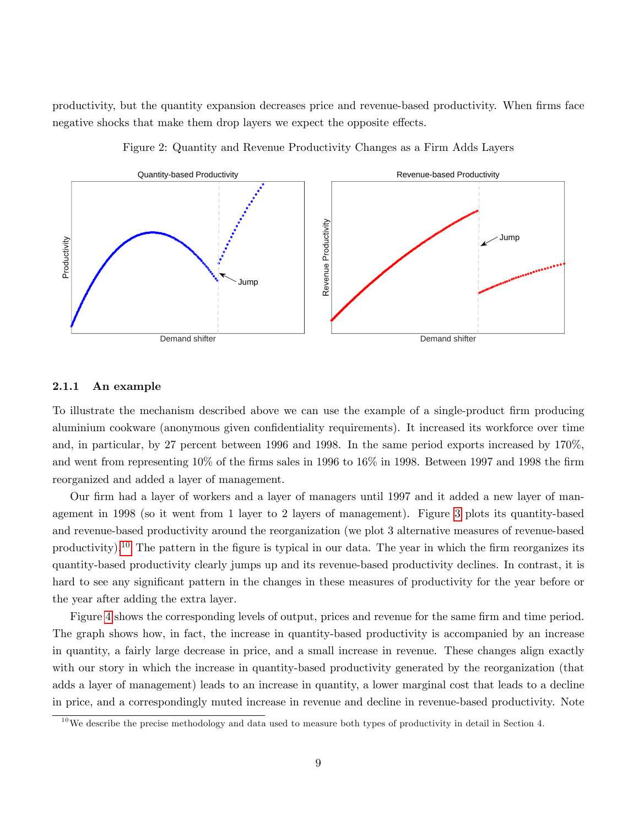productivity, but the quantity expansion decreases price and revenue-based productivity. When firms face negative shocks that make them drop layers we expect the opposite effects.

<span id="page-10-0"></span>

Figure 2: Quantity and Revenue Productivity Changes as a Firm Adds Layers

#### 2.1.1 An example

To illustrate the mechanism described above we can use the example of a single-product firm producing aluminium cookware (anonymous given confidentiality requirements). It increased its workforce over time and, in particular, by 27 percent between 1996 and 1998. In the same period exports increased by 170%, and went from representing  $10\%$  of the firms sales in 1996 to 16% in 1998. Between 1997 and 1998 the firm reorganized and added a layer of management.

Our firm had a layer of workers and a layer of managers until 1997 and it added a new layer of management in 1998 (so it went from 1 layer to 2 layers of management). Figure [3](#page-11-0) plots its quantity-based and revenue-based productivity around the reorganization (we plot 3 alternative measures of revenue-based productivity).<sup>[10](#page-10-1)</sup> The pattern in the figure is typical in our data. The year in which the firm reorganizes its quantity-based productivity clearly jumps up and its revenue-based productivity declines. In contrast, it is hard to see any significant pattern in the changes in these measures of productivity for the year before or the year after adding the extra layer.

Figure [4](#page-12-0) shows the corresponding levels of output, prices and revenue for the same firm and time period. The graph shows how, in fact, the increase in quantity-based productivity is accompanied by an increase in quantity, a fairly large decrease in price, and a small increase in revenue. These changes align exactly with our story in which the increase in quantity-based productivity generated by the reorganization (that adds a layer of management) leads to an increase in quantity, a lower marginal cost that leads to a decline in price, and a correspondingly muted increase in revenue and decline in revenue-based productivity. Note

<span id="page-10-1"></span> $10$ We describe the precise methodology and data used to measure both types of productivity in detail in Section 4.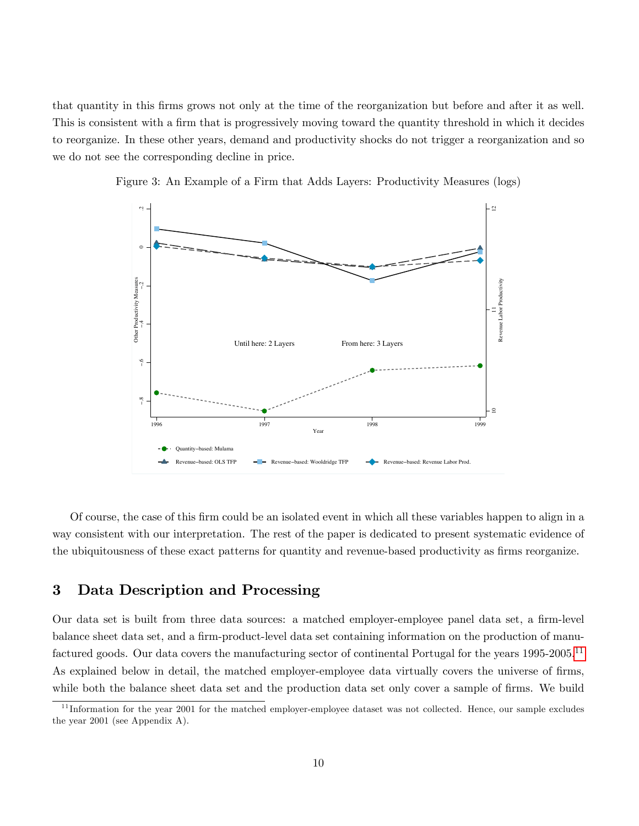that quantity in this Örms grows not only at the time of the reorganization but before and after it as well. This is consistent with a firm that is progressively moving toward the quantity threshold in which it decides to reorganize. In these other years, demand and productivity shocks do not trigger a reorganization and so we do not see the corresponding decline in price.



<span id="page-11-0"></span>Figure 3: An Example of a Firm that Adds Layers: Productivity Measures (logs)

Of course, the case of this Örm could be an isolated event in which all these variables happen to align in a way consistent with our interpretation. The rest of the paper is dedicated to present systematic evidence of the ubiquitousness of these exact patterns for quantity and revenue-based productivity as firms reorganize.

# 3 Data Description and Processing

Our data set is built from three data sources: a matched employer-employee panel data set, a firm-level balance sheet data set, and a firm-product-level data set containing information on the production of manu-factured goods. Our data covers the manufacturing sector of continental Portugal for the years 1995-2005.<sup>[11](#page-11-1)</sup> As explained below in detail, the matched employer-employee data virtually covers the universe of firms, while both the balance sheet data set and the production data set only cover a sample of firms. We build

<span id="page-11-1"></span> $11$  Information for the year 2001 for the matched employer-employee dataset was not collected. Hence, our sample excludes the year 2001 (see Appendix A).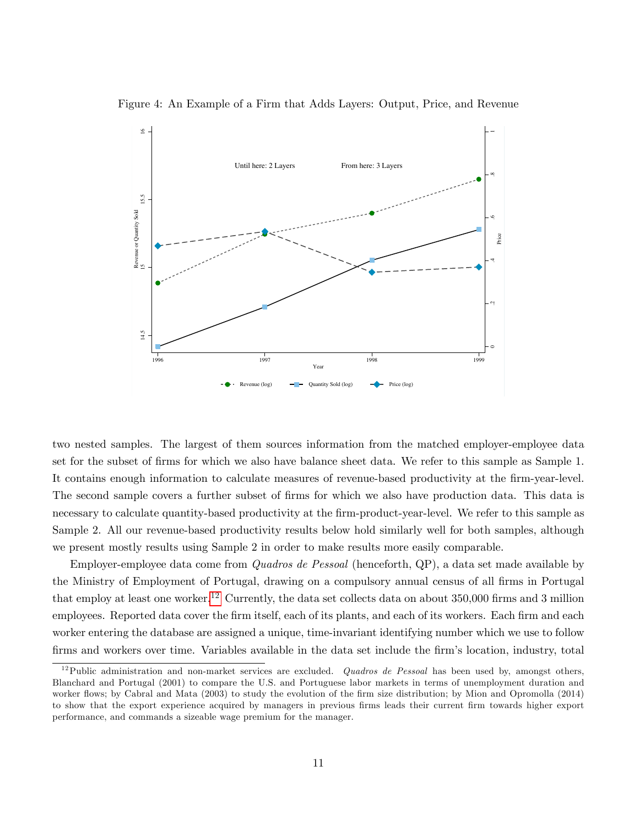

<span id="page-12-0"></span>Figure 4: An Example of a Firm that Adds Layers: Output, Price, and Revenue

two nested samples. The largest of them sources information from the matched employer-employee data set for the subset of firms for which we also have balance sheet data. We refer to this sample as Sample 1. It contains enough information to calculate measures of revenue-based productivity at the firm-year-level. The second sample covers a further subset of firms for which we also have production data. This data is necessary to calculate quantity-based productivity at the firm-product-year-level. We refer to this sample as Sample 2. All our revenue-based productivity results below hold similarly well for both samples, although we present mostly results using Sample 2 in order to make results more easily comparable.

Employer-employee data come from *Quadros de Pessoal* (henceforth, QP), a data set made available by the Ministry of Employment of Portugal, drawing on a compulsory annual census of all firms in Portugal that employ at least one worker.<sup>[12](#page-12-1)</sup> Currently, the data set collects data on about  $350,000$  firms and 3 million employees. Reported data cover the firm itself, each of its plants, and each of its workers. Each firm and each worker entering the database are assigned a unique, time-invariant identifying number which we use to follow Örms and workers over time. Variables available in the data set include the Örmís location, industry, total

<span id="page-12-1"></span> $12$ Public administration and non-market services are excluded. *Quadros de Pessoal* has been used by, amongst others, Blanchard and Portugal (2001) to compare the U.S. and Portuguese labor markets in terms of unemployment duration and worker flows; by Cabral and Mata (2003) to study the evolution of the firm size distribution; by Mion and Opromolla (2014) to show that the export experience acquired by managers in previous firms leads their current firm towards higher export performance, and commands a sizeable wage premium for the manager.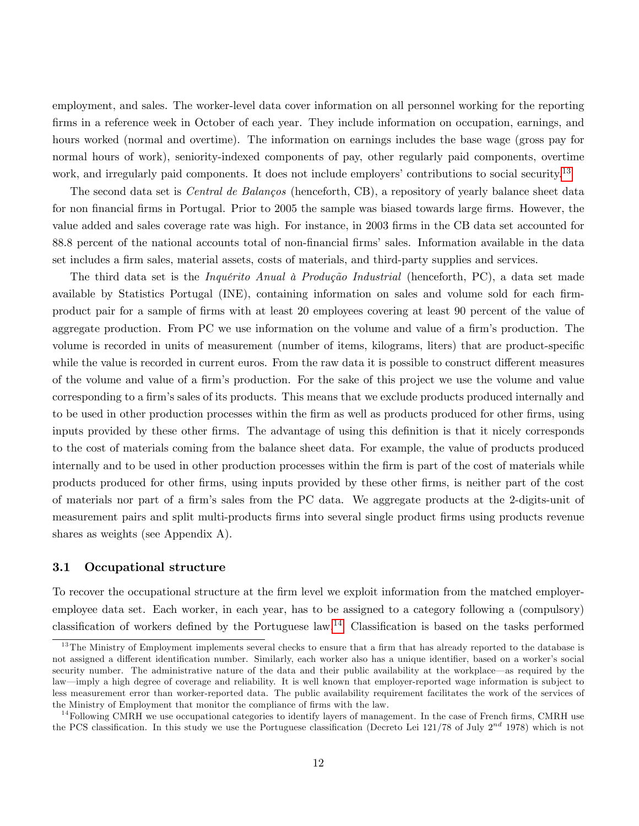employment, and sales. The worker-level data cover information on all personnel working for the reporting firms in a reference week in October of each year. They include information on occupation, earnings, and hours worked (normal and overtime). The information on earnings includes the base wage (gross pay for normal hours of work), seniority-indexed components of pay, other regularly paid components, overtime work, and irregularly paid components. It does not include employers' contributions to social security.<sup>[13](#page-13-0)</sup>

The second data set is *Central de Balanços* (henceforth, CB), a repository of yearly balance sheet data for non financial firms in Portugal. Prior to 2005 the sample was biased towards large firms. However, the value added and sales coverage rate was high. For instance, in 2003 Örms in the CB data set accounted for 88.8 percent of the national accounts total of non-financial firms' sales. Information available in the data set includes a firm sales, material assets, costs of materials, and third-party supplies and services.

The third data set is the *Inquérito Anual à Produção Industrial* (henceforth, PC), a data set made available by Statistics Portugal (INE), containing information on sales and volume sold for each firmproduct pair for a sample of Örms with at least 20 employees covering at least 90 percent of the value of aggregate production. From PC we use information on the volume and value of a firm's production. The volume is recorded in units of measurement (number of items, kilograms, liters) that are product-specific while the value is recorded in current euros. From the raw data it is possible to construct different measures of the volume and value of a firm's production. For the sake of this project we use the volume and value corresponding to a firm's sales of its products. This means that we exclude products produced internally and to be used in other production processes within the firm as well as products produced for other firms, using inputs provided by these other firms. The advantage of using this definition is that it nicely corresponds to the cost of materials coming from the balance sheet data. For example, the value of products produced internally and to be used in other production processes within the firm is part of the cost of materials while products produced for other Örms, using inputs provided by these other Örms, is neither part of the cost of materials nor part of a Örmís sales from the PC data. We aggregate products at the 2-digits-unit of measurement pairs and split multi-products firms into several single product firms using products revenue shares as weights (see Appendix A).

### 3.1 Occupational structure

To recover the occupational structure at the firm level we exploit information from the matched employeremployee data set. Each worker, in each year, has to be assigned to a category following a (compulsory) classification of workers defined by the Portuguese law.<sup>[14](#page-13-1)</sup> Classification is based on the tasks performed

<span id="page-13-0"></span><sup>&</sup>lt;sup>13</sup>The Ministry of Employment implements several checks to ensure that a firm that has already reported to the database is not assigned a different identification number. Similarly, each worker also has a unique identifier, based on a worker's social security number. The administrative nature of the data and their public availability at the workplace—as required by the law—imply a high degree of coverage and reliability. It is well known that employer-reported wage information is subject to less measurement error than worker-reported data. The public availability requirement facilitates the work of the services of the Ministry of Employment that monitor the compliance of firms with the law.

<span id="page-13-1"></span> $14$ Following CMRH we use occupational categories to identify layers of management. In the case of French firms, CMRH use the PCS classification. In this study we use the Portuguese classification (Decreto Lei  $121/78$  of July  $2^{nd}$  1978) which is not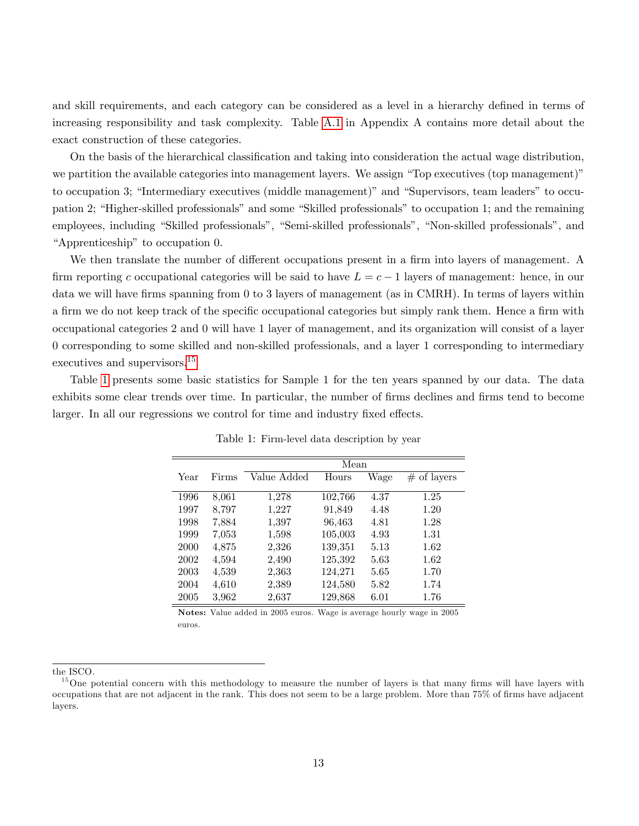and skill requirements, and each category can be considered as a level in a hierarchy defined in terms of increasing responsibility and task complexity. Table [A.1](#page-43-0) in Appendix A contains more detail about the exact construction of these categories.

On the basis of the hierarchical classification and taking into consideration the actual wage distribution, we partition the available categories into management layers. We assign "Top executives (top management)" to occupation 3; "Intermediary executives (middle management)" and "Supervisors, team leaders" to occupation 2; "Higher-skilled professionals" and some "Skilled professionals" to occupation 1; and the remaining employees, including "Skilled professionals", "Semi-skilled professionals", "Non-skilled professionals", and ìApprenticeshipî to occupation 0.

We then translate the number of different occupations present in a firm into layers of management. A firm reporting c occupational categories will be said to have  $L = c - 1$  layers of management: hence, in our data we will have firms spanning from 0 to 3 layers of management (as in CMRH). In terms of layers within a firm we do not keep track of the specific occupational categories but simply rank them. Hence a firm with occupational categories 2 and 0 will have 1 layer of management, and its organization will consist of a layer 0 corresponding to some skilled and non-skilled professionals, and a layer 1 corresponding to intermediary executives and supervisors.<sup>[15](#page-14-0)</sup>

<span id="page-14-1"></span>Table [1](#page-14-1) presents some basic statistics for Sample 1 for the ten years spanned by our data. The data exhibits some clear trends over time. In particular, the number of firms declines and firms tend to become larger. In all our regressions we control for time and industry fixed effects.

|      |       |             | Mean    |      |               |
|------|-------|-------------|---------|------|---------------|
| Year | Firms | Value Added | Hours   | Wage | $#$ of layers |
|      |       |             |         |      |               |
| 1996 | 8,061 | 1,278       | 102,766 | 4.37 | 1.25          |
| 1997 | 8,797 | 1,227       | 91,849  | 4.48 | 1.20          |
| 1998 | 7,884 | 1,397       | 96,463  | 4.81 | 1.28          |
| 1999 | 7,053 | 1,598       | 105,003 | 4.93 | 1.31          |
| 2000 | 4,875 | 2,326       | 139,351 | 5.13 | 1.62          |
| 2002 | 4,594 | 2,490       | 125,392 | 5.63 | 1.62          |
| 2003 | 4,539 | 2,363       | 124,271 | 5.65 | 1.70          |
| 2004 | 4,610 | 2,389       | 124,580 | 5.82 | 1.74          |
| 2005 | 3,962 | 2,637       | 129,868 | 6.01 | 1.76          |

Table 1: Firm-level data description by year

Notes: Value added in 2005 euros. Wage is average hourly wage in 2005 euros.

the ISCO.

<span id="page-14-0"></span><sup>&</sup>lt;sup>15</sup>One potential concern with this methodology to measure the number of layers is that many firms will have layers with occupations that are not adjacent in the rank. This does not seem to be a large problem. More than 75% of firms have adjacent layers.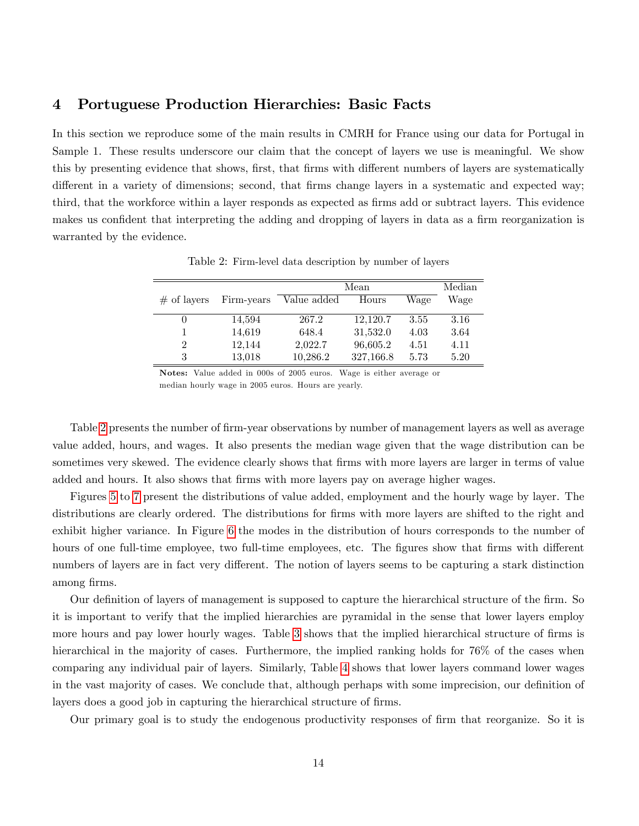# 4 Portuguese Production Hierarchies: Basic Facts

In this section we reproduce some of the main results in CMRH for France using our data for Portugal in Sample 1. These results underscore our claim that the concept of layers we use is meaningful. We show this by presenting evidence that shows, first, that firms with different numbers of layers are systematically different in a variety of dimensions; second, that firms change layers in a systematic and expected way; third, that the workforce within a layer responds as expected as firms add or subtract layers. This evidence makes us confident that interpreting the adding and dropping of layers in data as a firm reorganization is warranted by the evidence.

<span id="page-15-0"></span>

|                |            | Mean        |           |      | Median |
|----------------|------------|-------------|-----------|------|--------|
| $\#$ of layers | Firm-years | Value added | Hours     | Wage | Wage   |
| $\cup$         | 14,594     | 267.2       | 12,120.7  | 3.55 | 3.16   |
|                | 14,619     | 648.4       | 31,532.0  | 4.03 | 3.64   |
| 2              | 12,144     | 2,022.7     | 96,605.2  | 4.51 | 4.11   |
| 3              | 13,018     | 10,286.2    | 327,166.8 | 5.73 | 5.20   |

Table 2: Firm-level data description by number of layers

Notes: Value added in 000s of 2005 euros. Wage is either average or

median hourly wage in 2005 euros. Hours are yearly.

Table [2](#page-15-0) presents the number of firm-year observations by number of management layers as well as average value added, hours, and wages. It also presents the median wage given that the wage distribution can be sometimes very skewed. The evidence clearly shows that firms with more layers are larger in terms of value added and hours. It also shows that firms with more layers pay on average higher wages.

Figures [5](#page-16-0) to [7](#page-17-0) present the distributions of value added, employment and the hourly wage by layer. The distributions are clearly ordered. The distributions for firms with more layers are shifted to the right and exhibit higher variance. In Figure [6](#page-16-1) the modes in the distribution of hours corresponds to the number of hours of one full-time employee, two full-time employees, etc. The figures show that firms with different numbers of layers are in fact very different. The notion of layers seems to be capturing a stark distinction among firms.

Our definition of layers of management is supposed to capture the hierarchical structure of the firm. So it is important to verify that the implied hierarchies are pyramidal in the sense that lower layers employ more hours and pay lower hourly wages. Table [3](#page-17-1) shows that the implied hierarchical structure of firms is hierarchical in the majority of cases. Furthermore, the implied ranking holds for  $76\%$  of the cases when comparing any individual pair of layers. Similarly, Table [4](#page-17-2) shows that lower layers command lower wages in the vast majority of cases. We conclude that, although perhaps with some imprecision, our definition of layers does a good job in capturing the hierarchical structure of firms.

Our primary goal is to study the endogenous productivity responses of Örm that reorganize. So it is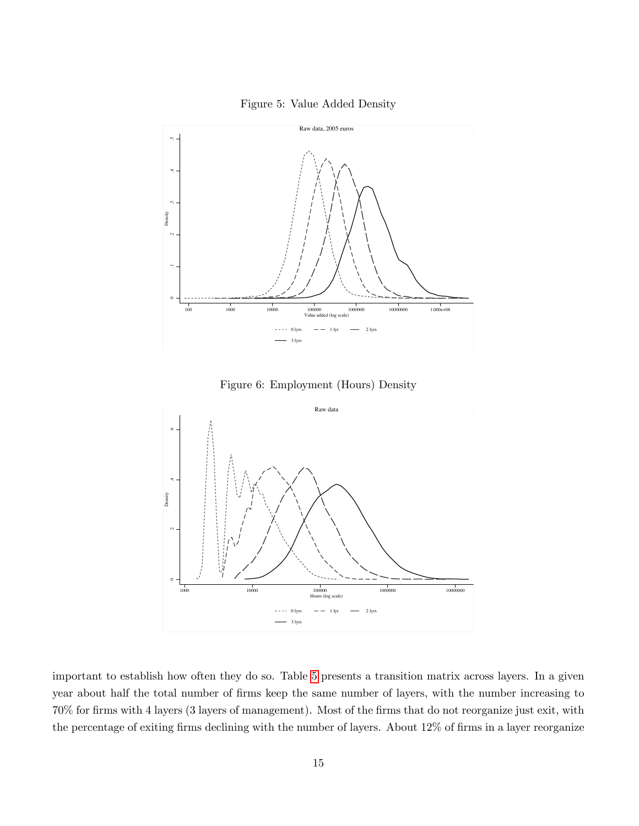

<span id="page-16-0"></span>

Figure 6: Employment (Hours) Density

<span id="page-16-1"></span>

important to establish how often they do so. Table [5](#page-18-0) presents a transition matrix across layers. In a given year about half the total number of firms keep the same number of layers, with the number increasing to 70% for Örms with 4 layers (3 layers of management). Most of the Örms that do not reorganize just exit, with the percentage of exiting firms declining with the number of layers. About  $12\%$  of firms in a layer reorganize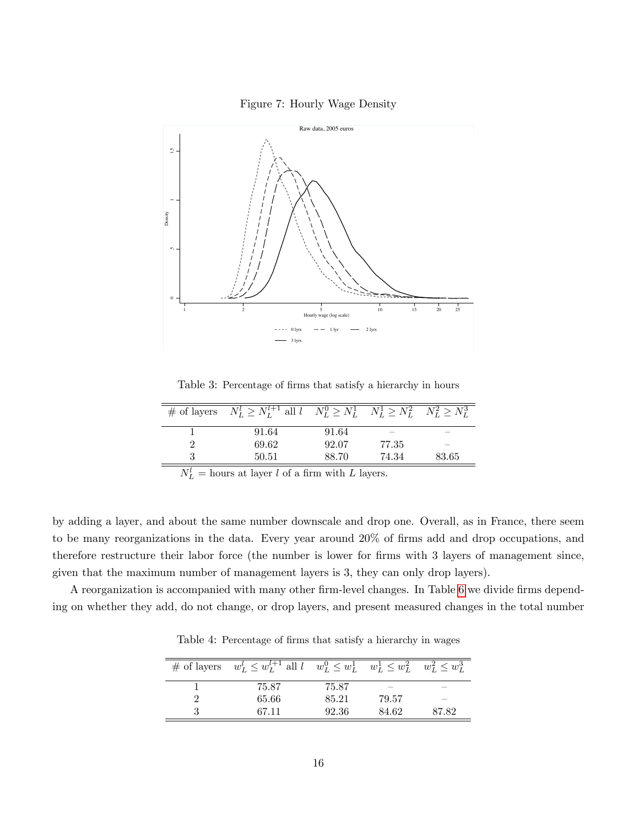

<span id="page-17-0"></span>

Table 3: Percentage of firms that satisfy a hierarchy in hours

<span id="page-17-1"></span>

| # of layers $N_L^l \ge N_L^{l+1}$ all $l$ $N_L^0 \ge N_L^1$ $N_L^1 \ge N_L^2$ $N_L^2 \ge N_L^3$ |       |                          |                          |
|-------------------------------------------------------------------------------------------------|-------|--------------------------|--------------------------|
| 91.64                                                                                           | 91.64 | $\overline{\phantom{a}}$ | $\overline{\phantom{a}}$ |
| 69.62                                                                                           | 92.07 | 77.35                    | $\overline{\phantom{a}}$ |
| 50.51                                                                                           | 88.70 | 74.34                    | 83.65                    |
|                                                                                                 |       |                          |                          |

 $N_L^l$  = hours at layer l of a firm with L layers.

by adding a layer, and about the same number downscale and drop one. Overall, as in France, there seem to be many reorganizations in the data. Every year around 20% of firms add and drop occupations, and therefore restructure their labor force (the number is lower for firms with 3 layers of management since, given that the maximum number of management layers is 3, they can only drop layers).

<span id="page-17-2"></span>A reorganization is accompanied with many other firm-level changes. In Table [6](#page-18-1) we divide firms depending on whether they add, do not change, or drop layers, and present measured changes in the total number

Table 4: Percentage of firms that satisfy a hierarchy in wages

| $#$ of layers | $w_L^l \leq w_L^{l+1}$ all $l \quad w_L^0 \leq w_L^1 \quad w_L^1 \leq w_L^2 \quad w_L^2 \leq w_L^3$ |       |       |                          |
|---------------|-----------------------------------------------------------------------------------------------------|-------|-------|--------------------------|
|               | 75.87                                                                                               | 75.87 |       | $\overline{\phantom{a}}$ |
|               | 65.66                                                                                               | 85.21 | 79.57 | _                        |
|               | 67.11                                                                                               | 92.36 | 84.62 | 87.82                    |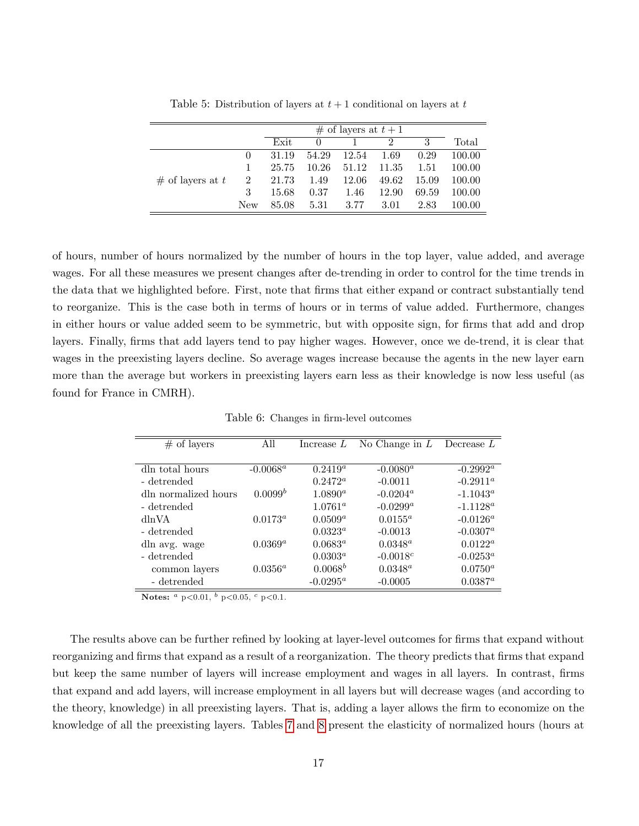<span id="page-18-0"></span>

|                    |     |       | $\#$ of layers at $t+1$ |       |       |       |        |
|--------------------|-----|-------|-------------------------|-------|-------|-------|--------|
|                    |     | Exit  | $\cup$                  |       | 2     | 3     | Total  |
|                    |     | 31.19 | 54.29                   | 12.54 | 1.69  | 0.29  | 100.00 |
|                    |     | 25.75 | 10.26                   | 51.12 | 11.35 | 1.51  | 100.00 |
| $#$ of layers at t | 2   | 21.73 | 1.49                    | 12.06 | 49.62 | 15.09 | 100.00 |
|                    | 3   | 15.68 | 0.37                    | 1.46  | 12.90 | 69.59 | 100.00 |
|                    | New | 85.08 | 5.31                    | 3.77  | 3.01  | 2.83  | 100.00 |

Table 5: Distribution of layers at  $t + 1$  conditional on layers at t

of hours, number of hours normalized by the number of hours in the top layer, value added, and average wages. For all these measures we present changes after de-trending in order to control for the time trends in the data that we highlighted before. First, note that firms that either expand or contract substantially tend to reorganize. This is the case both in terms of hours or in terms of value added. Furthermore, changes in either hours or value added seem to be symmetric, but with opposite sign, for firms that add and drop layers. Finally, firms that add layers tend to pay higher wages. However, once we de-trend, it is clear that wages in the preexisting layers decline. So average wages increase because the agents in the new layer earn more than the average but workers in preexisting layers earn less as their knowledge is now less useful (as found for France in CMRH).

Table 6: Changes in firm-level outcomes

<span id="page-18-1"></span>

| $#$ of layers        | All                 | Increase $L$       | No Change in $L$ Decrease $L$ |             |
|----------------------|---------------------|--------------------|-------------------------------|-------------|
|                      |                     |                    |                               |             |
| dln total hours      | $-0.0068^a$         | $0.2419^a$         | $-0.0080^a$                   | $-0.2992^a$ |
| - detrended          |                     | $0.2472^a$         | $-0.0011$                     | $-0.2911^a$ |
| dln normalized hours | 0.0099 <sup>b</sup> | $1.0890^a$         | $-0.0204^a$                   | $-1.1043^a$ |
| - detrended          |                     | $1.0761^a$         | $-0.0299^a$                   | $-1.1128^a$ |
| dlnVA                | $0.0173^a$          | $0.0509^a$         | $0.0155^a$                    | $-0.0126^a$ |
| - detrended          |                     | $0.0323^a$         | $-0.0013$                     | $-0.0307^a$ |
| dln avg. wage        | $0.0369^{\circ}$    | $0.0683^a$         | $0.0348^a$                    | $0.0122^a$  |
| - detrended          |                     | $0.0303^a$         | $-0.0018c$                    | $-0.0253^a$ |
| common layers        | $0.0356^a$          | $0.0068^b$         | $0.0348^a$                    | $0.0750^a$  |
| - detrended          |                     | $-0.0295^{\alpha}$ | $-0.0005$                     | $0.0387^a$  |

Notes:  $\frac{a}{p}$  p $\lt 0.01$ ,  $\frac{b}{p}$  p $\lt 0.05$ ,  $\frac{c}{p}$  p $\lt 0.1$ .

The results above can be further refined by looking at layer-level outcomes for firms that expand without reorganizing and firms that expand as a result of a reorganization. The theory predicts that firms that expand but keep the same number of layers will increase employment and wages in all layers. In contrast, Örms that expand and add layers, will increase employment in all layers but will decrease wages (and according to the theory, knowledge) in all preexisting layers. That is, adding a layer allows the Örm to economize on the knowledge of all the preexisting layers. Tables [7](#page-19-0) and [8](#page-19-1) present the elasticity of normalized hours (hours at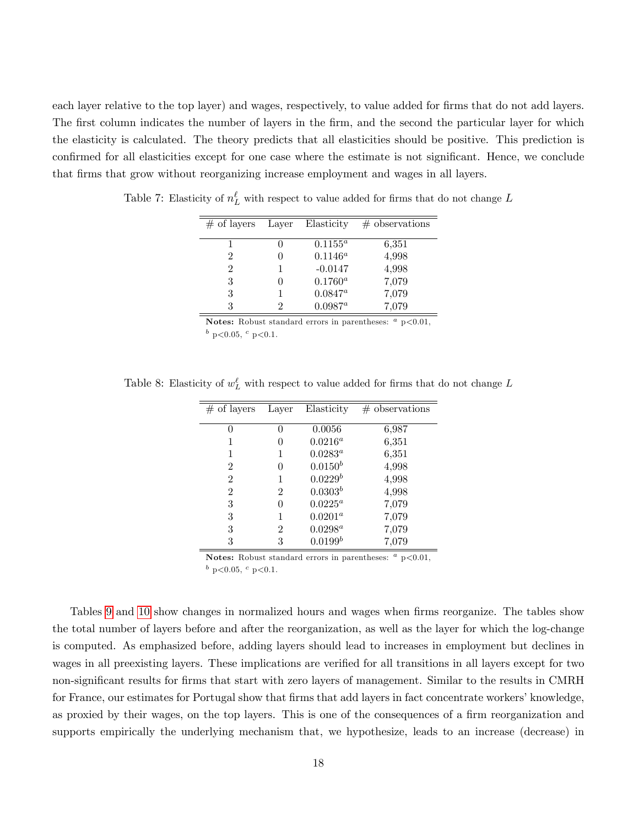each layer relative to the top layer) and wages, respectively, to value added for firms that do not add layers. The first column indicates the number of layers in the firm, and the second the particular layer for which the elasticity is calculated. The theory predicts that all elasticities should be positive. This prediction is confirmed for all elasticities except for one case where the estimate is not significant. Hence, we conclude that Örms that grow without reorganizing increase employment and wages in all layers.

| $#$ of layers | Layer | Elasticity | $#$ observations |
|---------------|-------|------------|------------------|
|               |       | $0.1155^a$ | 6,351            |
| 2             |       | $0.1146^a$ | 4,998            |
| 2             |       | $-0.0147$  | 4,998            |
| 3             |       | $0.1760^a$ | 7,079            |
| 3             |       | $0.0847^a$ | 7,079            |
| 3             |       | $0.0987^a$ | 7,079            |

<span id="page-19-0"></span>Table 7: Elasticity of  $n_L^{\ell}$  with respect to value added for firms that do not change L

Notes: Robust standard errors in parentheses:  $a$  p<0.01,  $b$  p<0.05,  $c$  p<0.1.

<span id="page-19-1"></span>Table 8: Elasticity of  $w_L^{\ell}$  with respect to value added for firms that do not change L

| $#$ of layers | Layer | Elasticity   | $#$ observations |
|---------------|-------|--------------|------------------|
| $\theta$      | 0     | 0.0056       | 6,987            |
|               |       | $0.0216^a$   | 6,351            |
|               |       | $0.0283^a$   | 6,351            |
| 2             | 0     | $0.0150^{b}$ | 4,998            |
| 2             |       | $0.0229^b$   | 4,998            |
| 2             | 2     | $0.0303^{b}$ | 4,998            |
| 3             |       | $0.0225^a$   | 7,079            |
| 3             |       | $0.0201^a$   | 7,079            |
| 3             | 2     | $0.0298^a$   | 7,079            |
| 3             | 3     | $0.0199^b$   | 7,079            |

Notes: Robust standard errors in parentheses:  $a$  p<0.01,  $\frac{b}{p}$  p < 0.05,  $\frac{c}{p}$  p < 0.1.

Tables [9](#page-20-0) and [10](#page-21-0) show changes in normalized hours and wages when firms reorganize. The tables show the total number of layers before and after the reorganization, as well as the layer for which the log-change is computed. As emphasized before, adding layers should lead to increases in employment but declines in wages in all preexisting layers. These implications are verified for all transitions in all layers except for two non-significant results for firms that start with zero layers of management. Similar to the results in CMRH for France, our estimates for Portugal show that firms that add layers in fact concentrate workers' knowledge, as proxied by their wages, on the top layers. This is one of the consequences of a firm reorganization and supports empirically the underlying mechanism that, we hypothesize, leads to an increase (decrease) in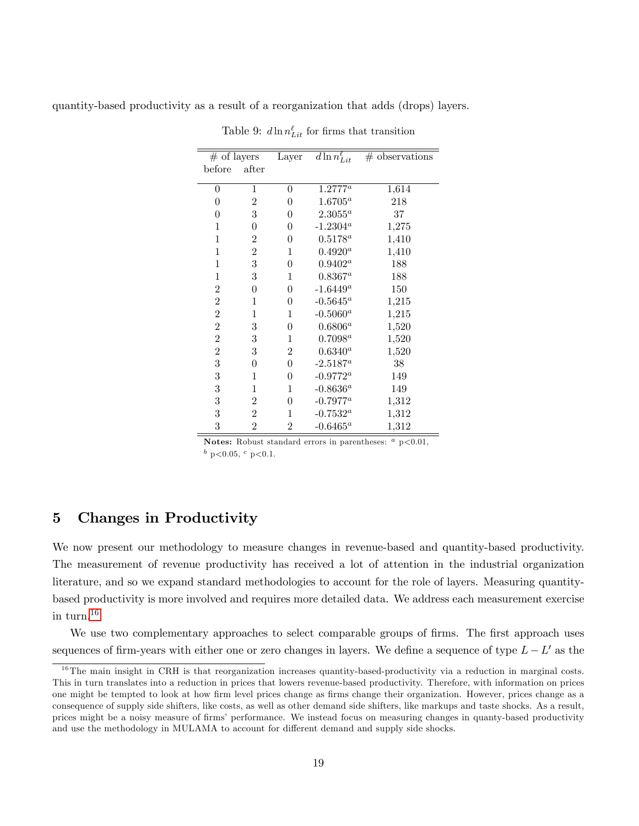<span id="page-20-0"></span>quantity-based productivity as a result of a reorganization that adds (drops) layers.

 $\equiv$ 

|                |                  |               | $#$ observations               |
|----------------|------------------|---------------|--------------------------------|
| after          |                  |               |                                |
| 1              | 0                | $1.2777^a$    | 1,614                          |
| $\overline{2}$ | $\boldsymbol{0}$ | $1.6705^{a}$  | 218                            |
| 3              | $\boldsymbol{0}$ | $2.3055^a$    | 37                             |
| 0              | $\boldsymbol{0}$ | $-1.2304^a$   | 1,275                          |
| $\overline{2}$ | $\boldsymbol{0}$ | $0.5178^{a}$  | 1,410                          |
| $\overline{2}$ | $\mathbf{1}$     | $0.4920^a$    | 1,410                          |
| 3              | $\overline{0}$   | $0.9402^a$    | 188                            |
| 3              | 1                | $0.8367^a$    | 188                            |
| $\overline{0}$ | $\boldsymbol{0}$ | $-1.6449^a$   | 150                            |
| 1              | $\boldsymbol{0}$ | $-0.5645^a$   | 1,215                          |
| 1              | $\mathbf{1}$     | $-0.5060^a$   | 1,215                          |
| 3              | $\boldsymbol{0}$ | $0.6806^a$    | 1,520                          |
| 3              | 1                | $0.7098^a$    | 1,520                          |
| 3              | $\overline{2}$   | $0.6340^a$    | 1,520                          |
| $\overline{0}$ | $\boldsymbol{0}$ | $-2.5187^a$   | 38                             |
| 1              | $\overline{0}$   | $-0.9772^a$   | 149                            |
| 1              | 1                | $-0.8636^{a}$ | 149                            |
| 2              | $\overline{0}$   | $-0.7977^a$   | 1,312                          |
| $\overline{2}$ | 1                | $-0.7532^a$   | 1,312                          |
| $\overline{2}$ | $\overline{2}$   | $-0.6465^a$   | 1,312                          |
|                | $#$ of layers    | Layer         | $\overline{d\ln n_{Lit}^\ell}$ |

Table 9:  $d \ln n_{Lit}^{\ell}$  for firms that transition

Notes: Robust standard errors in parentheses:  $a$  p<0.01,

 $\frac{b}{p}$  p < 0.05,  $\frac{c}{p}$  p < 0.1.

# 5 Changes in Productivity

We now present our methodology to measure changes in revenue-based and quantity-based productivity. The measurement of revenue productivity has received a lot of attention in the industrial organization literature, and so we expand standard methodologies to account for the role of layers. Measuring quantitybased productivity is more involved and requires more detailed data. We address each measurement exercise in turn.<sup>[16](#page-20-1)</sup>

We use two complementary approaches to select comparable groups of firms. The first approach uses sequences of firm-years with either one or zero changes in layers. We define a sequence of type  $L - L'$  as the

<span id="page-20-1"></span><sup>&</sup>lt;sup>16</sup>The main insight in CRH is that reorganization increases quantity-based-productivity via a reduction in marginal costs. This in turn translates into a reduction in prices that lowers revenue-based productivity. Therefore, with information on prices one might be tempted to look at how Örm level prices change as Örms change their organization. However, prices change as a consequence of supply side shifters, like costs, as well as other demand side shifters, like markups and taste shocks. As a result, prices might be a noisy measure of firms' performance. We instead focus on measuring changes in quanty-based productivity and use the methodology in MULAMA to account for different demand and supply side shocks.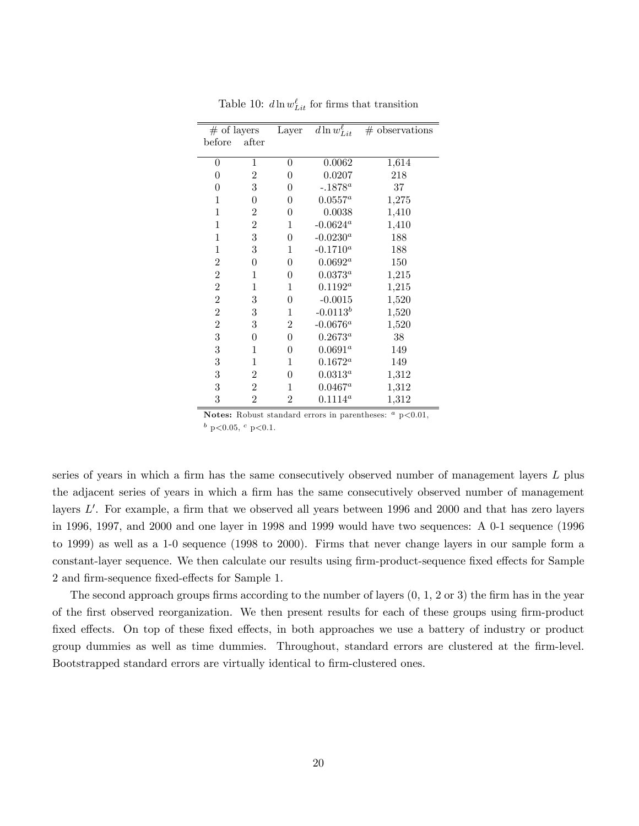<span id="page-21-0"></span>

| $#$ of layers    |                  | Layer            | $\overline{d\ln w_{Lit}^{\ell}}$ | $#$ observations |
|------------------|------------------|------------------|----------------------------------|------------------|
| before           | after            |                  |                                  |                  |
|                  |                  |                  |                                  |                  |
| 0                | $\mathbf 1$      | 0                | 0.0062                           | 1,614            |
| $\boldsymbol{0}$ | $\overline{2}$   | $\boldsymbol{0}$ | 0.0207                           | 218              |
| $\boldsymbol{0}$ | 3                | $\boldsymbol{0}$ | $-.1878^a$                       | 37               |
| 1                | $\boldsymbol{0}$ | $\boldsymbol{0}$ | $0.0557^a$                       | 1,275            |
| $\mathbf{1}$     | $\overline{2}$   | $\boldsymbol{0}$ | 0.0038                           | 1,410            |
| 1                | $\overline{2}$   | 1                | $\textnormal{-}0.0624^a$         | 1,410            |
| 1                | 3                | $\boldsymbol{0}$ | $-0.0230^{a}$                    | 188              |
| 1                | 3                | 1                | $-0.1710^a$                      | 188              |
| 2                | $\boldsymbol{0}$ | $\boldsymbol{0}$ | $0.0692^a$                       | 150              |
| $\overline{2}$   | 1                | $\boldsymbol{0}$ | $0.0373^{a}$                     | 1,215            |
| $\overline{2}$   | 1                | 1                | $0.1192^a$                       | 1,215            |
| $\overline{2}$   | 3                | $\boldsymbol{0}$ | $-0.0015$                        | 1,520            |
| $\overline{2}$   | 3                | 1                | $-0.0113^b$                      | 1,520            |
| $\overline{2}$   | 3                | 2                | $-0.0676^a$                      | 1,520            |
| 3                | $\overline{0}$   | $\boldsymbol{0}$ | $0.2673^a$                       | 38               |
| 3                | 1                | $\boldsymbol{0}$ | $0.0691^a$                       | 149              |
| 3                | 1                | 1                | $0.1672^a$                       | 149              |
| 3                | $\overline{2}$   | $\boldsymbol{0}$ | $0.0313^a$                       | 1,312            |
| 3                | $\overline{2}$   | 1                | $0.0467^a$                       | 1,312            |
| 3                | $\overline{2}$   | $\overline{2}$   | $0.1114^a$                       | 1,312            |

Table 10:  $d \ln w_{Lit}^{\ell}$  for firms that transition

Notes: Robust standard errors in parentheses:  $a$  p $< 0.01$ ,  $b$  p<0.05,  $c$  p<0.1.

series of years in which a firm has the same consecutively observed number of management layers  $L$  plus the adjacent series of years in which a firm has the same consecutively observed number of management layers  $L'$ . For example, a firm that we observed all years between 1996 and 2000 and that has zero layers in 1996, 1997, and 2000 and one layer in 1998 and 1999 would have two sequences: A 0-1 sequence (1996 to 1999) as well as a 1-0 sequence (1998 to 2000). Firms that never change layers in our sample form a constant-layer sequence. We then calculate our results using firm-product-sequence fixed effects for Sample 2 and firm-sequence fixed-effects for Sample 1.

The second approach groups firms according to the number of layers  $(0, 1, 2 \text{ or } 3)$  the firm has in the year of the first observed reorganization. We then present results for each of these groups using firm-product fixed effects. On top of these fixed effects, in both approaches we use a battery of industry or product group dummies as well as time dummies. Throughout, standard errors are clustered at the firm-level. Bootstrapped standard errors are virtually identical to firm-clustered ones.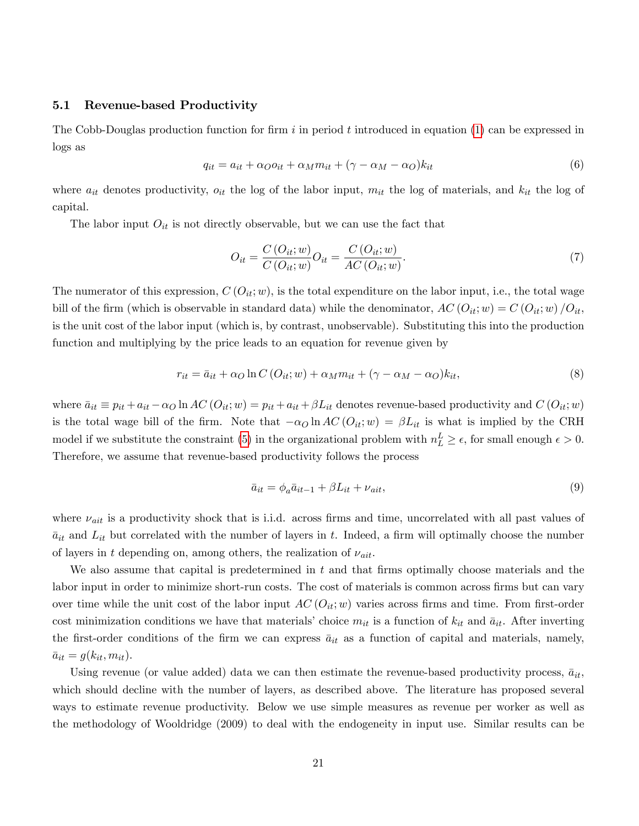### <span id="page-22-3"></span>5.1 Revenue-based Productivity

The Cobb-Douglas production function for firm i in period t introduced in equation  $(1)$  can be expressed in logs as

<span id="page-22-2"></span>
$$
q_{it} = a_{it} + \alpha_O o_{it} + \alpha_M m_{it} + (\gamma - \alpha_M - \alpha_O) k_{it}
$$
\n
$$
\tag{6}
$$

where  $a_{it}$  denotes productivity,  $o_{it}$  the log of the labor input,  $m_{it}$  the log of materials, and  $k_{it}$  the log of capital.

The labor input  $O_{it}$  is not directly observable, but we can use the fact that

<span id="page-22-4"></span>
$$
O_{it} = \frac{C\left(O_{it}; w\right)}{C\left(O_{it}; w\right)} O_{it} = \frac{C\left(O_{it}; w\right)}{AC\left(O_{it}; w\right)}.
$$
\n(7)

The numerator of this expression,  $C(O_{it}; w)$ , is the total expenditure on the labor input, i.e., the total wage bill of the firm (which is observable in standard data) while the denominator,  $AC(O_{it}; w) = C(O_{it}; w) / O_{it}$ is the unit cost of the labor input (which is, by contrast, unobservable). Substituting this into the production function and multiplying by the price leads to an equation for revenue given by

<span id="page-22-0"></span>
$$
r_{it} = \bar{a}_{it} + \alpha_O \ln C \left( O_{it}; w \right) + \alpha_M m_{it} + (\gamma - \alpha_M - \alpha_O) k_{it}, \tag{8}
$$

where  $\bar{a}_{it} \equiv p_{it} + a_{it} - \alpha_O \ln AC(O_{it}; w) = p_{it} + a_{it} + \beta L_{it}$  denotes revenue-based productivity and  $C(O_{it}; w)$ is the total wage bill of the firm. Note that  $-\alpha_O \ln AC(O_{it}; w) = \beta L_{it}$  is what is implied by the CRH model if we substitute the constraint [\(5\)](#page-7-3) in the organizational problem with  $n_L^L \ge \epsilon$ , for small enough  $\epsilon > 0$ . Therefore, we assume that revenue-based productivity follows the process

<span id="page-22-1"></span>
$$
\bar{a}_{it} = \phi_a \bar{a}_{it-1} + \beta L_{it} + \nu_{ait},\tag{9}
$$

where  $\nu_{ait}$  is a productivity shock that is i.i.d. across firms and time, uncorrelated with all past values of  $\bar{a}_{it}$  and  $L_{it}$  but correlated with the number of layers in t. Indeed, a firm will optimally choose the number of layers in t depending on, among others, the realization of  $\nu_{ait}$ .

We also assume that capital is predetermined in  $t$  and that firms optimally choose materials and the labor input in order to minimize short-run costs. The cost of materials is common across firms but can vary over time while the unit cost of the labor input  $AC(O_{it}; w)$  varies across firms and time. From first-order cost minimization conditions we have that materials' choice  $m_{it}$  is a function of  $k_{it}$  and  $\bar{a}_{it}$ . After inverting the first-order conditions of the firm we can express  $\bar{a}_{it}$  as a function of capital and materials, namely,  $\bar{a}_{it} = g(k_{it}, m_{it}).$ 

Using revenue (or value added) data we can then estimate the revenue-based productivity process,  $\bar{a}_{it}$ , which should decline with the number of layers, as described above. The literature has proposed several ways to estimate revenue productivity. Below we use simple measures as revenue per worker as well as the methodology of Wooldridge (2009) to deal with the endogeneity in input use. Similar results can be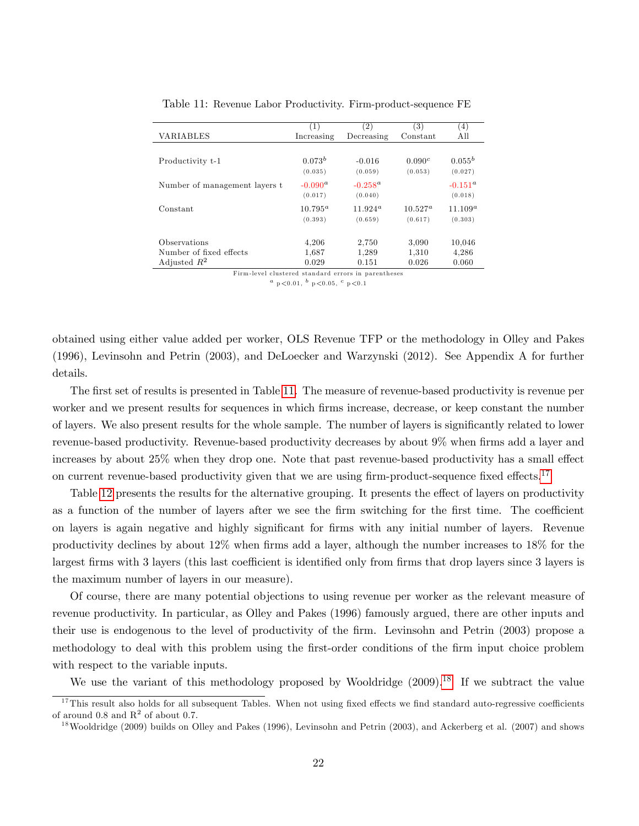<span id="page-23-0"></span>

|                                                     | (1)               | (2)               | $\left( 3\right)$  | $\left(4\right)$ |
|-----------------------------------------------------|-------------------|-------------------|--------------------|------------------|
| VARIABLES                                           | Increasing        | Decreasing        | Constant           | All              |
|                                                     |                   |                   |                    |                  |
| Productivity t-1                                    | $0.073^{b}$       | $-0.016$          | 0.090 <sup>c</sup> | $0.055^b$        |
|                                                     | (0.035)           | (0.059)           | (0.053)            | (0.027)          |
| Number of management layers t                       | $-0.090^{\alpha}$ | $-0.258^{\alpha}$ |                    | $-0.151^a$       |
|                                                     | (0.017)           | (0.040)           |                    | (0.018)          |
| Constant                                            | $10.795^{\circ}$  | $11.924^{\rm a}$  | $10.527^a$         | $11.109^a$       |
|                                                     | (0.393)           | (0.659)           | (0.617)            | (0.303)          |
|                                                     |                   |                   |                    |                  |
| Observations                                        | 4.206             | 2,750             | 3,090              | 10.046           |
| Number of fixed effects                             | 1,687             | 1,289             | 1,310              | 4.286            |
| Adjusted $R^2$                                      | 0.029             | 0.151             | 0.026              | 0.060            |
| Firm-level clustered standard errors in parentheses |                   |                   |                    |                  |

Table 11: Revenue Labor Productivity. Firm-product-sequence FE

obtained using either value added per worker, OLS Revenue TFP or the methodology in Olley and Pakes (1996), Levinsohn and Petrin (2003), and DeLoecker and Warzynski (2012). See Appendix A for further details.

The first set of results is presented in Table [11.](#page-23-0) The measure of revenue-based productivity is revenue per worker and we present results for sequences in which firms increase, decrease, or keep constant the number of layers. We also present results for the whole sample. The number of layers is significantly related to lower revenue-based productivity. Revenue-based productivity decreases by about 9% when firms add a layer and increases by about 25% when they drop one. Note that past revenue-based productivity has a small effect on current revenue-based productivity given that we are using firm-product-sequence fixed effects.<sup>[17](#page-23-1)</sup>

Table [12](#page-24-0) presents the results for the alternative grouping. It presents the effect of layers on productivity as a function of the number of layers after we see the firm switching for the first time. The coefficient on layers is again negative and highly significant for firms with any initial number of layers. Revenue productivity declines by about  $12\%$  when firms add a layer, although the number increases to  $18\%$  for the largest firms with 3 layers (this last coefficient is identified only from firms that drop layers since 3 layers is the maximum number of layers in our measure).

Of course, there are many potential objections to using revenue per worker as the relevant measure of revenue productivity. In particular, as Olley and Pakes (1996) famously argued, there are other inputs and their use is endogenous to the level of productivity of the Örm. Levinsohn and Petrin (2003) propose a methodology to deal with this problem using the first-order conditions of the firm input choice problem with respect to the variable inputs.

We use the variant of this methodology proposed by Wooldridge  $(2009).^{18}$  $(2009).^{18}$  $(2009).^{18}$  If we subtract the value

<span id="page-23-1"></span> $17$ This result also holds for all subsequent Tables. When not using fixed effects we find standard auto-regressive coefficients of around 0.8 and  $\mathbb{R}^2$  of about 0.7.

<span id="page-23-2"></span><sup>&</sup>lt;sup>18</sup>Wooldridge (2009) builds on Olley and Pakes (1996), Levinsohn and Petrin (2003), and Ackerberg et al. (2007) and shows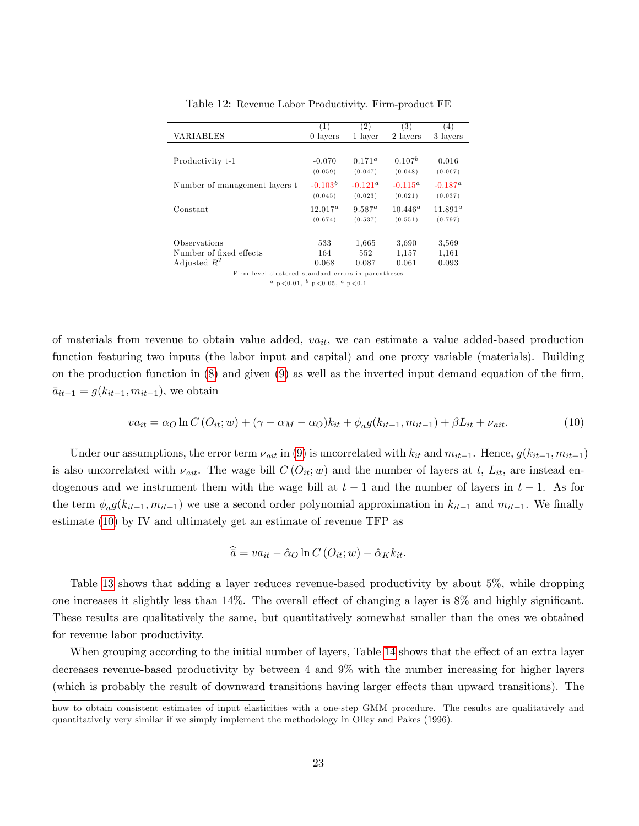<span id="page-24-0"></span>

|                                                       | (1)        | $\left( 2\right)$ | $\left( 3\right)$  | $^{(4)}$   |
|-------------------------------------------------------|------------|-------------------|--------------------|------------|
| VARIABLES                                             | 0 layers   | 1 layer           | 2 layers           | 3 layers   |
|                                                       |            |                   |                    |            |
| Productivity t-1                                      | $-0.070$   | $0.171^{\alpha}$  | 0.107 <sup>b</sup> | 0.016      |
|                                                       | (0.059)    | (0.047)           | (0.048)            | (0.067)    |
| Number of management layers t                         | $-0.103b$  | $-0.121^{\alpha}$ | $-0.115^a$         | $-0.187^a$ |
|                                                       | (0.045)    | (0.023)           | (0.021)            | (0.037)    |
| Constant                                              | $12.017^a$ | $9.587^{a}$       | $10.446^{\circ}$   | $11.891^a$ |
|                                                       | (0.674)    | (0.537)           | (0.551)            | (0.797)    |
| Observations                                          |            |                   |                    |            |
|                                                       | 533        | 1,665             | 3,690              | 3.569      |
| Number of fixed effects                               | 164        | 552               | 1,157              | 1,161      |
| Adjusted $R^2$                                        | 0.068      | 0.087             | 0.061              | 0.093      |
| Finne land almatanad atau daud annana in mananthaaaa. |            |                   |                    |            |

Table 12: Revenue Labor Productivity. Firm-product FE

Firm-level clustered standard errors in parentheses  $a$  p < 0.01,  $b$  p < 0.05,  $c$  p < 0.1

of materials from revenue to obtain value added,  $va_{it}$ , we can estimate a value added-based production function featuring two inputs (the labor input and capital) and one proxy variable (materials). Building on the production function in  $(8)$  and given  $(9)$  as well as the inverted input demand equation of the firm,  $\bar{a}_{it-1} = g(k_{it-1}, m_{it-1}),$  we obtain

<span id="page-24-1"></span>
$$
va_{it} = \alpha_O \ln C (O_{it}; w) + (\gamma - \alpha_M - \alpha_O)k_{it} + \phi_a g(k_{it-1}, m_{it-1}) + \beta L_{it} + \nu_{ait}. \tag{10}
$$

Under our assumptions, the error term  $\nu_{ait}$  in [\(9\)](#page-22-1) is uncorrelated with  $k_{it}$  and  $m_{it-1}$ . Hence,  $g(k_{it-1}, m_{it-1})$ is also uncorrelated with  $\nu_{ait}$ . The wage bill  $C(O_{it}; w)$  and the number of layers at t,  $L_{it}$ , are instead endogenous and we instrument them with the wage bill at  $t-1$  and the number of layers in  $t-1$ . As for the term  $\phi_a g(k_{it-1}, m_{it-1})$  we use a second order polynomial approximation in  $k_{it-1}$  and  $m_{it-1}$ . We finally estimate [\(10\)](#page-24-1) by IV and ultimately get an estimate of revenue TFP as

$$
\widehat{\overline{a}} = va_{it} - \widehat{\alpha}_O \ln C (O_{it}; w) - \widehat{\alpha}_K k_{it}.
$$

Table [13](#page-25-0) shows that adding a layer reduces revenue-based productivity by about 5%, while dropping one increases it slightly less than  $14\%$ . The overall effect of changing a layer is  $8\%$  and highly significant. These results are qualitatively the same, but quantitatively somewhat smaller than the ones we obtained for revenue labor productivity.

When grouping according to the initial number of layers, Table [14](#page-25-1) shows that the effect of an extra layer decreases revenue-based productivity by between 4 and 9% with the number increasing for higher layers (which is probably the result of downward transitions having larger effects than upward transitions). The

how to obtain consistent estimates of input elasticities with a one-step GMM procedure. The results are qualitatively and quantitatively very similar if we simply implement the methodology in Olley and Pakes (1996).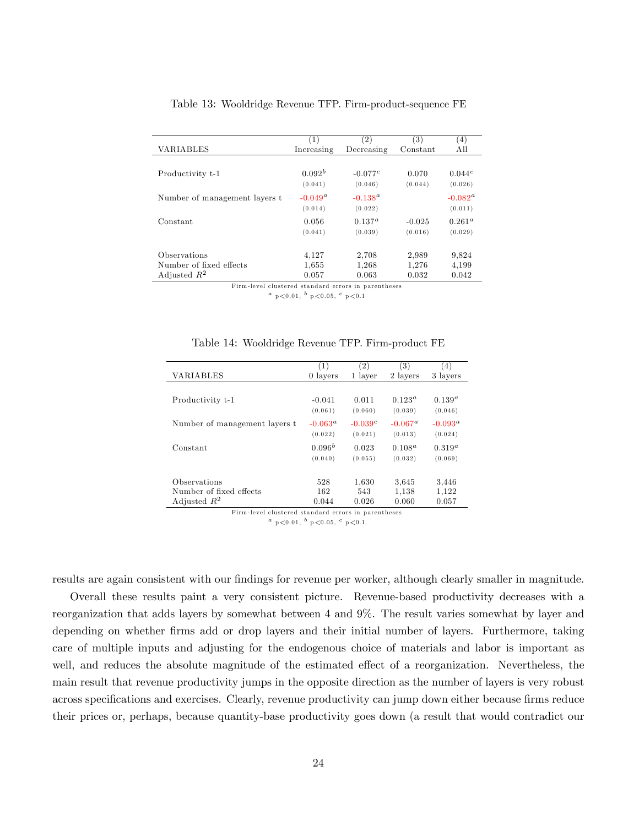<span id="page-25-0"></span>

|                               | (1)                | (2)          | (3)      | (4)               |
|-------------------------------|--------------------|--------------|----------|-------------------|
| VARIABLES                     | Increasing         | Decreasing   | Constant | All               |
|                               |                    |              |          |                   |
| Productivity t-1              | 0.092 <sup>b</sup> | $-0.077c$    | 0.070    | 0.044c            |
|                               |                    |              |          |                   |
|                               | (0.041)            | (0.046)      | (0.044)  | (0.026)           |
| Number of management layers t | $-0.049^{\alpha}$  | $-0.138^{a}$ |          | $-0.082^{\alpha}$ |
|                               | (0.014)            | (0.022)      |          | (0.011)           |
| Constant                      | 0.056              | $0.137^{a}$  | $-0.025$ | $0.261^{\circ}$   |
|                               | (0.041)            | (0.039)      | (0.016)  | (0.029)           |
|                               |                    |              |          |                   |
| Observations                  | 4,127              | 2,708        | 2,989    | 9,824             |
| Number of fixed effects       | 1,655              | 1,268        | 1.276    | 4,199             |
| Adjusted $R^2$                | 0.057              | 0.063        | 0.032    | 0.042             |

Table 13: Wooldridge Revenue TFP. Firm-product-sequence FE

Firm-level clustered standard errors in parentheses

 $a$  p < 0.01,  $b$  p < 0.05,  $c$  p < 0.1

<span id="page-25-1"></span>

|                               | (1)              | $^{\prime}2)$ | 3)                | (4)              |
|-------------------------------|------------------|---------------|-------------------|------------------|
| VARIABLES                     | 0 layers         | 1 layer       | 2 layers          | 3 layers         |
|                               |                  |               |                   |                  |
| Productivity t-1              | $-0.041$         | 0.011         | $0.123^{\rm a}$   | $0.139^{a}$      |
|                               | (0.061)          | (0.060)       | (0.039)           | (0.046)          |
| Number of management layers t | $-0.063^{\circ}$ | $-0.039c$     | $-0.067^{\alpha}$ | $-0.093^{\circ}$ |

 $(0.022)$   $(0.021)$   $(0.013)$   $(0.024)$ 

 $(0.040)$   $(0.055)$   $(0.032)$   $(0.069)$ 

Table 14: Wooldridge Revenue TFP. Firm-product FE

Observations 528 1,630 3,645 3,446<br>Number of fixed effects 162 543 1.138 1.122 Number of Öxed e§ects 162 543 1,138 1,122 Adjusted  $R^2$  0.044 0.026 0.060 0.057 Firm-level clustered standard errors in parentheses

Constant 0.096<sup>b</sup> 0.023 0.108<sup>a</sup> 0.319<sup>a</sup>

 $a$  p < 0.01,  $b$  p < 0.05,  $c$  p < 0.1

results are again consistent with our findings for revenue per worker, although clearly smaller in magnitude.

Overall these results paint a very consistent picture. Revenue-based productivity decreases with a reorganization that adds layers by somewhat between 4 and 9%. The result varies somewhat by layer and depending on whether firms add or drop layers and their initial number of layers. Furthermore, taking care of multiple inputs and adjusting for the endogenous choice of materials and labor is important as well, and reduces the absolute magnitude of the estimated effect of a reorganization. Nevertheless, the main result that revenue productivity jumps in the opposite direction as the number of layers is very robust across specifications and exercises. Clearly, revenue productivity can jump down either because firms reduce their prices or, perhaps, because quantity-base productivity goes down (a result that would contradict our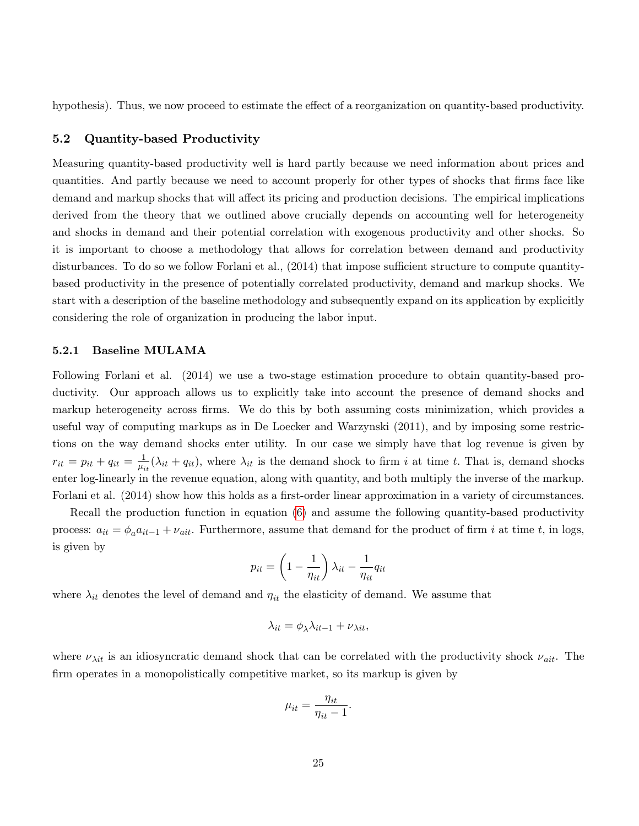hypothesis). Thus, we now proceed to estimate the effect of a reorganization on quantity-based productivity.

### 5.2 Quantity-based Productivity

Measuring quantity-based productivity well is hard partly because we need information about prices and quantities. And partly because we need to account properly for other types of shocks that Örms face like demand and markup shocks that will affect its pricing and production decisions. The empirical implications derived from the theory that we outlined above crucially depends on accounting well for heterogeneity and shocks in demand and their potential correlation with exogenous productivity and other shocks. So it is important to choose a methodology that allows for correlation between demand and productivity disturbances. To do so we follow Forlani et al.,  $(2014)$  that impose sufficient structure to compute quantitybased productivity in the presence of potentially correlated productivity, demand and markup shocks. We start with a description of the baseline methodology and subsequently expand on its application by explicitly considering the role of organization in producing the labor input.

### 5.2.1 Baseline MULAMA

Following Forlani et al. (2014) we use a two-stage estimation procedure to obtain quantity-based productivity. Our approach allows us to explicitly take into account the presence of demand shocks and markup heterogeneity across firms. We do this by both assuming costs minimization, which provides a useful way of computing markups as in De Loecker and Warzynski (2011), and by imposing some restrictions on the way demand shocks enter utility. In our case we simply have that log revenue is given by  $r_{it} = p_{it} + q_{it} = \frac{1}{\mu}$  $\frac{1}{\mu_{it}}(\lambda_{it} + q_{it})$ , where  $\lambda_{it}$  is the demand shock to firm i at time t. That is, demand shocks enter log-linearly in the revenue equation, along with quantity, and both multiply the inverse of the markup. Forlani et al. (2014) show how this holds as a first-order linear approximation in a variety of circumstances.

Recall the production function in equation [\(6\)](#page-22-2) and assume the following quantity-based productivity process:  $a_{it} = \phi_a a_{it-1} + \nu_{ait}$ . Furthermore, assume that demand for the product of firm i at time t, in logs, is given by

$$
p_{it} = \left(1 - \frac{1}{\eta_{it}}\right) \lambda_{it} - \frac{1}{\eta_{it}} q_{it}
$$

where  $\lambda_{it}$  denotes the level of demand and  $\eta_{it}$  the elasticity of demand. We assume that

$$
\lambda_{it} = \phi_{\lambda} \lambda_{it-1} + \nu_{\lambda it},
$$

where  $\nu_{\lambda it}$  is an idiosyncratic demand shock that can be correlated with the productivity shock  $\nu_{ait}$ . The firm operates in a monopolistically competitive market, so its markup is given by

$$
\mu_{it} = \frac{\eta_{it}}{\eta_{it} - 1}.
$$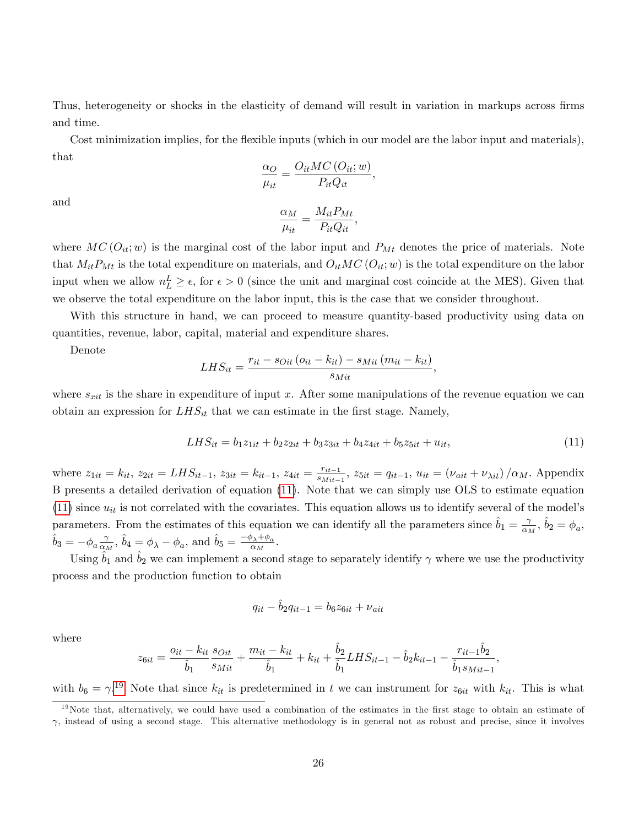Thus, heterogeneity or shocks in the elasticity of demand will result in variation in markups across firms and time.

Cost minimization implies, for the flexible inputs (which in our model are the labor input and materials), that

$$
\frac{\alpha_O}{\mu_{it}} = \frac{O_{it}MC\left(O_{it};w\right)}{P_{it}Q_{it}},
$$

and

$$
\frac{\alpha_M}{\mu_{it}} = \frac{M_{it} P_{Mt}}{P_{it} Q_{it}},
$$

where  $MC(O_{it}; w)$  is the marginal cost of the labor input and  $P_{Mt}$  denotes the price of materials. Note that  $M_{it}P_{Mt}$  is the total expenditure on materials, and  $O_{it}MC(O_{it}; w)$  is the total expenditure on the labor input when we allow  $n_L^L \geq \epsilon$ , for  $\epsilon > 0$  (since the unit and marginal cost coincide at the MES). Given that we observe the total expenditure on the labor input, this is the case that we consider throughout.

With this structure in hand, we can proceed to measure quantity-based productivity using data on quantities, revenue, labor, capital, material and expenditure shares.

Denote

$$
LHS_{it} = \frac{r_{it} - s_{Oit} (o_{it} - k_{it}) - s_{Mit} (m_{it} - k_{it})}{s_{Mit}},
$$

where  $s_{xit}$  is the share in expenditure of input x. After some manipulations of the revenue equation we can obtain an expression for  $LHS_{it}$  that we can estimate in the first stage. Namely,

<span id="page-27-0"></span>
$$
LHS_{it} = b_1 z_{1it} + b_2 z_{2it} + b_3 z_{3it} + b_4 z_{4it} + b_5 z_{5it} + u_{it},
$$
\n
$$
(11)
$$

where  $z_{1it} = k_{it}$ ,  $z_{2it} = LHS_{it-1}$ ,  $z_{3it} = k_{it-1}$ ,  $z_{4it} = \frac{r_{it-1}}{s_{Mit-1}}$  $\frac{r_{it-1}}{s_{Mit-1}}$ ,  $z_{5it} = q_{it-1}$ ,  $u_{it} = (\nu_{ait} + \nu_{\lambda it})/\alpha_M$ . Appendix B presents a detailed derivation of equation [\(11\)](#page-27-0). Note that we can simply use OLS to estimate equation [\(11\)](#page-27-0) since  $u_{it}$  is not correlated with the covariates. This equation allows us to identify several of the model's parameters. From the estimates of this equation we can identify all the parameters since  $\hat{b}_1 = \frac{\gamma}{\alpha_1}$  $\frac{\gamma}{\alpha_M}, \,\hat{b}_2 = \phi_a,$  $\hat{b}_3 = -\phi_a \frac{\gamma}{\alpha}$  $\frac{\gamma}{\alpha_M}$ ,  $\hat{b}_4 = \phi_\lambda - \phi_a$ , and  $\hat{b}_5 = \frac{-\phi_\lambda + \phi_a}{\alpha_M}$ .

Using  $\hat{b}_1$  and  $\hat{b}_2$  we can implement a second stage to separately identify  $\gamma$  where we use the productivity process and the production function to obtain

$$
q_{it} - \hat{b}_2 q_{it-1} = b_6 z_{6it} + \nu_{ait}
$$

where

$$
z_{6it} = \frac{o_{it} - k_{it}}{\hat{b}_1} \frac{s_{Oit}}{s_{Mit}} + \frac{m_{it} - k_{it}}{\hat{b}_1} + k_{it} + \frac{\hat{b}_2}{\hat{b}_1} LHS_{it-1} - \hat{b}_2 k_{it-1} - \frac{r_{it-1} \hat{b}_2}{\hat{b}_1 s_{Mit-1}},
$$

with  $b_6 = \gamma^{19}$  $b_6 = \gamma^{19}$  $b_6 = \gamma^{19}$  Note that since  $k_{it}$  is predetermined in t we can instrument for  $z_{6it}$  with  $k_{it}$ . This is what

<span id="page-27-1"></span> $19$ Note that, alternatively, we could have used a combination of the estimates in the first stage to obtain an estimate of  $\gamma$ , instead of using a second stage. This alternative methodology is in general not as robust and precise, since it involves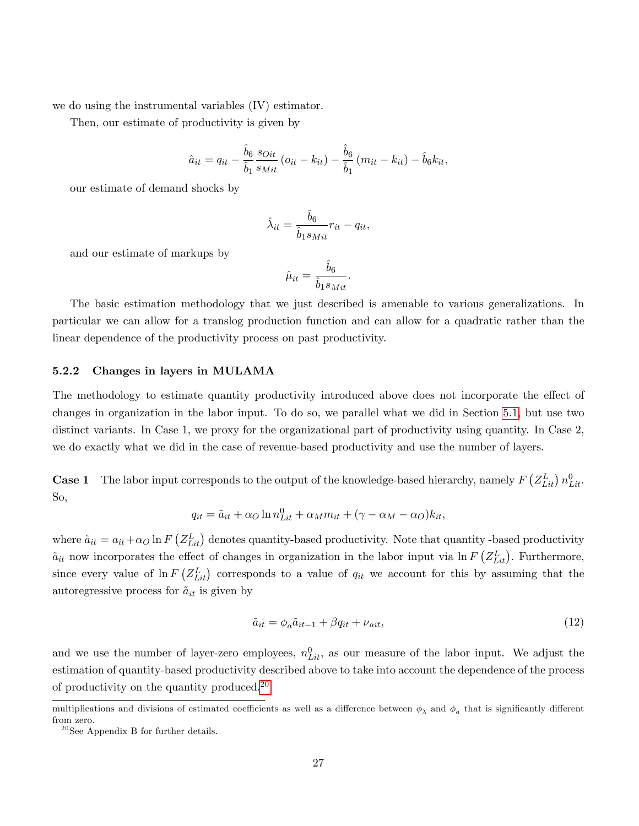we do using the instrumental variables (IV) estimator.

Then, our estimate of productivity is given by

$$
\hat{a}_{it} = q_{it} - \frac{\hat{b}_6}{\hat{b}_1} \frac{s_{Oit}}{s_{Mit}} \left( o_{it} - k_{it} \right) - \frac{\hat{b}_6}{\hat{b}_1} \left( m_{it} - k_{it} \right) - \hat{b}_6 k_{it},
$$

our estimate of demand shocks by

$$
\hat{\lambda}_{it} = \frac{\hat{b}_6}{\hat{b}_1 s_{Mit}} r_{it} - q_{it},
$$

and our estimate of markups by

$$
\hat{\mu}_{it} = \frac{\hat{b}_6}{\hat{b}_1 s_{Mit}}.
$$

The basic estimation methodology that we just described is amenable to various generalizations. In particular we can allow for a translog production function and can allow for a quadratic rather than the linear dependence of the productivity process on past productivity.

#### 5.2.2 Changes in layers in MULAMA

The methodology to estimate quantity productivity introduced above does not incorporate the effect of changes in organization in the labor input. To do so, we parallel what we did in Section [5.1,](#page-22-3) but use two distinct variants. In Case 1, we proxy for the organizational part of productivity using quantity. In Case 2, we do exactly what we did in the case of revenue-based productivity and use the number of layers.

**Case 1** The labor input corresponds to the output of the knowledge-based hierarchy, namely  $F(Z_{Lit}^L) n_{Lit}^0$ . So,

$$
q_{it} = \tilde{a}_{it} + \alpha_O \ln n_{Lit}^0 + \alpha_M m_{it} + (\gamma - \alpha_M - \alpha_O) k_{it},
$$

where  $\tilde{a}_{it} = a_{it} + \alpha_O \ln F \left(Z_{Lit}^L\right)$  denotes quantity-based productivity. Note that quantity -based productivity  $\tilde{a}_{it}$  now incorporates the effect of changes in organization in the labor input via  $\ln F(Z_{Lit}^L)$ . Furthermore, since every value of  $\ln F(Z_{Lit}^L)$  corresponds to a value of  $q_{it}$  we account for this by assuming that the autoregressive process for  $\tilde{a}_{it}$  is given by

<span id="page-28-1"></span>
$$
\tilde{a}_{it} = \phi_a \tilde{a}_{it-1} + \beta q_{it} + \nu_{ait},\tag{12}
$$

and we use the number of layer-zero employees,  $n_{Lit}^0$ , as our measure of the labor input. We adjust the estimation of quantity-based productivity described above to take into account the dependence of the process of productivity on the quantity produced.<sup>[20](#page-28-0)</sup>

multiplications and divisions of estimated coefficients as well as a difference between  $\phi_\lambda$  and  $\phi_a$  that is significantly different from zero.

<span id="page-28-0"></span> $^{20}\mathrm{See}$  Appendix B for further details.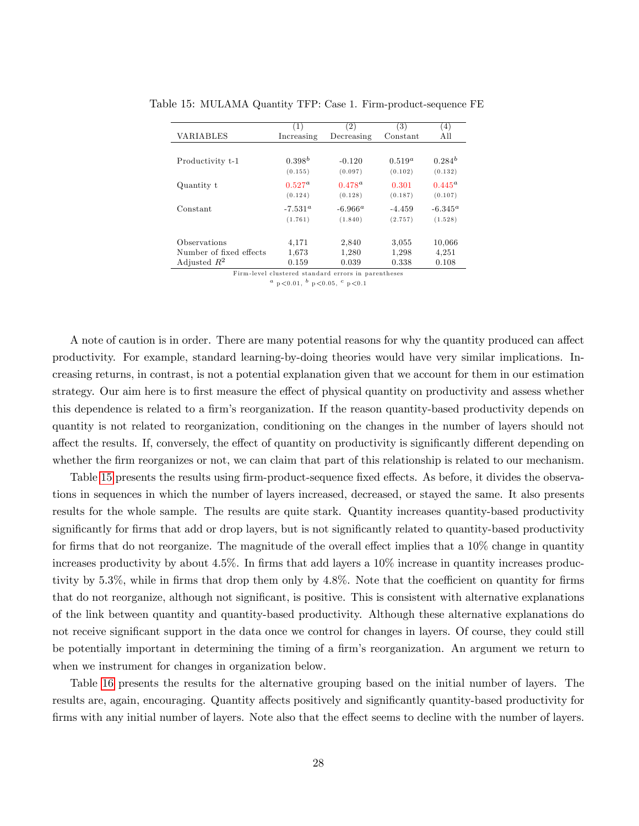|                         | (1)              | $\left( 2\right)$                                   | (3)       | $\left( 4\right)$ |
|-------------------------|------------------|-----------------------------------------------------|-----------|-------------------|
| <b>VARIABLES</b>        | Increasing       | Decreasing                                          | Constant  | All               |
|                         |                  |                                                     |           |                   |
| Productivity t-1        | $0.398^{b}$      | $-0.120$                                            | $0.519^a$ | $0.284^{b}$       |
|                         | (0.155)          | (0.097)                                             | (0.102)   | (0.132)           |
| Quantity t              | $0.527^{\alpha}$ | $0.478^{a}$                                         | 0.301     | $0.445^{\rm a}$   |
|                         | (0.124)          | (0.128)                                             | (0.187)   | (0.107)           |
| Constant                | $-7.531^{\circ}$ | $-6.966^a$                                          | $-4.459$  | $-6.345^{\circ}$  |
|                         | (1.761)          | (1.840)                                             | (2.757)   | (1.528)           |
|                         |                  |                                                     |           |                   |
| Observations            | 4.171            | 2,840                                               | 3,055     | 10,066            |
| Number of fixed effects | 1.673            | 1,280                                               | 1,298     | 4.251             |
| Adjusted $R^2$          | 0.159            | 0.039                                               | 0.338     | 0.108             |
|                         |                  | Firm-level clustered standard errors in parentheses |           |                   |

<span id="page-29-0"></span>Table 15: MULAMA Quantity TFP: Case 1. Firm-product-sequence FE

A note of caution is in order. There are many potential reasons for why the quantity produced can affect productivity. For example, standard learning-by-doing theories would have very similar implications. Increasing returns, in contrast, is not a potential explanation given that we account for them in our estimation strategy. Our aim here is to first measure the effect of physical quantity on productivity and assess whether this dependence is related to a firm's reorganization. If the reason quantity-based productivity depends on quantity is not related to reorganization, conditioning on the changes in the number of layers should not affect the results. If, conversely, the effect of quantity on productivity is significantly different depending on whether the firm reorganizes or not, we can claim that part of this relationship is related to our mechanism.

Table [15](#page-29-0) presents the results using firm-product-sequence fixed effects. As before, it divides the observations in sequences in which the number of layers increased, decreased, or stayed the same. It also presents results for the whole sample. The results are quite stark. Quantity increases quantity-based productivity significantly for firms that add or drop layers, but is not significantly related to quantity-based productivity for firms that do not reorganize. The magnitude of the overall effect implies that a  $10\%$  change in quantity increases productivity by about  $4.5\%$ . In firms that add layers a  $10\%$  increase in quantity increases productivity by  $5.3\%$ , while in firms that drop them only by  $4.8\%$ . Note that the coefficient on quantity for firms that do not reorganize, although not significant, is positive. This is consistent with alternative explanations of the link between quantity and quantity-based productivity. Although these alternative explanations do not receive significant support in the data once we control for changes in layers. Of course, they could still be potentially important in determining the timing of a firm's reorganization. An argument we return to when we instrument for changes in organization below.

Table [16](#page-30-0) presents the results for the alternative grouping based on the initial number of layers. The results are, again, encouraging. Quantity affects positively and significantly quantity-based productivity for firms with any initial number of layers. Note also that the effect seems to decline with the number of layers.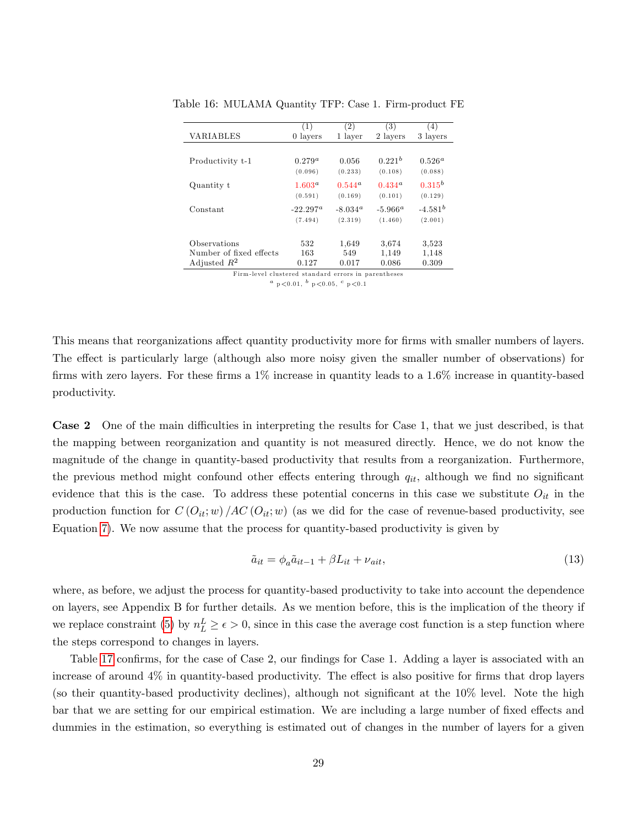|                                                     | (1)             | (2)                   | (3)                | (4)              |
|-----------------------------------------------------|-----------------|-----------------------|--------------------|------------------|
| VARIABLES                                           | 0 layers        | 1 layer               | 2 layers           | 3 layers         |
|                                                     |                 |                       |                    |                  |
| Productivity t-1                                    | $0.279^{\rm a}$ | 0.056                 | 0.221 <sup>b</sup> | $0.526^{\alpha}$ |
|                                                     | (0.096)         | (0.233)               | (0.108)            | (0.088)          |
| Quantity t                                          | $1.603^{a}$     | $0.544^{\rm a}$       | $0.434^{\rm a}$    | $0.315^{b}$      |
|                                                     | (0.591)         | (0.169)               | (0.101)            | (0.129)          |
| Constant                                            | $-22.297^a$     | $-8.034$ <sup>a</sup> | $-5.966^{\alpha}$  | $-4.581b$        |
|                                                     | (7.494)         | (2.319)               | (1.460)            | (2.001)          |
|                                                     |                 |                       |                    |                  |
| Observations                                        | 532             | 1,649                 | 3.674              | 3.523            |
| Number of fixed effects                             | 163             | 549                   | 1,149              | 1,148            |
| Adjusted $R^2$                                      | 0.127           | 0.017                 | 0.086              | 0.309            |
| Firm lovel clustered standard errors in parentheses |                 |                       |                    |                  |

<span id="page-30-0"></span>Table 16: MULAMA Quantity TFP: Case 1. Firm-product FE

Firm-level clustered standard errors in parentheses<br> $\frac{a}{p} p < 0.01$ ,  $\frac{b}{p}$ ,  $p < 0.05$ ,  $\frac{c}{p}$ ,  $p < 0.1$ 

This means that reorganizations affect quantity productivity more for firms with smaller numbers of layers. The effect is particularly large (although also more noisy given the smaller number of observations) for firms with zero layers. For these firms a  $1\%$  increase in quantity leads to a  $1.6\%$  increase in quantity-based productivity.

**Case 2** One of the main difficulties in interpreting the results for Case 1, that we just described, is that the mapping between reorganization and quantity is not measured directly. Hence, we do not know the magnitude of the change in quantity-based productivity that results from a reorganization. Furthermore, the previous method might confound other effects entering through  $q_{it}$ , although we find no significant evidence that this is the case. To address these potential concerns in this case we substitute  $O_{it}$  in the production function for  $C(O_{it}; w) / AC(O_{it}; w)$  (as we did for the case of revenue-based productivity, see Equation [7\)](#page-22-4). We now assume that the process for quantity-based productivity is given by

<span id="page-30-1"></span>
$$
\tilde{a}_{it} = \phi_a \tilde{a}_{it-1} + \beta L_{it} + \nu_{ait},\tag{13}
$$

where, as before, we adjust the process for quantity-based productivity to take into account the dependence on layers, see Appendix B for further details. As we mention before, this is the implication of the theory if we replace constraint [\(5\)](#page-7-3) by  $n_L^L \ge \epsilon > 0$ , since in this case the average cost function is a step function where the steps correspond to changes in layers.

Table [17](#page-31-0) confirms, for the case of Case 2, our findings for Case 1. Adding a layer is associated with an increase of around  $4\%$  in quantity-based productivity. The effect is also positive for firms that drop layers (so their quantity-based productivity declines), although not significant at the 10% level. Note the high bar that we are setting for our empirical estimation. We are including a large number of fixed effects and dummies in the estimation, so everything is estimated out of changes in the number of layers for a given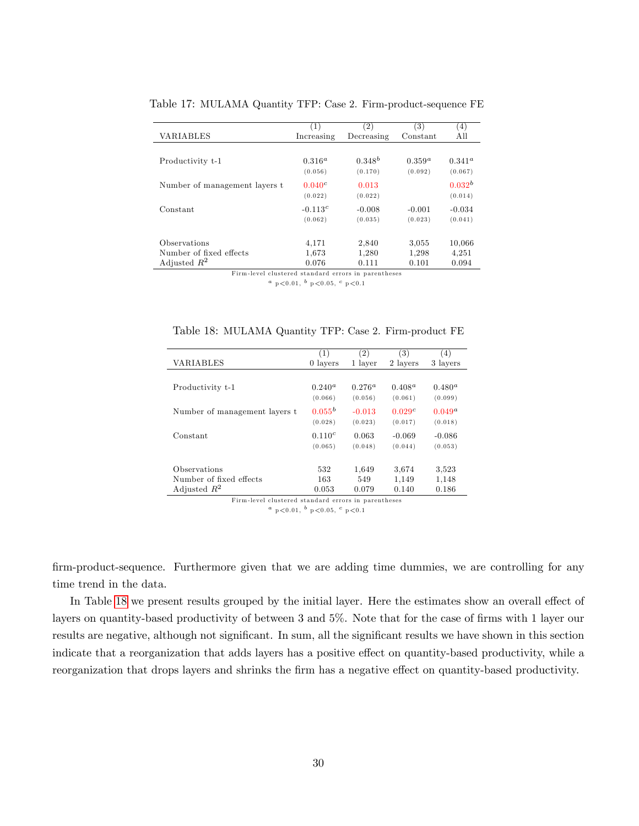|                               | (1)                | $\left( 2\right)$ | $\left( 3\right)$ | (4)         |
|-------------------------------|--------------------|-------------------|-------------------|-------------|
| VARIABLES                     | Increasing         | Decreasing        | Constant          | All         |
|                               |                    |                   |                   |             |
| Productivity t-1              | $0.316^{a}$        | $0.348^{b}$       | $0.359^{\rm a}$   | $0.341^a$   |
|                               | (0.056)            | (0.170)           | (0.092)           | (0.067)     |
|                               |                    |                   |                   |             |
| Number of management layers t | 0.040 <sup>c</sup> | 0.013             |                   | $0.032^{b}$ |
|                               | (0.022)            | (0.022)           |                   | (0.014)     |
| Constant                      | $-0.113c$          | $-0.008$          | $-0.001$          | $-0.034$    |
|                               | (0.062)            | (0.035)           | (0.023)           | (0.041)     |
|                               |                    |                   |                   |             |
| Observations                  | 4.171              | 2,840             | 3,055             | 10,066      |
| Number of fixed effects       | 1,673              | 1,280             | 1,298             | 4.251       |
| Adjusted $R^2$                | 0.076              | 0.111             | 0.101             | 0.094       |

<span id="page-31-0"></span>Table 17: MULAMA Quantity TFP: Case 2. Firm-product-sequence FE

Firm-level clustered standard errors in parentheses  $a$  p < 0.01,  $b$  p < 0.05,  $c$  p < 0.1

| Table 18: MULAMA Quantity TFP: Case 2. Firm-product FE |  |  |  |
|--------------------------------------------------------|--|--|--|
|--------------------------------------------------------|--|--|--|

<span id="page-31-1"></span>

|                               | (1)                | (2)         | $\left( 3\right)$  | (4)         |
|-------------------------------|--------------------|-------------|--------------------|-------------|
| VARIABLES                     | 0 layers           | 1 layer     | 2 layers           | 3 layers    |
|                               |                    |             |                    |             |
| Productivity t-1              | $0.240^a$          | $0.276^{a}$ | $0.408^{a}$        | $0.480^{a}$ |
|                               | (0.066)            | (0.056)     | (0.061)            | (0.099)     |
| Number of management layers t | $0.055^{b}$        | $-0.013$    | 0.029 <sup>c</sup> | $0.049^a$   |
|                               | (0.028)            | (0.023)     | (0.017)            | (0.018)     |
| Constant                      | 0.110 <sup>c</sup> | 0.063       | $-0.069$           | $-0.086$    |
|                               | (0.065)            | (0.048)     | (0.044)            | (0.053)     |
|                               |                    |             |                    |             |
| Observations                  | 532                | 1,649       | 3.674              | 3.523       |
| Number of fixed effects       | 163                | 549         | 1.149              | 1,148       |
| Adjusted $R^2$                | 0.053              | 0.079       | 0.140              | 0.186       |

Firm-level clustered standard errors in parentheses  $a$  p < 0.01,  $b$  p < 0.05,  $c$  p < 0.1

firm-product-sequence. Furthermore given that we are adding time dummies, we are controlling for any time trend in the data.

In Table [18](#page-31-1) we present results grouped by the initial layer. Here the estimates show an overall effect of layers on quantity-based productivity of between 3 and 5%. Note that for the case of firms with 1 layer our results are negative, although not significant. In sum, all the significant results we have shown in this section indicate that a reorganization that adds layers has a positive effect on quantity-based productivity, while a reorganization that drops layers and shrinks the firm has a negative effect on quantity-based productivity.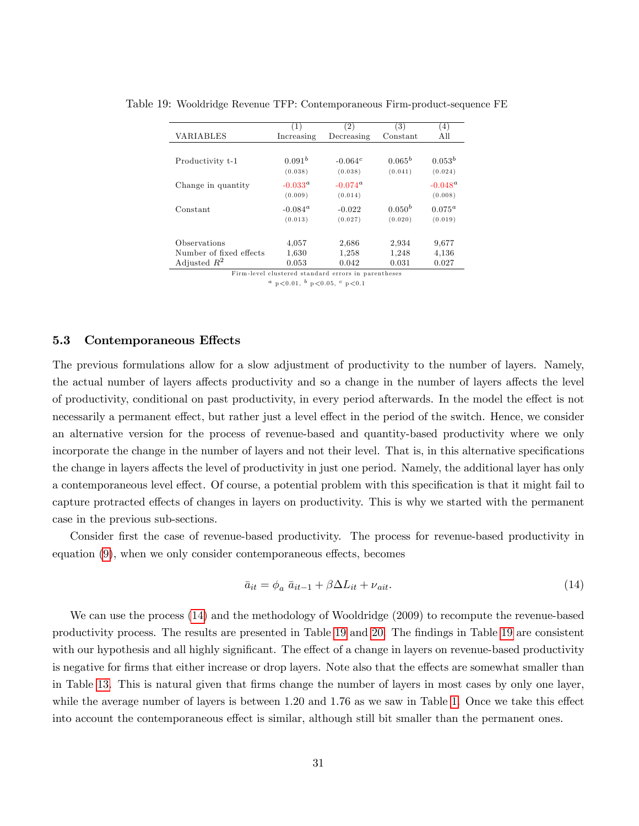|                         | (1)                | (2)                                                 | $\left( 3\right)$ | (4)               |
|-------------------------|--------------------|-----------------------------------------------------|-------------------|-------------------|
| VARIABLES               | Increasing         | Decreasing                                          | Constant          | All               |
|                         |                    |                                                     |                   |                   |
| Productivity t-1        | 0.091 <sup>b</sup> | $-0.064c$                                           | $0.065^b$         | $0.053^{b}$       |
|                         | (0.038)            | (0.038)                                             | (0.041)           | (0.024)           |
| Change in quantity      | $-0.033^{\circ}$   | $-0.074^{\alpha}$                                   |                   | $-0.048^{\alpha}$ |
|                         | (0.009)            | (0.014)                                             |                   | (0.008)           |
| Constant                | $-0.084^{\alpha}$  | $-0.022$                                            | $0.050^{b}$       | $0.075^{\alpha}$  |
|                         | (0.013)            | (0.027)                                             | (0.020)           | (0.019)           |
|                         |                    |                                                     |                   |                   |
| Observations            | 4.057              | 2,686                                               | 2.934             | 9,677             |
| Number of fixed effects | 1,630              | 1.258                                               | 1.248             | 4.136             |
| Adjusted $R^2$          | 0.053              | 0.042                                               | 0.031             | 0.027             |
|                         |                    | Firm-level clustered standard errors in parentheses |                   |                   |

<span id="page-32-1"></span>Table 19: Wooldridge Revenue TFP: Contemporaneous Firm-product-sequence FE

#### 5.3 Contemporaneous Effects

The previous formulations allow for a slow adjustment of productivity to the number of layers. Namely, the actual number of layers affects productivity and so a change in the number of layers affects the level of productivity, conditional on past productivity, in every period afterwards. In the model the effect is not necessarily a permanent effect, but rather just a level effect in the period of the switch. Hence, we consider an alternative version for the process of revenue-based and quantity-based productivity where we only incorporate the change in the number of layers and not their level. That is, in this alternative specifications the change in layers affects the level of productivity in just one period. Namely, the additional layer has only a contemporaneous level effect. Of course, a potential problem with this specification is that it might fail to capture protracted effects of changes in layers on productivity. This is why we started with the permanent case in the previous sub-sections.

Consider first the case of revenue-based productivity. The process for revenue-based productivity in equation  $(9)$ , when we only consider contemporaneous effects, becomes

<span id="page-32-0"></span>
$$
\bar{a}_{it} = \phi_a \ \bar{a}_{it-1} + \beta \Delta L_{it} + \nu_{ait}.\tag{14}
$$

We can use the process [\(14\)](#page-32-0) and the methodology of Wooldridge (2009) to recompute the revenue-based productivity process. The results are presented in Table [19](#page-32-1) and [20.](#page-33-0) The Öndings in Table [19](#page-32-1) are consistent with our hypothesis and all highly significant. The effect of a change in layers on revenue-based productivity is negative for firms that either increase or drop layers. Note also that the effects are somewhat smaller than in Table [13.](#page-25-0) This is natural given that Örms change the number of layers in most cases by only one layer, while the average number of layers is between  $1.20$  and  $1.76$  as we saw in Table [1.](#page-14-1) Once we take this effect into account the contemporaneous effect is similar, although still bit smaller than the permanent ones.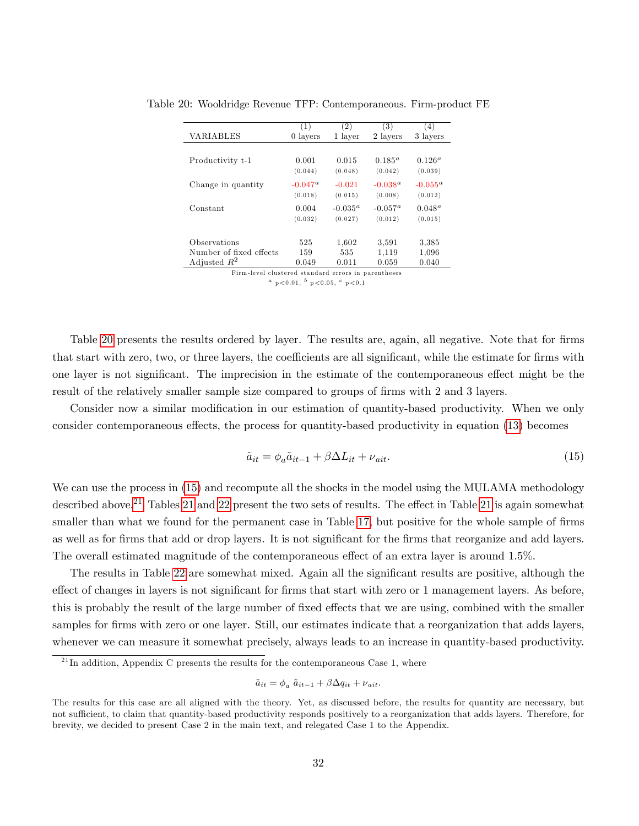|                                                     | (1)               | (2)               | (3)          | (4)               |
|-----------------------------------------------------|-------------------|-------------------|--------------|-------------------|
| VARIABLES                                           | 0 layers          | 1 layer           | 2 layers     | 3 layers          |
|                                                     |                   |                   |              |                   |
| Productivity t-1                                    | 0.001             | 0.015             | $0.185^{a}$  | $0.126^{a}$       |
|                                                     | (0.044)           | (0.048)           | (0.042)      | (0.039)           |
| Change in quantity                                  | $-0.047^{\alpha}$ | $-0.021$          | $-0.038^{a}$ | $-0.055^{\alpha}$ |
|                                                     | (0.018)           | (0.015)           | (0.008)      | (0.012)           |
| Constant                                            | 0.004             | $-0.035^{\alpha}$ | $-0.057^a$   | $0.048^{\rm a}$   |
|                                                     | (0.032)           | (0.027)           | (0.012)      | (0.015)           |
|                                                     |                   |                   |              |                   |
| Observations                                        | 525               | 1,602             | 3.591        | 3,385             |
| Number of fixed effects                             | 159               | 535               | 1,119        | 1,096             |
| Adjusted $R^2$                                      | 0.049             | 0.011             | 0.059        | 0.040             |
| Firm-level clustered standard errors in parentheses |                   |                   |              |                   |

<span id="page-33-0"></span>Table 20: Wooldridge Revenue TFP: Contemporaneous. Firm-product FE

Table [20](#page-33-0) presents the results ordered by layer. The results are, again, all negative. Note that for firms that start with zero, two, or three layers, the coefficients are all significant, while the estimate for firms with one layer is not significant. The imprecision in the estimate of the contemporaneous effect might be the result of the relatively smaller sample size compared to groups of firms with 2 and 3 layers.

Consider now a similar modification in our estimation of quantity-based productivity. When we only consider contemporaneous effects, the process for quantity-based productivity in equation [\(13\)](#page-30-1) becomes

<span id="page-33-1"></span>
$$
\tilde{a}_{it} = \phi_a \tilde{a}_{it-1} + \beta \Delta L_{it} + \nu_{ait}.
$$
\n(15)

We can use the process in  $(15)$  and recompute all the shocks in the model using the MULAMA methodology described above.<sup>[21](#page-33-2)</sup> Tables [21](#page-34-0) and [22](#page-34-1) present the two sets of results. The effect in Table 21 is again somewhat smaller than what we found for the permanent case in Table [17,](#page-31-0) but positive for the whole sample of firms as well as for firms that add or drop layers. It is not significant for the firms that reorganize and add layers. The overall estimated magnitude of the contemporaneous effect of an extra layer is around 1.5%.

The results in Table [22](#page-34-1) are somewhat mixed. Again all the significant results are positive, although the effect of changes in layers is not significant for firms that start with zero or 1 management layers. As before, this is probably the result of the large number of fixed effects that we are using, combined with the smaller samples for firms with zero or one layer. Still, our estimates indicate that a reorganization that adds layers, whenever we can measure it somewhat precisely, always leads to an increase in quantity-based productivity.

$$
\tilde{a}_{it} = \phi_a \; \tilde{a}_{it-1} + \beta \Delta q_{it} + \nu_{ait}.
$$

<span id="page-33-2"></span> $^{21}$ In addition, Appendix C presents the results for the contemporaneous Case 1, where

The results for this case are all aligned with the theory. Yet, as discussed before, the results for quantity are necessary, but not sufficient, to claim that quantity-based productivity responds positively to a reorganization that adds layers. Therefore, for brevity, we decided to present Case 2 in the main text, and relegated Case 1 to the Appendix.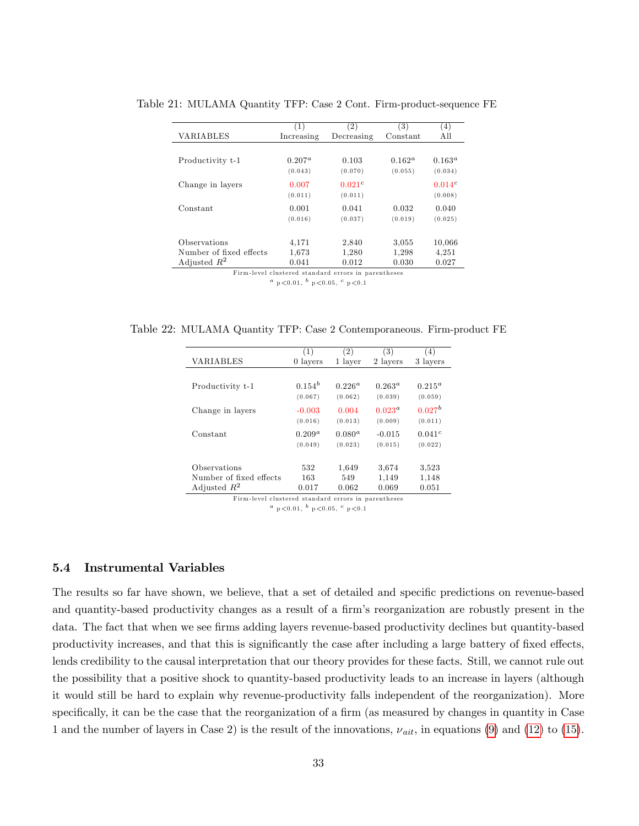|                         | (1)             | (2)                                                 | (3)       | (4)                |
|-------------------------|-----------------|-----------------------------------------------------|-----------|--------------------|
| VARIABLES               | Increasing      | Decreasing                                          | Constant  | Аll                |
|                         |                 |                                                     |           |                    |
| Productivity t-1        | $0.207^{\rm a}$ | 0.103                                               | $0.162^a$ | $0.163^{\rm a}$    |
|                         | (0.043)         | (0.070)                                             | (0.055)   | (0.034)            |
| Change in layers        | 0.007           | 0.021 <sup>c</sup>                                  |           | 0.014 <sup>c</sup> |
|                         | (0.011)         | (0.011)                                             |           | (0.008)            |
| Constant                | 0.001           | 0.041                                               | 0.032     | 0.040              |
|                         | (0.016)         | (0.037)                                             | (0.019)   | (0.025)            |
| Observations            | 4,171           | 2,840                                               | 3,055     | 10,066             |
| Number of fixed effects | 1,673           | 1,280                                               | 1,298     | 4.251              |
| Adjusted $R^2$          | 0.041           | 0.012                                               | 0.030     | 0.027              |
|                         |                 | Firm-level clustered standard errors in parentheses |           |                    |

<span id="page-34-0"></span>Table 21: MULAMA Quantity TFP: Case 2 Cont. Firm-product-sequence FE

<span id="page-34-1"></span>Table 22: MULAMA Quantity TFP: Case 2 Contemporaneous. Firm-product FE

|                         | (1)         | (2)             | (3)             | (4)                |
|-------------------------|-------------|-----------------|-----------------|--------------------|
| VARIABLES               | 0 layers    | 1 layer         | 2 layers        | 3 layers           |
|                         |             |                 |                 |                    |
| Productivity t-1        | $0.154^{b}$ | $0.226^{\rm a}$ | $0.263^{\rm a}$ | $0.215^a$          |
|                         | (0.067)     | (0.062)         | (0.039)         | (0.059)            |
| Change in layers        | $-0.003$    | 0.004           | $0.023^{a}$     | 0.027 <sup>b</sup> |
|                         | (0.016)     | (0.013)         | (0.009)         | (0.011)            |
| Constant                | $0.209^a$   | $0.080^{a}$     | $-0.015$        | 0.041c             |
|                         | (0.049)     | (0.023)         | (0.015)         | (0.022)            |
|                         |             |                 |                 |                    |
| Observations            | 532         | 1,649           | 3.674           | 3,523              |
| Number of fixed effects | 163         | 549             | 1.149           | 1,148              |
| Adjusted $R^2$          | 0.017       | 0.062           | 0.069           | 0.051              |

Firm-level clustered standard errors in parentheses  $a$  p < 0.01,  $b$  p < 0.05,  $c$  p < 0.1

### 5.4 Instrumental Variables

The results so far have shown, we believe, that a set of detailed and specific predictions on revenue-based and quantity-based productivity changes as a result of a firm's reorganization are robustly present in the data. The fact that when we see firms adding layers revenue-based productivity declines but quantity-based productivity increases, and that this is significantly the case after including a large battery of fixed effects, lends credibility to the causal interpretation that our theory provides for these facts. Still, we cannot rule out the possibility that a positive shock to quantity-based productivity leads to an increase in layers (although it would still be hard to explain why revenue-productivity falls independent of the reorganization). More specifically, it can be the case that the reorganization of a firm (as measured by changes in quantity in Case 1 and the number of layers in Case 2) is the result of the innovations,  $\nu_{ait}$ , in equations [\(9\)](#page-22-1) and [\(12\)](#page-28-1) to [\(15\)](#page-33-1).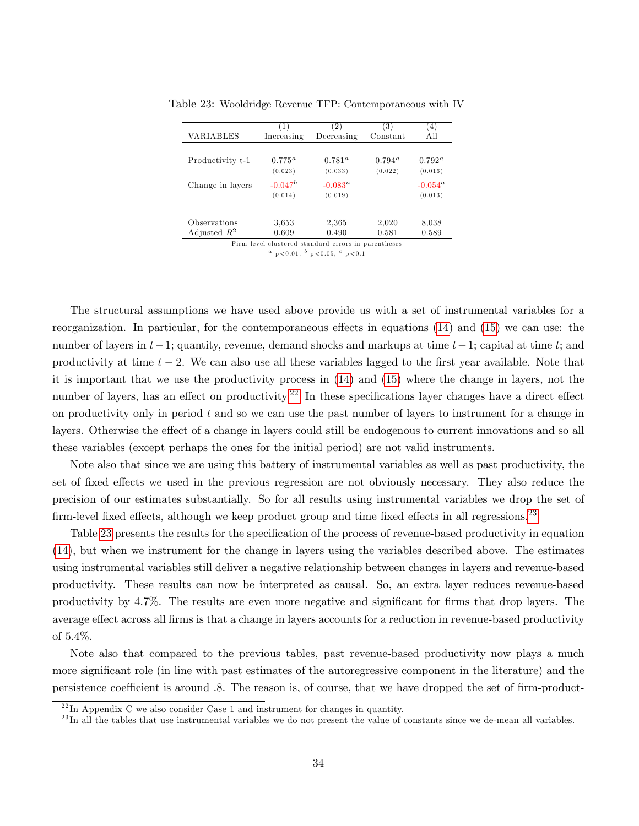|                  | (1)         | (2)                                                 | (3)             | (4)               |
|------------------|-------------|-----------------------------------------------------|-----------------|-------------------|
| VARIABLES        | Increasing  | Decreasing                                          | Constant        | Аll               |
|                  |             |                                                     |                 |                   |
| Productivity t-1 | $0.775^{a}$ | $0.781^{a}$                                         | $0.794^{\rm a}$ | $0.792^{\alpha}$  |
|                  | (0.023)     | (0.033)                                             | (0.022)         | (0.016)           |
| Change in layers | $-0.047^b$  | $-0.083^{\rm a}$                                    |                 | $-0.054^{\alpha}$ |
|                  | (0.014)     | (0.019)                                             |                 | (0.013)           |
|                  |             |                                                     |                 |                   |
| Observations     | 3.653       | 2,365                                               | 2,020           | 8,038             |
| Adjusted $R^2$   | 0.609       | 0.490                                               | 0.581           | 0.589             |
|                  |             | Firm-level clustered standard errors in parentheses |                 |                   |

<span id="page-35-2"></span>Table 23: Wooldridge Revenue TFP: Contemporaneous with IV

The structural assumptions we have used above provide us with a set of instrumental variables for a reorganization. In particular, for the contemporaneous effects in equations  $(14)$  and  $(15)$  we can use: the number of layers in  $t-1$ ; quantity, revenue, demand shocks and markups at time  $t-1$ ; capital at time t; and productivity at time  $t - 2$ . We can also use all these variables lagged to the first year available. Note that it is important that we use the productivity process in [\(14\)](#page-32-0) and [\(15\)](#page-33-1) where the change in layers, not the number of layers, has an effect on productivity.<sup>[22](#page-35-0)</sup> In these specifications layer changes have a direct effect on productivity only in period  $t$  and so we can use the past number of layers to instrument for a change in layers. Otherwise the effect of a change in layers could still be endogenous to current innovations and so all these variables (except perhaps the ones for the initial period) are not valid instruments.

Note also that since we are using this battery of instrumental variables as well as past productivity, the set of fixed effects we used in the previous regression are not obviously necessary. They also reduce the precision of our estimates substantially. So for all results using instrumental variables we drop the set of firm-level fixed effects, although we keep product group and time fixed effects in all regressions.<sup>[23](#page-35-1)</sup>

Table [23](#page-35-2) presents the results for the specification of the process of revenue-based productivity in equation [\(14\)](#page-32-0), but when we instrument for the change in layers using the variables described above. The estimates using instrumental variables still deliver a negative relationship between changes in layers and revenue-based productivity. These results can now be interpreted as causal. So, an extra layer reduces revenue-based productivity by 4.7%. The results are even more negative and significant for firms that drop layers. The average effect across all firms is that a change in layers accounts for a reduction in revenue-based productivity of 5.4%.

Note also that compared to the previous tables, past revenue-based productivity now plays a much more significant role (in line with past estimates of the autoregressive component in the literature) and the persistence coefficient is around .8. The reason is, of course, that we have dropped the set of firm-product-

<span id="page-35-0"></span> $^{22}$ In Appendix C we also consider Case 1 and instrument for changes in quantity.

<span id="page-35-1"></span> $^{23}$ In all the tables that use instrumental variables we do not present the value of constants since we de-mean all variables.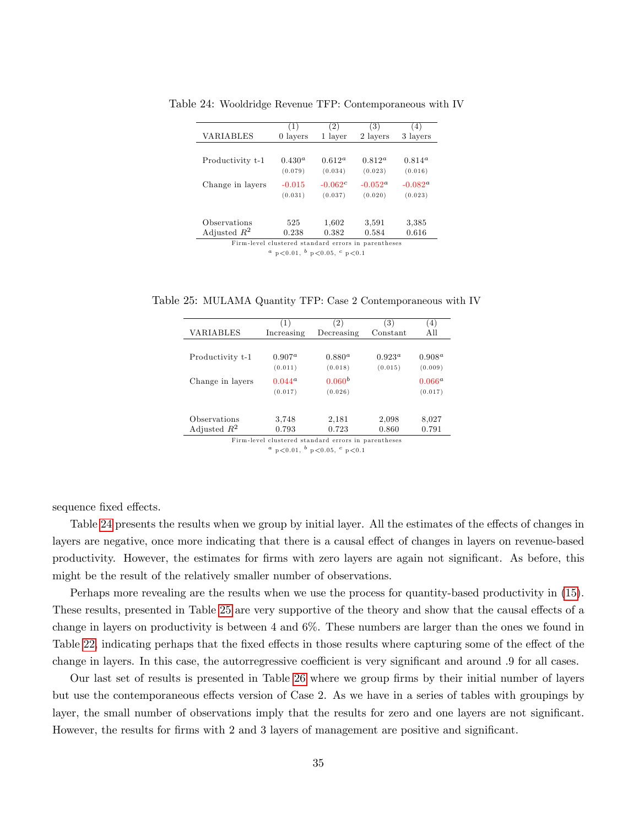|                  | (1)                                                 | (2)       | (3)               | (4)               |
|------------------|-----------------------------------------------------|-----------|-------------------|-------------------|
| VARIABLES        | 0 layers                                            | 1 layer   | 2 layers          | 3 layers          |
|                  |                                                     |           |                   |                   |
| Productivity t-1 | $0.430^{a}$                                         | $0.612^a$ | $0.812^a$         | $0.814^{a}$       |
|                  | (0.079)                                             | (0.034)   | (0.023)           | (0.016)           |
| Change in layers | $-0.015$                                            | $-0.062c$ | $-0.052^{\alpha}$ | $-0.082^{\alpha}$ |
|                  | (0.031)                                             | (0.037)   | (0.020)           | (0.023)           |
|                  |                                                     |           |                   |                   |
| Observations     | 525                                                 | 1,602     | 3,591             | 3,385             |
| Adjusted $R^2$   | 0.238                                               | 0.382     | 0.584             | 0.616             |
|                  | Firm-level clustered standard errors in parentheses |           |                   |                   |

<span id="page-36-0"></span>Table 24: Wooldridge Revenue TFP: Contemporaneous with IV

Firm-level clustered standard errors in parentheses<br> $a_p < 0.01$ ,  $b_p < 0.05$ ,  $c_p < 0.1$ 

<span id="page-36-1"></span>Table 25: MULAMA Quantity TFP: Case 2 Contemporaneous with IV

|                  | (1)              | (2)                                                 | (3)       | $\left(4\right)$ |
|------------------|------------------|-----------------------------------------------------|-----------|------------------|
| VARIABLES        | Increasing       | Decreasing                                          | Constant  | A <sub>11</sub>  |
|                  |                  |                                                     |           |                  |
| Productivity t-1 | $0.907^{\rm a}$  | $0.880^{a}$                                         | $0.923^a$ | $0.908^{\rm a}$  |
|                  | (0.011)          | (0.018)                                             | (0.015)   | (0.009)          |
| Change in layers | $0.044^{\alpha}$ | $0.060^{b}$                                         |           | $0.066^{\alpha}$ |
|                  | (0.017)          | (0.026)                                             |           | (0.017)          |
|                  |                  |                                                     |           |                  |
| Observations     | 3.748            | 2,181                                               | 2,098     | 8.027            |
| Adjusted $R^2$   | 0.793            | 0.723                                               | 0.860     | 0.791            |
|                  |                  | Firm-level clustered standard errors in parentheses |           |                  |

 $a$  p < 0.01,  $b$  p < 0.05,  $c$  p < 0.1

sequence fixed effects.

Table [24](#page-36-0) presents the results when we group by initial layer. All the estimates of the effects of changes in layers are negative, once more indicating that there is a causal effect of changes in layers on revenue-based productivity. However, the estimates for firms with zero layers are again not significant. As before, this might be the result of the relatively smaller number of observations.

Perhaps more revealing are the results when we use the process for quantity-based productivity in [\(15\)](#page-33-1). These results, presented in Table [25](#page-36-1) are very supportive of the theory and show that the causal effects of a change in layers on productivity is between 4 and 6%. These numbers are larger than the ones we found in Table [22,](#page-34-1) indicating perhaps that the fixed effects in those results where capturing some of the effect of the change in layers. In this case, the autorregressive coefficient is very significant and around .9 for all cases.

Our last set of results is presented in Table [26](#page-37-0) where we group firms by their initial number of layers but use the contemporaneous effects version of Case 2. As we have in a series of tables with groupings by layer, the small number of observations imply that the results for zero and one layers are not significant. However, the results for firms with 2 and 3 layers of management are positive and significant.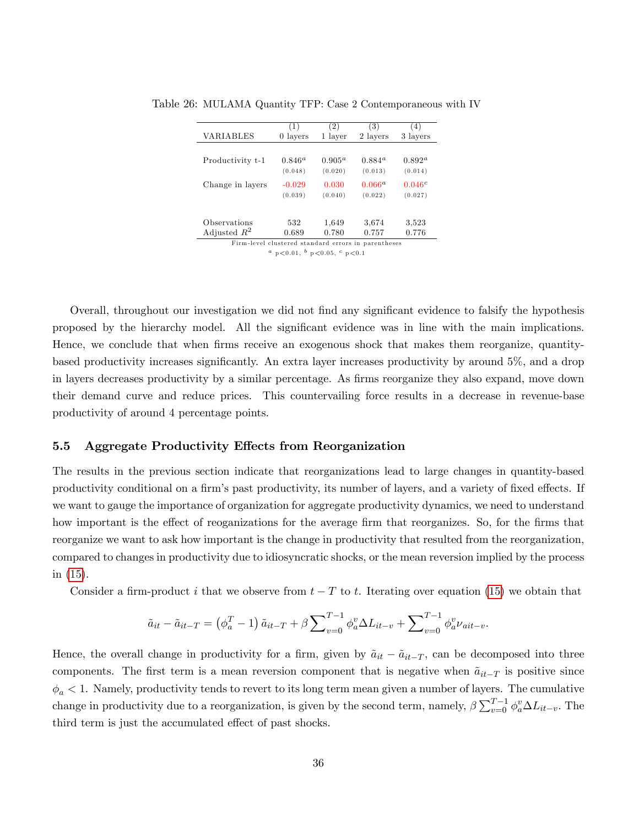| (3)             | (4)                                                 |
|-----------------|-----------------------------------------------------|
| 2 layers        | 3 layers                                            |
|                 |                                                     |
| $0.884^{\rm a}$ | $0.892^{\alpha}$                                    |
| (0.013)         | (0.014)                                             |
| $0.066^{a}$     | 0.046c                                              |
| (0.022)         | (0.027)                                             |
|                 |                                                     |
| 3.674           | 3.523                                               |
| 0.757           | 0.776                                               |
| 1,649<br>0.780  | Firm-level clustered standard errors in parentheses |
|                 |                                                     |

<span id="page-37-0"></span>Table 26: MULAMA Quantity TFP: Case 2 Contemporaneous with IV

Overall, throughout our investigation we did not find any significant evidence to falsify the hypothesis proposed by the hierarchy model. All the significant evidence was in line with the main implications. Hence, we conclude that when firms receive an exogenous shock that makes them reorganize, quantitybased productivity increases significantly. An extra layer increases productivity by around 5%, and a drop in layers decreases productivity by a similar percentage. As firms reorganize they also expand, move down their demand curve and reduce prices. This countervailing force results in a decrease in revenue-base productivity of around 4 percentage points.

#### 5.5 Aggregate Productivity Effects from Reorganization

The results in the previous section indicate that reorganizations lead to large changes in quantity-based productivity conditional on a firm's past productivity, its number of layers, and a variety of fixed effects. If we want to gauge the importance of organization for aggregate productivity dynamics, we need to understand how important is the effect of reoganizations for the average firm that reorganizes. So, for the firms that reorganize we want to ask how important is the change in productivity that resulted from the reorganization, compared to changes in productivity due to idiosyncratic shocks, or the mean reversion implied by the process in [\(15\)](#page-33-1).

Consider a firm-product i that we observe from  $t - T$  to t. Iterating over equation [\(15\)](#page-33-1) we obtain that

$$
\tilde{a}_{it} - \tilde{a}_{it-T} = \left(\phi_a^T - 1\right)\tilde{a}_{it-T} + \beta \sum_{v=0}^{T-1} \phi_a^v \Delta L_{it-v} + \sum_{v=0}^{T-1} \phi_a^v \nu_{ait-v}.
$$

Hence, the overall change in productivity for a firm, given by  $\tilde{a}_{it} - \tilde{a}_{it-T}$ , can be decomposed into three components. The first term is a mean reversion component that is negative when  $\tilde{a}_{it-T}$  is positive since  $\phi_a < 1$ . Namely, productivity tends to revert to its long term mean given a number of layers. The cumulative change in productivity due to a reorganization, is given by the second term, namely,  $\beta \sum_{v=0}^{T-1} \phi_a^v \Delta L_{it-v}$ . The third term is just the accumulated effect of past shocks.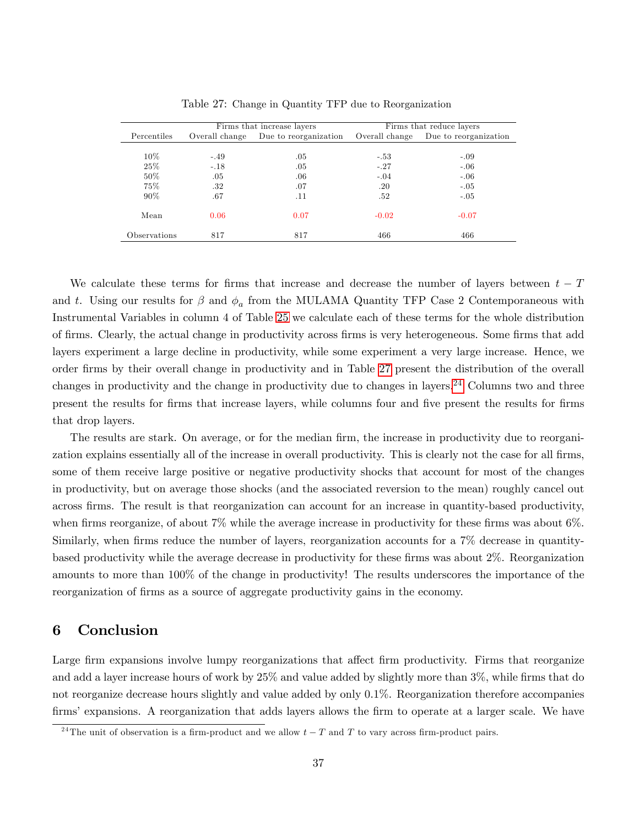<span id="page-38-0"></span>

| Firms that increase layers |                | Firms that reduce layers |                |                       |
|----------------------------|----------------|--------------------------|----------------|-----------------------|
| Percentiles                | Overall change | Due to reorganization    | Overall change | Due to reorganization |
|                            |                |                          |                |                       |
| 10%                        | $-.49$         | .05                      | $-.53$         | $-.09$                |
| 25%                        | $-.18$         | .05                      | $-.27$         | $-.06$                |
| $50\%$                     | .05            | .06                      | $-.04$         | $-0.06$               |
| 75%                        | .32            | .07                      | .20            | $-.05$                |
| $90\%$                     | .67            | .11                      | .52            | $-.05$                |
|                            |                |                          |                |                       |
| Mean                       | 0.06           | 0.07                     | $-0.02$        | $-0.07$               |
|                            |                |                          |                |                       |
| Observations               | 817            | 817                      | 466            | 466                   |

Table 27: Change in Quantity TFP due to Reorganization

We calculate these terms for firms that increase and decrease the number of layers between  $t - T$ and t. Using our results for  $\beta$  and  $\phi_a$  from the MULAMA Quantity TFP Case 2 Contemporaneous with Instrumental Variables in column 4 of Table [25](#page-36-1) we calculate each of these terms for the whole distribution of firms. Clearly, the actual change in productivity across firms is very heterogeneous. Some firms that add layers experiment a large decline in productivity, while some experiment a very large increase. Hence, we order Örms by their overall change in productivity and in Table [27](#page-38-0) present the distribution of the overall changes in productivity and the change in productivity due to changes in layers.<sup>[24](#page-38-1)</sup> Columns two and three present the results for Örms that increase layers, while columns four and Öve present the results for Örms that drop layers.

The results are stark. On average, or for the median firm, the increase in productivity due to reorganization explains essentially all of the increase in overall productivity. This is clearly not the case for all firms, some of them receive large positive or negative productivity shocks that account for most of the changes in productivity, but on average those shocks (and the associated reversion to the mean) roughly cancel out across Örms. The result is that reorganization can account for an increase in quantity-based productivity, when firms reorganize, of about  $7\%$  while the average increase in productivity for these firms was about  $6\%$ . Similarly, when firms reduce the number of layers, reorganization accounts for a 7% decrease in quantitybased productivity while the average decrease in productivity for these firms was about 2%. Reorganization amounts to more than 100% of the change in productivity! The results underscores the importance of the reorganization of Örms as a source of aggregate productivity gains in the economy.

# 6 Conclusion

Large firm expansions involve lumpy reorganizations that affect firm productivity. Firms that reorganize and add a layer increase hours of work by  $25\%$  and value added by slightly more than  $3\%$ , while firms that do not reorganize decrease hours slightly and value added by only 0.1%. Reorganization therefore accompanies firms' expansions. A reorganization that adds layers allows the firm to operate at a larger scale. We have

<span id="page-38-1"></span><sup>&</sup>lt;sup>24</sup>The unit of observation is a firm-product and we allow  $t - T$  and T to vary across firm-product pairs.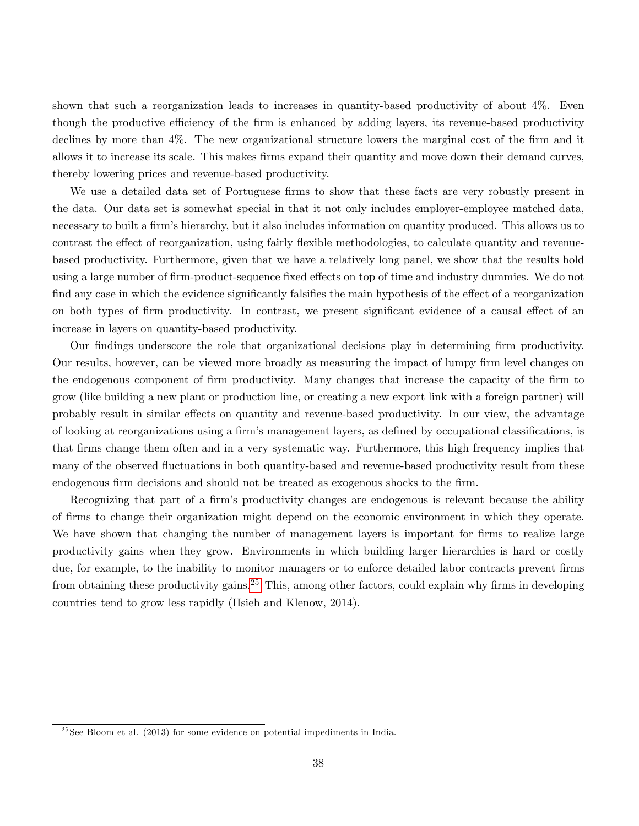shown that such a reorganization leads to increases in quantity-based productivity of about 4%. Even though the productive efficiency of the firm is enhanced by adding layers, its revenue-based productivity declines by more than  $4\%$ . The new organizational structure lowers the marginal cost of the firm and it allows it to increase its scale. This makes firms expand their quantity and move down their demand curves, thereby lowering prices and revenue-based productivity.

We use a detailed data set of Portuguese firms to show that these facts are very robustly present in the data. Our data set is somewhat special in that it not only includes employer-employee matched data, necessary to built a firm's hierarchy, but it also includes information on quantity produced. This allows us to contrast the effect of reorganization, using fairly flexible methodologies, to calculate quantity and revenuebased productivity. Furthermore, given that we have a relatively long panel, we show that the results hold using a large number of firm-product-sequence fixed effects on top of time and industry dummies. We do not find any case in which the evidence significantly falsifies the main hypothesis of the effect of a reorganization on both types of firm productivity. In contrast, we present significant evidence of a causal effect of an increase in layers on quantity-based productivity.

Our findings underscore the role that organizational decisions play in determining firm productivity. Our results, however, can be viewed more broadly as measuring the impact of lumpy firm level changes on the endogenous component of firm productivity. Many changes that increase the capacity of the firm to grow (like building a new plant or production line, or creating a new export link with a foreign partner) will probably result in similar effects on quantity and revenue-based productivity. In our view, the advantage of looking at reorganizations using a firm's management layers, as defined by occupational classifications, is that Örms change them often and in a very systematic way. Furthermore, this high frequency implies that many of the observed fluctuations in both quantity-based and revenue-based productivity result from these endogenous firm decisions and should not be treated as exogenous shocks to the firm.

Recognizing that part of a firm's productivity changes are endogenous is relevant because the ability of Örms to change their organization might depend on the economic environment in which they operate. We have shown that changing the number of management layers is important for firms to realize large productivity gains when they grow. Environments in which building larger hierarchies is hard or costly due, for example, to the inability to monitor managers or to enforce detailed labor contracts prevent firms from obtaining these productivity gains.<sup>[25](#page-39-0)</sup> This, among other factors, could explain why firms in developing countries tend to grow less rapidly (Hsieh and Klenow, 2014).

<span id="page-39-0"></span> $25$ See Bloom et al. (2013) for some evidence on potential impediments in India.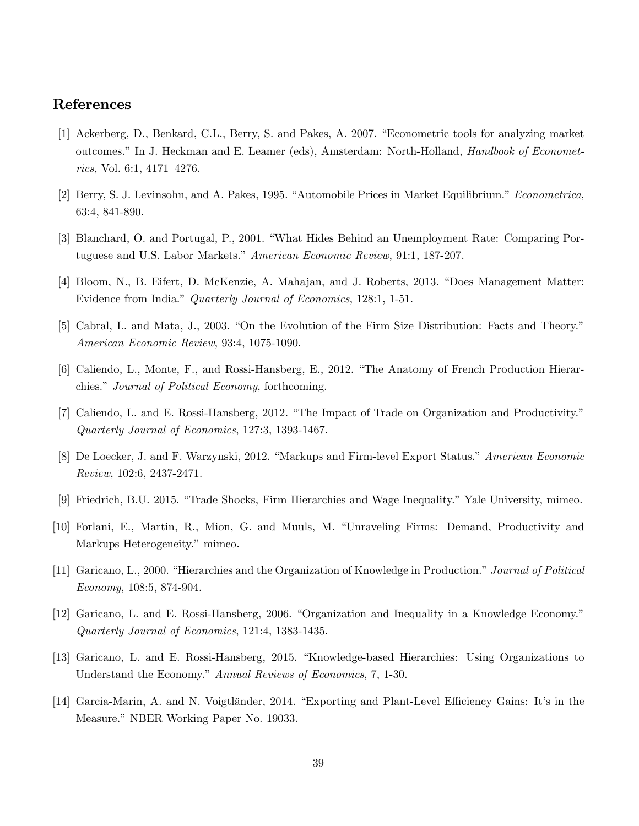# References

- [1] Ackerberg, D., Benkard, C.L., Berry, S. and Pakes, A. 2007. "Econometric tools for analyzing market outcomes.î In J. Heckman and E. Leamer (eds), Amsterdam: North-Holland, Handbook of Economet $rics, Vol. 6:1, 4171–4276.$
- [2] Berry, S. J. Levinsohn, and A. Pakes, 1995. "Automobile Prices in Market Equilibrium." Econometrica, 63:4, 841-890.
- [3] Blanchard, O. and Portugal, P., 2001. "What Hides Behind an Unemployment Rate: Comparing Portuguese and U.S. Labor Markets." American Economic Review, 91:1, 187-207.
- [4] Bloom, N., B. Eifert, D. McKenzie, A. Mahajan, and J. Roberts, 2013. "Does Management Matter: Evidence from India." Quarterly Journal of Economics, 128:1, 1-51.
- [5] Cabral, L. and Mata, J., 2003. "On the Evolution of the Firm Size Distribution: Facts and Theory." American Economic Review, 93:4, 1075-1090.
- [6] Caliendo, L., Monte, F., and Rossi-Hansberg, E., 2012. "The Anatomy of French Production Hierarchies." Journal of Political Economy, forthcoming.
- [7] Caliendo, L. and E. Rossi-Hansberg, 2012. "The Impact of Trade on Organization and Productivity." Quarterly Journal of Economics, 127:3, 1393-1467.
- [8] De Loecker, J. and F. Warzynski, 2012. "Markups and Firm-level Export Status." American Economic Review, 102:6, 2437-2471.
- [9] Friedrich, B.U. 2015. "Trade Shocks, Firm Hierarchies and Wage Inequality." Yale University, mimeo.
- [10] Forlani, E., Martin, R., Mion, G. and Muuls, M. "Unraveling Firms: Demand, Productivity and Markups Heterogeneity." mimeo.
- [11] Garicano, L., 2000. "Hierarchies and the Organization of Knowledge in Production." Journal of Political Economy, 108:5, 874-904.
- [12] Garicano, L. and E. Rossi-Hansberg, 2006. "Organization and Inequality in a Knowledge Economy." Quarterly Journal of Economics, 121:4, 1383-1435.
- [13] Garicano, L. and E. Rossi-Hansberg, 2015. "Knowledge-based Hierarchies: Using Organizations to Understand the Economy." Annual Reviews of Economics, 7, 1-30.
- [14] Garcia-Marin, A. and N. Voigtländer, 2014. "Exporting and Plant-Level Efficiency Gains: It's in the Measure." NBER Working Paper No. 19033.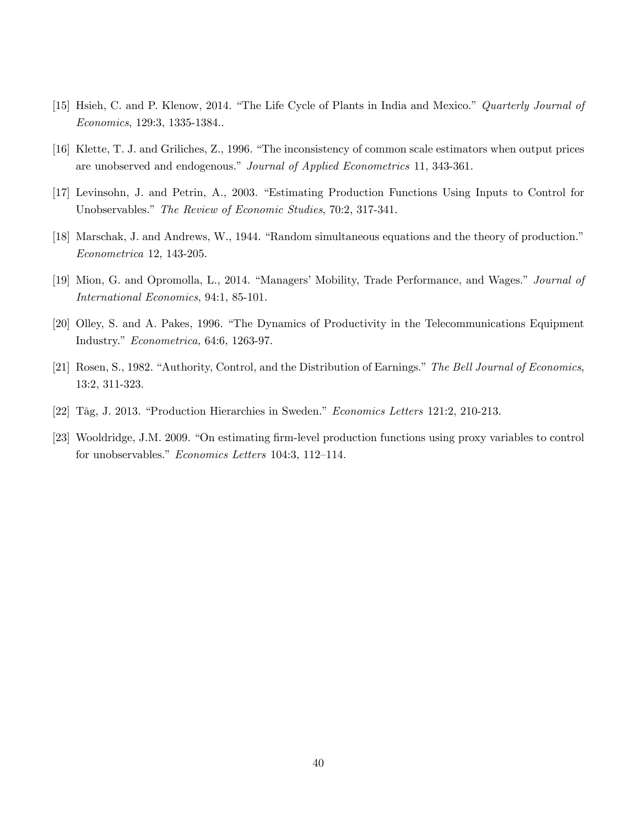- [15] Hsieh, C. and P. Klenow, 2014. "The Life Cycle of Plants in India and Mexico." Quarterly Journal of Economics, 129:3, 1335-1384..
- [16] Klette, T. J. and Griliches, Z., 1996. "The inconsistency of common scale estimators when output prices are unobserved and endogenous." Journal of Applied Econometrics 11, 343-361.
- [17] Levinsohn, J. and Petrin, A., 2003. "Estimating Production Functions Using Inputs to Control for Unobservables." The Review of Economic Studies, 70:2, 317-341.
- [18] Marschak, J. and Andrews, W., 1944. "Random simultaneous equations and the theory of production." Econometrica 12, 143-205.
- [19] Mion, G. and Opromolla, L., 2014. "Managers' Mobility, Trade Performance, and Wages." Journal of International Economics, 94:1, 85-101.
- [20] Olley, S. and A. Pakes, 1996. "The Dynamics of Productivity in the Telecommunications Equipment Industry." *Econometrica*, 64:6, 1263-97.
- [21] Rosen, S., 1982. "Authority, Control, and the Distribution of Earnings." The Bell Journal of Economics, 13:2, 311-323.
- $[22]$  Tåg, J. 2013. "Production Hierarchies in Sweden." Economics Letters 121:2, 210-213.
- [23] Wooldridge, J.M. 2009. "On estimating firm-level production functions using proxy variables to control for unobservables."  $Economics$  Letters 104:3, 112-114.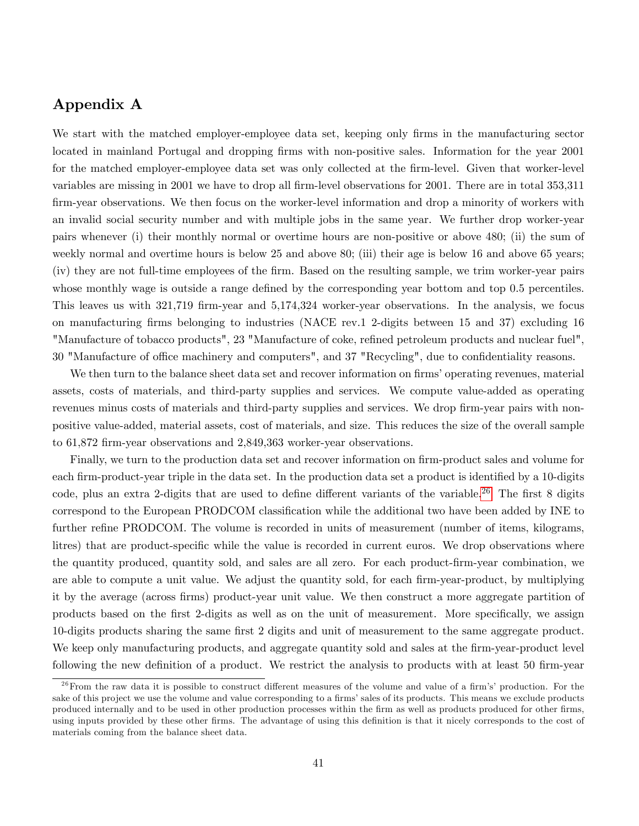# Appendix A

We start with the matched employer-employee data set, keeping only firms in the manufacturing sector located in mainland Portugal and dropping firms with non-positive sales. Information for the year 2001 for the matched employer-employee data set was only collected at the firm-level. Given that worker-level variables are missing in 2001 we have to drop all firm-level observations for 2001. There are in total 353,311 firm-year observations. We then focus on the worker-level information and drop a minority of workers with an invalid social security number and with multiple jobs in the same year. We further drop worker-year pairs whenever (i) their monthly normal or overtime hours are non-positive or above 480; (ii) the sum of weekly normal and overtime hours is below 25 and above 80; (iii) their age is below 16 and above 65 years; (iv) they are not full-time employees of the Örm. Based on the resulting sample, we trim worker-year pairs whose monthly wage is outside a range defined by the corresponding year bottom and top 0.5 percentiles. This leaves us with 321,719 firm-year and 5,174,324 worker-year observations. In the analysis, we focus on manufacturing firms belonging to industries (NACE rev.1 2-digits between 15 and 37) excluding 16 "Manufacture of tobacco products", 23 "Manufacture of coke, refined petroleum products and nuclear fuel", 30 "Manufacture of office machinery and computers", and 37 "Recycling", due to confidentiality reasons.

We then turn to the balance sheet data set and recover information on firms' operating revenues, material assets, costs of materials, and third-party supplies and services. We compute value-added as operating revenues minus costs of materials and third-party supplies and services. We drop firm-year pairs with nonpositive value-added, material assets, cost of materials, and size. This reduces the size of the overall sample to 61,872 firm-year observations and 2,849,363 worker-year observations.

Finally, we turn to the production data set and recover information on firm-product sales and volume for each firm-product-year triple in the data set. In the production data set a product is identified by a 10-digits code, plus an extra 2-digits that are used to define different variants of the variable.<sup>[26](#page-42-0)</sup> The first 8 digits correspond to the European PRODCOM classification while the additional two have been added by INE to further refine PRODCOM. The volume is recorded in units of measurement (number of items, kilograms, litres) that are product-specific while the value is recorded in current euros. We drop observations where the quantity produced, quantity sold, and sales are all zero. For each product-Örm-year combination, we are able to compute a unit value. We adjust the quantity sold, for each firm-year-product, by multiplying it by the average (across Örms) product-year unit value. We then construct a more aggregate partition of products based on the first 2-digits as well as on the unit of measurement. More specifically, we assign 10-digits products sharing the same Örst 2 digits and unit of measurement to the same aggregate product. We keep only manufacturing products, and aggregate quantity sold and sales at the firm-year-product level following the new definition of a product. We restrict the analysis to products with at least 50 firm-year

<span id="page-42-0"></span> $^{26}$  From the raw data it is possible to construct different measures of the volume and value of a firm's' production. For the sake of this project we use the volume and value corresponding to a firms' sales of its products. This means we exclude products produced internally and to be used in other production processes within the firm as well as products produced for other firms, using inputs provided by these other firms. The advantage of using this definition is that it nicely corresponds to the cost of materials coming from the balance sheet data.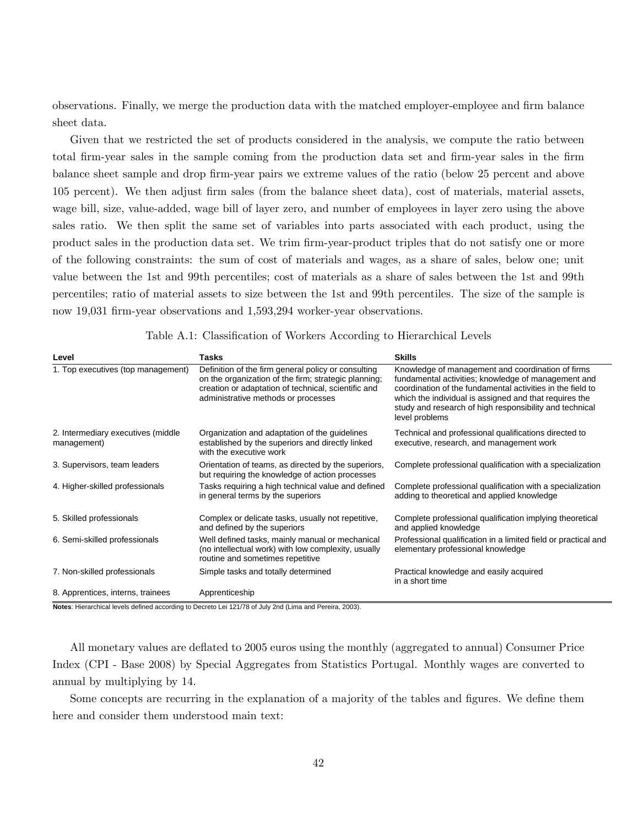observations. Finally, we merge the production data with the matched employer-employee and firm balance sheet data.

Given that we restricted the set of products considered in the analysis, we compute the ratio between total Örm-year sales in the sample coming from the production data set and Örm-year sales in the Örm balance sheet sample and drop Örm-year pairs we extreme values of the ratio (below 25 percent and above 105 percent). We then adjust Örm sales (from the balance sheet data), cost of materials, material assets, wage bill, size, value-added, wage bill of layer zero, and number of employees in layer zero using the above sales ratio. We then split the same set of variables into parts associated with each product, using the product sales in the production data set. We trim firm-year-product triples that do not satisfy one or more of the following constraints: the sum of cost of materials and wages, as a share of sales, below one; unit value between the 1st and 99th percentiles; cost of materials as a share of sales between the 1st and 99th percentiles; ratio of material assets to size between the 1st and 99th percentiles. The size of the sample is now 19,031 firm-year observations and 1,593,294 worker-year observations.

<span id="page-43-0"></span>

| Level                                             | <b>Tasks</b>                                                                                                                                                                                              | <b>Skills</b>                                                                                                                                                                                                                                                                                                 |
|---------------------------------------------------|-----------------------------------------------------------------------------------------------------------------------------------------------------------------------------------------------------------|---------------------------------------------------------------------------------------------------------------------------------------------------------------------------------------------------------------------------------------------------------------------------------------------------------------|
| 1. Top executives (top management)                | Definition of the firm general policy or consulting<br>on the organization of the firm; strategic planning;<br>creation or adaptation of technical, scientific and<br>administrative methods or processes | Knowledge of management and coordination of firms<br>fundamental activities; knowledge of management and<br>coordination of the fundamental activities in the field to<br>which the individual is assigned and that requires the<br>study and research of high responsibility and technical<br>level problems |
| 2. Intermediary executives (middle<br>management) | Organization and adaptation of the guidelines<br>established by the superiors and directly linked<br>with the executive work                                                                              | Technical and professional qualifications directed to<br>executive, research, and management work                                                                                                                                                                                                             |
| 3. Supervisors, team leaders                      | Orientation of teams, as directed by the superiors,<br>but requiring the knowledge of action processes                                                                                                    | Complete professional qualification with a specialization                                                                                                                                                                                                                                                     |
| 4. Higher-skilled professionals                   | Tasks requiring a high technical value and defined<br>in general terms by the superiors                                                                                                                   | Complete professional qualification with a specialization<br>adding to theoretical and applied knowledge                                                                                                                                                                                                      |
| 5. Skilled professionals                          | Complex or delicate tasks, usually not repetitive,<br>and defined by the superiors                                                                                                                        | Complete professional qualification implying theoretical<br>and applied knowledge                                                                                                                                                                                                                             |
| 6. Semi-skilled professionals                     | Well defined tasks, mainly manual or mechanical<br>(no intellectual work) with low complexity, usually<br>routine and sometimes repetitive                                                                | Professional qualification in a limited field or practical and<br>elementary professional knowledge                                                                                                                                                                                                           |
| 7. Non-skilled professionals                      | Simple tasks and totally determined                                                                                                                                                                       | Practical knowledge and easily acquired<br>in a short time                                                                                                                                                                                                                                                    |
| 8. Apprentices, interns, trainees                 | Apprenticeship                                                                                                                                                                                            |                                                                                                                                                                                                                                                                                                               |

Table A.1: Classification of Workers According to Hierarchical Levels

**Notes**: Hierarchical levels defined according to Decreto Lei 121/78 of July 2nd (Lima and Pereira, 2003).

All monetary values are deflated to 2005 euros using the monthly (aggregated to annual) Consumer Price Index (CPI - Base 2008) by Special Aggregates from Statistics Portugal. Monthly wages are converted to annual by multiplying by 14.

Some concepts are recurring in the explanation of a majority of the tables and figures. We define them here and consider them understood main text: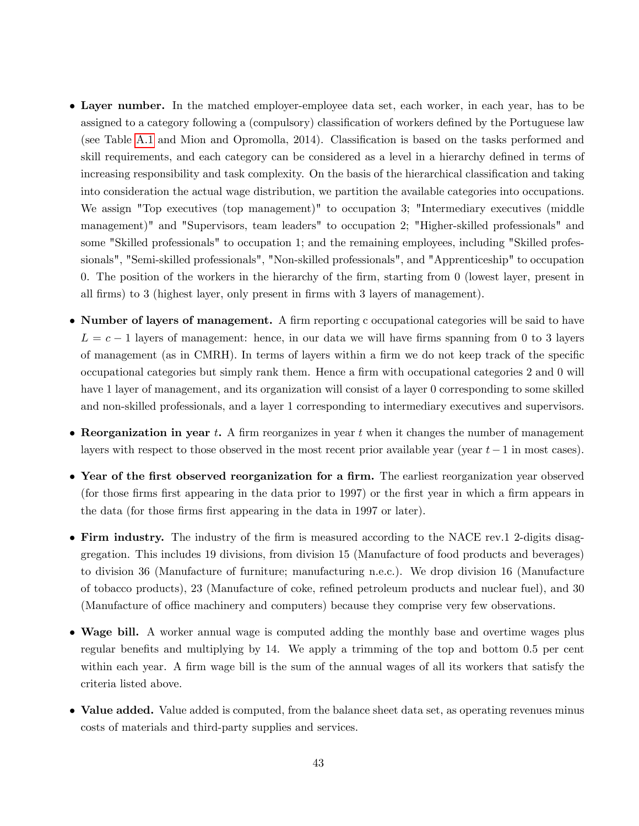- Layer number. In the matched employer-employee data set, each worker, in each year, has to be assigned to a category following a (compulsory) classification of workers defined by the Portuguese law (see Table [A.1](#page-43-0) and Mion and Opromolla, 2014). Classification is based on the tasks performed and skill requirements, and each category can be considered as a level in a hierarchy defined in terms of increasing responsibility and task complexity. On the basis of the hierarchical classification and taking into consideration the actual wage distribution, we partition the available categories into occupations. We assign "Top executives (top management)" to occupation 3; "Intermediary executives (middle management)" and "Supervisors, team leaders" to occupation 2; "Higher-skilled professionals" and some "Skilled professionals" to occupation 1; and the remaining employees, including "Skilled professionals", "Semi-skilled professionals", "Non-skilled professionals", and "Apprenticeship" to occupation 0. The position of the workers in the hierarchy of the firm, starting from  $0$  (lowest layer, present in all firms) to 3 (highest layer, only present in firms with 3 layers of management).
- Number of layers of management. A firm reporting c occupational categories will be said to have  $L = c - 1$  layers of management: hence, in our data we will have firms spanning from 0 to 3 layers of management (as in CMRH). In terms of layers within a firm we do not keep track of the specific occupational categories but simply rank them. Hence a firm with occupational categories 2 and 0 will have 1 layer of management, and its organization will consist of a layer 0 corresponding to some skilled and non-skilled professionals, and a layer 1 corresponding to intermediary executives and supervisors.
- Reorganization in year  $t$ . A firm reorganizes in year  $t$  when it changes the number of management layers with respect to those observed in the most recent prior available year (year  $t-1$  in most cases).
- Year of the first observed reorganization for a firm. The earliest reorganization year observed (for those firms first appearing in the data prior to 1997) or the first year in which a firm appears in the data (for those firms first appearing in the data in 1997 or later).
- Firm industry. The industry of the firm is measured according to the NACE rev.1 2-digits disaggregation. This includes 19 divisions, from division 15 (Manufacture of food products and beverages) to division 36 (Manufacture of furniture; manufacturing n.e.c.). We drop division 16 (Manufacture of tobacco products), 23 (Manufacture of coke, refined petroleum products and nuclear fuel), and 30 (Manufacture of office machinery and computers) because they comprise very few observations.
- Wage bill. A worker annual wage is computed adding the monthly base and overtime wages plus regular benefits and multiplying by  $14$ . We apply a trimming of the top and bottom  $0.5$  per cent within each year. A firm wage bill is the sum of the annual wages of all its workers that satisfy the criteria listed above.
- Value added. Value added is computed, from the balance sheet data set, as operating revenues minus costs of materials and third-party supplies and services.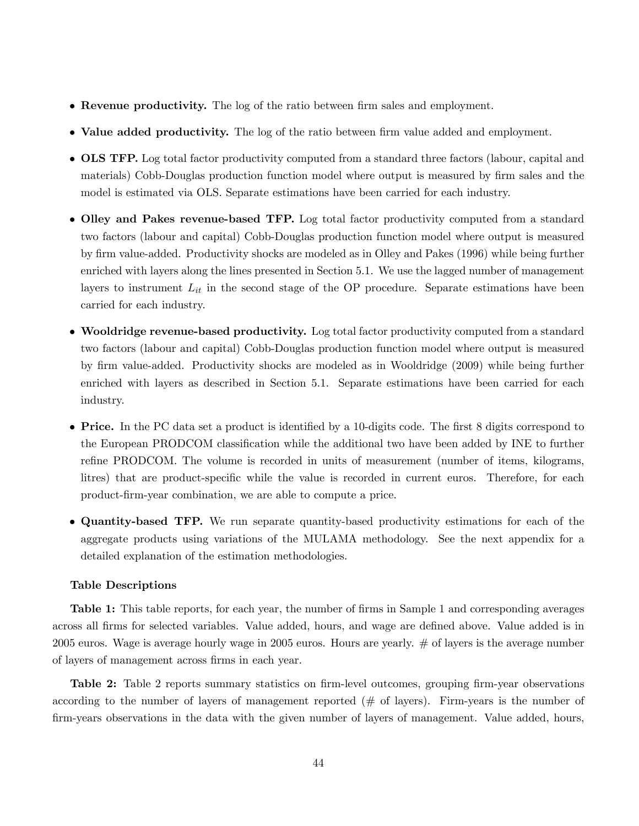- Revenue productivity. The log of the ratio between firm sales and employment.
- Value added productivity. The log of the ratio between firm value added and employment.
- OLS TFP. Log total factor productivity computed from a standard three factors (labour, capital and materials) Cobb-Douglas production function model where output is measured by firm sales and the model is estimated via OLS. Separate estimations have been carried for each industry.
- Olley and Pakes revenue-based TFP. Log total factor productivity computed from a standard two factors (labour and capital) Cobb-Douglas production function model where output is measured by Örm value-added. Productivity shocks are modeled as in Olley and Pakes (1996) while being further enriched with layers along the lines presented in Section 5.1. We use the lagged number of management layers to instrument  $L_{it}$  in the second stage of the OP procedure. Separate estimations have been carried for each industry.
- Wooldridge revenue-based productivity. Log total factor productivity computed from a standard two factors (labour and capital) Cobb-Douglas production function model where output is measured by Örm value-added. Productivity shocks are modeled as in Wooldridge (2009) while being further enriched with layers as described in Section 5.1. Separate estimations have been carried for each industry.
- $\bullet$  **Price.** In the PC data set a product is identified by a 10-digits code. The first 8 digits correspond to the European PRODCOM classification while the additional two have been added by INE to further refine PRODCOM. The volume is recorded in units of measurement (number of items, kilograms, litres) that are product-specific while the value is recorded in current euros. Therefore, for each product-Örm-year combination, we are able to compute a price.
- Quantity-based TFP. We run separate quantity-based productivity estimations for each of the aggregate products using variations of the MULAMA methodology. See the next appendix for a detailed explanation of the estimation methodologies.

### Table Descriptions

Table 1: This table reports, for each year, the number of firms in Sample 1 and corresponding averages across all firms for selected variables. Value added, hours, and wage are defined above. Value added is in 2005 euros. Wage is average hourly wage in 2005 euros. Hours are yearly. # of layers is the average number of layers of management across Örms in each year.

Table 2: Table 2 reports summary statistics on firm-level outcomes, grouping firm-year observations according to the number of layers of management reported  $(\# \text{ of layers})$ . Firm-years is the number of firm-years observations in the data with the given number of layers of management. Value added, hours,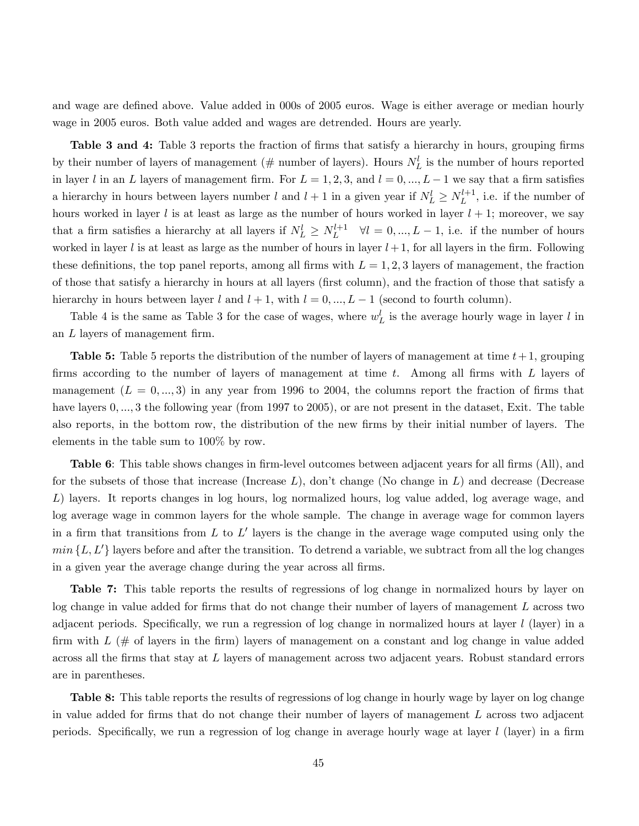and wage are defined above. Value added in 000s of 2005 euros. Wage is either average or median hourly wage in 2005 euros. Both value added and wages are detrended. Hours are yearly.

Table 3 and 4: Table 3 reports the fraction of firms that satisfy a hierarchy in hours, grouping firms by their number of layers of management ( $\#$  number of layers). Hours  $N_L^l$  is the number of hours reported in layer l in an L layers of management firm. For  $L = 1, 2, 3$ , and  $l = 0, ..., L - 1$  we say that a firm satisfies a hierarchy in hours between layers number l and  $l + 1$  in a given year if  $N_L^l \ge N_L^{l+1}$  $L^{t+1}$ , i.e. if the number of hours worked in layer l is at least as large as the number of hours worked in layer  $l + 1$ ; moreover, we say that a firm satisfies a hierarchy at all layers if  $N_L^l \ge N_L^{l+1}$  $L^{l+1}$   $\forall l = 0, ..., L - 1$ , i.e. if the number of hours worked in layer l is at least as large as the number of hours in layer  $l + 1$ , for all layers in the firm. Following these definitions, the top panel reports, among all firms with  $L = 1, 2, 3$  layers of management, the fraction of those that satisfy a hierarchy in hours at all layers (Örst column), and the fraction of those that satisfy a hierarchy in hours between layer l and  $l + 1$ , with  $l = 0, ..., L - 1$  (second to fourth column).

Table 4 is the same as Table 3 for the case of wages, where  $w<sub>L</sub><sup>l</sup>$  is the average hourly wage in layer l in an  $L$  layers of management firm.

**Table 5:** Table 5 reports the distribution of the number of layers of management at time  $t+1$ , grouping firms according to the number of layers of management at time  $t$ . Among all firms with  $L$  layers of management  $(L = 0, ..., 3)$  in any year from 1996 to 2004, the columns report the fraction of firms that have layers  $0, \ldots, 3$  the following year (from 1997 to 2005), or are not present in the dataset, Exit. The table also reports, in the bottom row, the distribution of the new Örms by their initial number of layers. The elements in the table sum to 100% by row.

**Table 6**: This table shows changes in firm-level outcomes between adjacent years for all firms (All), and for the subsets of those that increase (Increase  $L$ ), don't change (No change in  $L$ ) and decrease (Decrease L) layers. It reports changes in log hours, log normalized hours, log value added, log average wage, and log average wage in common layers for the whole sample. The change in average wage for common layers in a firm that transitions from L to L' layers is the change in the average wage computed using only the  $min\{L, L'\}$  layers before and after the transition. To detrend a variable, we subtract from all the log changes in a given year the average change during the year across all firms.

Table 7: This table reports the results of regressions of log change in normalized hours by layer on log change in value added for firms that do not change their number of layers of management  $L$  across two adjacent periods. Specifically, we run a regression of log change in normalized hours at layer  $l$  (layer) in a firm with  $L \ (\# \$  of layers in the firm) layers of management on a constant and log change in value added across all the firms that stay at  $L$  layers of management across two adjacent years. Robust standard errors are in parentheses.

Table 8: This table reports the results of regressions of log change in hourly wage by layer on log change in value added for firms that do not change their number of layers of management  $L$  across two adjacent periods. Specifically, we run a regression of log change in average hourly wage at layer  $l$  (layer) in a firm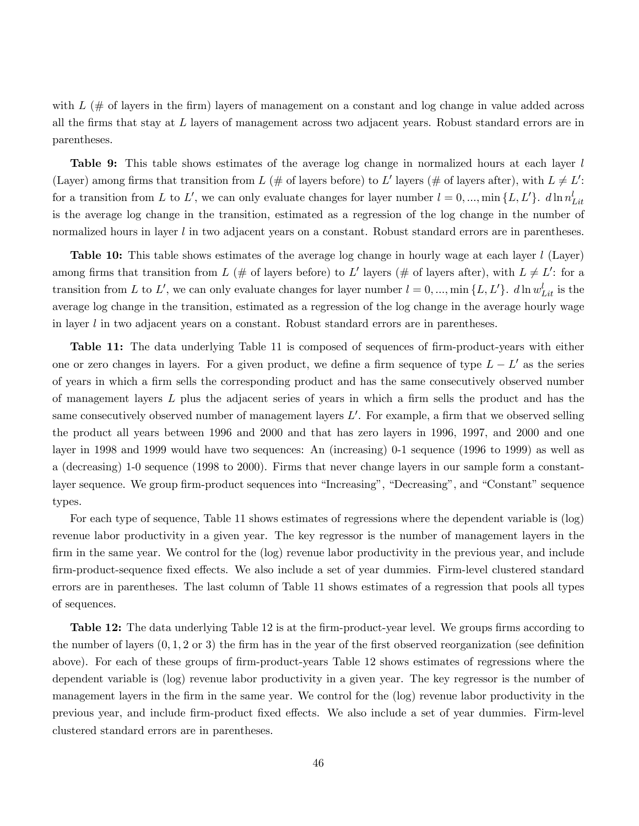with  $L \neq 0$  layers in the firm) layers of management on a constant and log change in value added across all the Örms that stay at L layers of management across two adjacent years. Robust standard errors are in parentheses.

**Table 9:** This table shows estimates of the average log change in normalized hours at each layer  $l$ (Layer) among firms that transition from L (# of layers before) to L' layers (# of layers after), with  $L \neq L'$ : for a transition from L to L', we can only evaluate changes for layer number  $l = 0, ..., min\{L, L'\}$ .  $d \ln n_{Lit}^l$ is the average log change in the transition, estimated as a regression of the log change in the number of normalized hours in layer l in two adjacent years on a constant. Robust standard errors are in parentheses.

**Table 10:** This table shows estimates of the average log change in hourly wage at each layer  $l$  (Layer) among firms that transition from L (# of layers before) to L' layers (# of layers after), with  $L \neq L'$ : for a transition from L to L', we can only evaluate changes for layer number  $l = 0, ..., min\{L, L'\}$ .  $d \ln w_{Lit}^l$  is the average log change in the transition, estimated as a regression of the log change in the average hourly wage in layer  $l$  in two adjacent years on a constant. Robust standard errors are in parentheses.

Table 11: The data underlying Table 11 is composed of sequences of firm-product-years with either one or zero changes in layers. For a given product, we define a firm sequence of type  $L - L'$  as the series of years in which a Örm sells the corresponding product and has the same consecutively observed number of management layers  $L$  plus the adjacent series of years in which a firm sells the product and has the same consecutively observed number of management layers  $L'$ . For example, a firm that we observed selling the product all years between 1996 and 2000 and that has zero layers in 1996, 1997, and 2000 and one layer in 1998 and 1999 would have two sequences: An (increasing) 0-1 sequence (1996 to 1999) as well as a (decreasing) 1-0 sequence (1998 to 2000). Firms that never change layers in our sample form a constantlayer sequence. We group firm-product sequences into "Increasing", "Decreasing", and "Constant" sequence types.

For each type of sequence, Table 11 shows estimates of regressions where the dependent variable is (log) revenue labor productivity in a given year. The key regressor is the number of management layers in the firm in the same year. We control for the (log) revenue labor productivity in the previous year, and include firm-product-sequence fixed effects. We also include a set of year dummies. Firm-level clustered standard errors are in parentheses. The last column of Table 11 shows estimates of a regression that pools all types of sequences.

**Table 12:** The data underlying Table 12 is at the firm-product-year level. We groups firms according to the number of layers  $(0, 1, 2 \text{ or } 3)$  the firm has in the year of the first observed reorganization (see definition above). For each of these groups of firm-product-years Table 12 shows estimates of regressions where the dependent variable is (log) revenue labor productivity in a given year. The key regressor is the number of management layers in the firm in the same year. We control for the (log) revenue labor productivity in the previous year, and include firm-product fixed effects. We also include a set of year dummies. Firm-level clustered standard errors are in parentheses.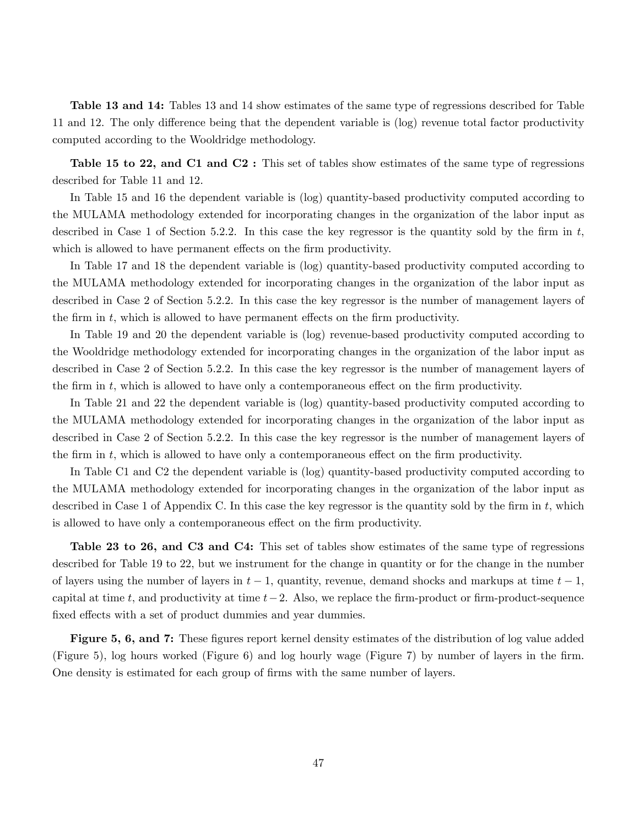Table 13 and 14: Tables 13 and 14 show estimates of the same type of regressions described for Table 11 and 12. The only difference being that the dependent variable is (log) revenue total factor productivity computed according to the Wooldridge methodology.

Table 15 to 22, and C1 and C2 : This set of tables show estimates of the same type of regressions described for Table 11 and 12.

In Table 15 and 16 the dependent variable is (log) quantity-based productivity computed according to the MULAMA methodology extended for incorporating changes in the organization of the labor input as described in Case 1 of Section 5.2.2. In this case the key regressor is the quantity sold by the firm in  $t$ , which is allowed to have permanent effects on the firm productivity.

In Table 17 and 18 the dependent variable is (log) quantity-based productivity computed according to the MULAMA methodology extended for incorporating changes in the organization of the labor input as described in Case 2 of Section 5.2.2. In this case the key regressor is the number of management layers of the firm in  $t$ , which is allowed to have permanent effects on the firm productivity.

In Table 19 and 20 the dependent variable is (log) revenue-based productivity computed according to the Wooldridge methodology extended for incorporating changes in the organization of the labor input as described in Case 2 of Section 5.2.2. In this case the key regressor is the number of management layers of the firm in  $t$ , which is allowed to have only a contemporaneous effect on the firm productivity.

In Table 21 and 22 the dependent variable is (log) quantity-based productivity computed according to the MULAMA methodology extended for incorporating changes in the organization of the labor input as described in Case 2 of Section 5.2.2. In this case the key regressor is the number of management layers of the firm in t, which is allowed to have only a contemporaneous effect on the firm productivity.

In Table C1 and C2 the dependent variable is (log) quantity-based productivity computed according to the MULAMA methodology extended for incorporating changes in the organization of the labor input as described in Case 1 of Appendix C. In this case the key regressor is the quantity sold by the firm in t, which is allowed to have only a contemporaneous effect on the firm productivity.

Table 23 to 26, and C3 and C4: This set of tables show estimates of the same type of regressions described for Table 19 to 22, but we instrument for the change in quantity or for the change in the number of layers using the number of layers in  $t-1$ , quantity, revenue, demand shocks and markups at time  $t-1$ , capital at time t, and productivity at time  $t-2$ . Also, we replace the firm-product or firm-product-sequence fixed effects with a set of product dummies and year dummies.

Figure 5, 6, and 7: These figures report kernel density estimates of the distribution of log value added (Figure 5), log hours worked (Figure 6) and log hourly wage (Figure 7) by number of layers in the firm. One density is estimated for each group of firms with the same number of layers.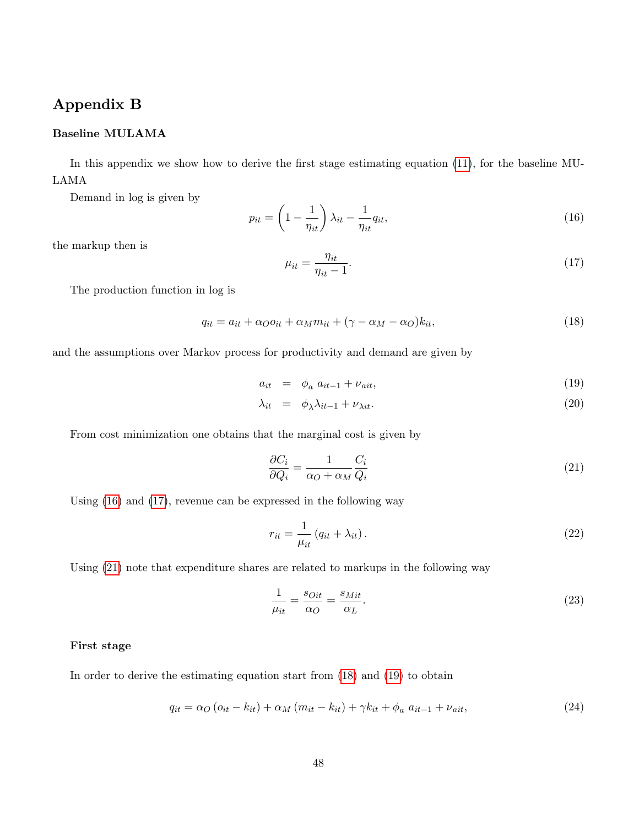# Appendix B

## Baseline MULAMA

In this appendix we show how to derive the first stage estimating equation [\(11\)](#page-27-0), for the baseline MU-LAMA

Demand in log is given by

<span id="page-49-0"></span>
$$
p_{it} = \left(1 - \frac{1}{\eta_{it}}\right) \lambda_{it} - \frac{1}{\eta_{it}} q_{it},\tag{16}
$$

the markup then is

<span id="page-49-1"></span>
$$
\mu_{it} = \frac{\eta_{it}}{\eta_{it} - 1}.\tag{17}
$$

The production function in log is

<span id="page-49-3"></span>
$$
q_{it} = a_{it} + \alpha_O o_{it} + \alpha_M m_{it} + (\gamma - \alpha_M - \alpha_O) k_{it}, \qquad (18)
$$

and the assumptions over Markov process for productivity and demand are given by

<span id="page-49-4"></span>
$$
a_{it} = \phi_a a_{it-1} + \nu_{ait}, \qquad (19)
$$

$$
\lambda_{it} = \phi_{\lambda} \lambda_{it-1} + \nu_{\lambda it}.
$$
\n(20)

From cost minimization one obtains that the marginal cost is given by

<span id="page-49-2"></span>
$$
\frac{\partial C_i}{\partial Q_i} = \frac{1}{\alpha_O + \alpha_M} \frac{C_i}{Q_i} \tag{21}
$$

Using [\(16\)](#page-49-0) and [\(17\)](#page-49-1), revenue can be expressed in the following way

<span id="page-49-5"></span>
$$
r_{it} = \frac{1}{\mu_{it}} \left( q_{it} + \lambda_{it} \right). \tag{22}
$$

Using [\(21\)](#page-49-2) note that expenditure shares are related to markups in the following way

<span id="page-49-6"></span>
$$
\frac{1}{\mu_{it}} = \frac{s_{Oit}}{\alpha_O} = \frac{s_{Mit}}{\alpha_L}.\tag{23}
$$

#### First stage

In order to derive the estimating equation start from [\(18\)](#page-49-3) and [\(19\)](#page-49-4) to obtain

$$
q_{it} = \alpha_O \left( o_{it} - k_{it} \right) + \alpha_M \left( m_{it} - k_{it} \right) + \gamma k_{it} + \phi_a \ a_{it-1} + \nu_{ait}, \tag{24}
$$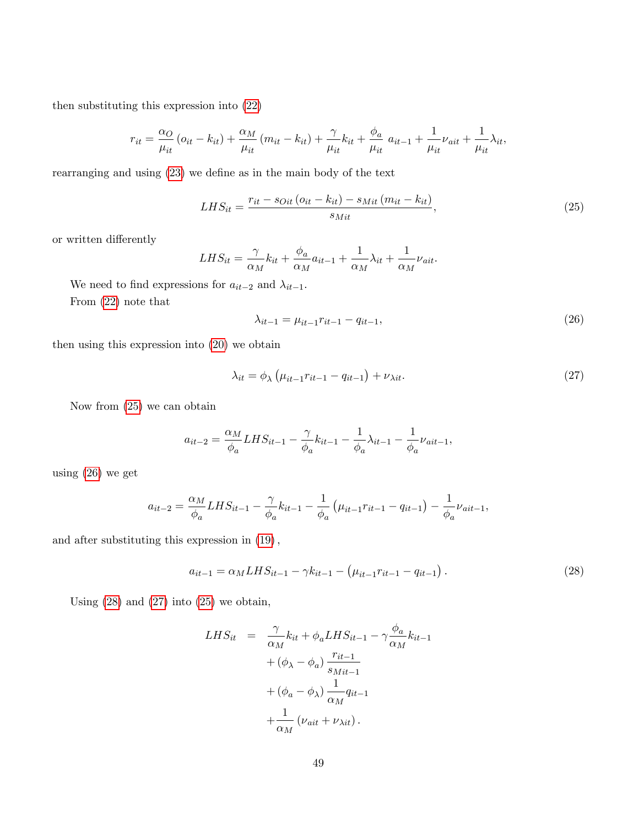then substituting this expression into [\(22\)](#page-49-5)

$$
r_{it} = \frac{\alpha_O}{\mu_{it}} \left( o_{it} - k_{it} \right) + \frac{\alpha_M}{\mu_{it}} \left( m_{it} - k_{it} \right) + \frac{\gamma}{\mu_{it}} k_{it} + \frac{\phi_a}{\mu_{it}} a_{it-1} + \frac{1}{\mu_{it}} \nu_{ait} + \frac{1}{\mu_{it}} \lambda_{it},
$$

rearranging and using  $(23)$  we define as in the main body of the text

<span id="page-50-0"></span>
$$
LHS_{it} = \frac{r_{it} - s_{Oit} (o_{it} - k_{it}) - s_{Mit} (m_{it} - k_{it})}{s_{Mit}},\tag{25}
$$

or written differently

$$
LHS_{it} = \frac{\gamma}{\alpha_M} k_{it} + \frac{\phi_a}{\alpha_M} a_{it-1} + \frac{1}{\alpha_M} \lambda_{it} + \frac{1}{\alpha_M} \nu_{ait}.
$$

We need to find expressions for  $a_{it-2}$  and  $\lambda_{it-1}$ .

From [\(22\)](#page-49-5) note that

<span id="page-50-1"></span>
$$
\lambda_{it-1} = \mu_{it-1} r_{it-1} - q_{it-1},\tag{26}
$$

then using this expression into [\(20\)](#page-49-4) we obtain

<span id="page-50-3"></span>
$$
\lambda_{it} = \phi_{\lambda} \left( \mu_{it-1} r_{it-1} - q_{it-1} \right) + \nu_{\lambda it}.
$$
\n(27)

Now from [\(25\)](#page-50-0) we can obtain

$$
a_{it-2} = \frac{\alpha_M}{\phi_a} LHS_{it-1} - \frac{\gamma}{\phi_a} k_{it-1} - \frac{1}{\phi_a} \lambda_{it-1} - \frac{1}{\phi_a} \nu_{ait-1},
$$

using [\(26\)](#page-50-1) we get

$$
a_{it-2} = \frac{\alpha_M}{\phi_a} LHS_{it-1} - \frac{\gamma}{\phi_a} k_{it-1} - \frac{1}{\phi_a} (\mu_{it-1} r_{it-1} - q_{it-1}) - \frac{1}{\phi_a} \nu_{ait-1},
$$

and after substituting this expression in  $(19)$ ,

<span id="page-50-2"></span>
$$
a_{it-1} = \alpha_M LHS_{it-1} - \gamma k_{it-1} - (\mu_{it-1} r_{it-1} - q_{it-1}). \qquad (28)
$$

Using  $(28)$  and  $(27)$  into  $(25)$  we obtain,

$$
LHS_{it} = \frac{\gamma}{\alpha_M} k_{it} + \phi_a LHS_{it-1} - \gamma \frac{\phi_a}{\alpha_M} k_{it-1} + (\phi_{\lambda} - \phi_a) \frac{r_{it-1}}{s_{Mit-1}} + (\phi_a - \phi_{\lambda}) \frac{1}{\alpha_M} q_{it-1} + \frac{1}{\alpha_M} (\nu_{ait} + \nu_{\lambda it}).
$$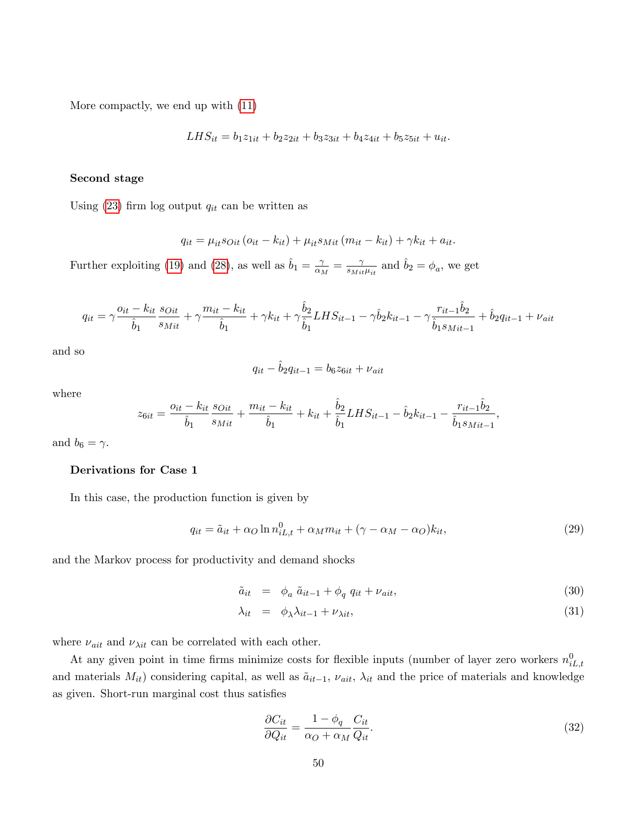More compactly, we end up with [\(11\)](#page-27-0)

$$
LHS_{it} = b_1 z_{1it} + b_2 z_{2it} + b_3 z_{3it} + b_4 z_{4it} + b_5 z_{5it} + u_{it}.
$$

### Second stage

Using  $(23)$  firm log output  $q_{it}$  can be written as

$$
q_{it} = \mu_{it} s_{Oit} \left( o_{it} - k_{it} \right) + \mu_{it} s_{Mit} \left( m_{it} - k_{it} \right) + \gamma k_{it} + a_{it}.
$$

Further exploiting [\(19\)](#page-49-4) and [\(28\)](#page-50-2), as well as  $\hat{b}_1 = \frac{\gamma}{\alpha}$  $\frac{\gamma}{\alpha_M} = \frac{\gamma}{s_{Mit}}$  $\frac{\gamma}{s_{Mit}\mu_{it}}$  and  $\hat{b}_2 = \phi_a$ , we get

$$
q_{it} = \gamma \frac{o_{it} - k_{it}}{\hat{b}_1} \frac{s_{Oit}}{s_{Mit}} + \gamma \frac{m_{it} - k_{it}}{\hat{b}_1} + \gamma k_{it} + \gamma \frac{\hat{b}_2}{\hat{b}_1} LHS_{it-1} - \gamma \hat{b}_2 k_{it-1} - \gamma \frac{r_{it-1} \hat{b}_2}{\hat{b}_1 s_{Mit-1}} + \hat{b}_2 q_{it-1} + \nu_{ait}
$$

and so

$$
q_{it} - \hat{b}_2 q_{it-1} = b_6 z_{6it} + \nu_{ait}
$$

where

$$
z_{6it} = \frac{o_{it} - k_{it}}{\hat{b}_1} \frac{s_{Oit}}{s_{Mit}} + \frac{m_{it} - k_{it}}{\hat{b}_1} + k_{it} + \frac{\hat{b}_2}{\hat{b}_1} LHS_{it-1} - \hat{b}_2 k_{it-1} - \frac{r_{it-1} \hat{b}_2}{\hat{b}_1 s_{Mit-1}},
$$

and  $b_6 = \gamma$ .

### Derivations for Case 1

In this case, the production function is given by

<span id="page-51-1"></span>
$$
q_{it} = \tilde{a}_{it} + \alpha_O \ln n_{iL,t}^0 + \alpha_M m_{it} + (\gamma - \alpha_M - \alpha_O) k_{it}, \qquad (29)
$$

and the Markov process for productivity and demand shocks

<span id="page-51-2"></span>
$$
\tilde{a}_{it} = \phi_a \tilde{a}_{it-1} + \phi_q q_{it} + \nu_{ait}, \qquad (30)
$$

$$
\lambda_{it} = \phi_{\lambda} \lambda_{it-1} + \nu_{\lambda it}, \tag{31}
$$

where  $\nu_{ait}$  and  $\nu_{\lambda it}$  can be correlated with each other.

At any given point in time firms minimize costs for flexible inputs (number of layer zero workers  $n_{iL,t}^0$ and materials  $M_{it}$ ) considering capital, as well as  $\tilde{a}_{it-1}$ ,  $\nu_{ait}$ ,  $\lambda_{it}$  and the price of materials and knowledge as given. Short-run marginal cost thus satisfies

<span id="page-51-0"></span>
$$
\frac{\partial C_{it}}{\partial Q_{it}} = \frac{1 - \phi_q}{\alpha_O + \alpha_M} \frac{C_{it}}{Q_{it}}.\tag{32}
$$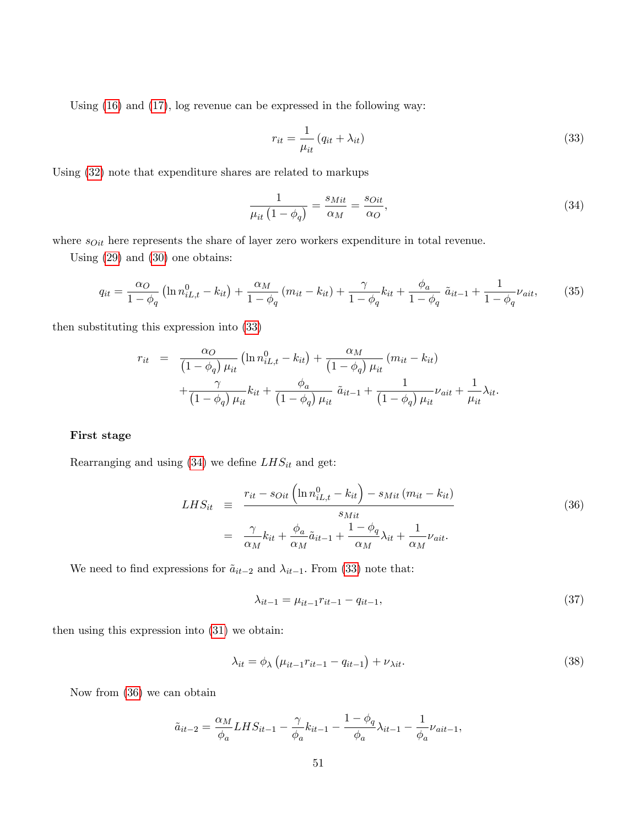Using [\(16\)](#page-49-0) and [\(17\)](#page-49-1), log revenue can be expressed in the following way:

<span id="page-52-0"></span>
$$
r_{it} = \frac{1}{\mu_{it}} \left( q_{it} + \lambda_{it} \right) \tag{33}
$$

Using [\(32\)](#page-51-0) note that expenditure shares are related to markups

<span id="page-52-1"></span>
$$
\frac{1}{\mu_{it} \left(1 - \phi_q\right)} = \frac{s_{Mit}}{\alpha_M} = \frac{s_{Oit}}{\alpha_O},\tag{34}
$$

where  $s_{Oit}$  here represents the share of layer zero workers expenditure in total revenue.

Using [\(29\)](#page-51-1) and [\(30\)](#page-51-2) one obtains:

<span id="page-52-5"></span>
$$
q_{it} = \frac{\alpha_O}{1 - \phi_q} \left( \ln n_{iL,t}^0 - k_{it} \right) + \frac{\alpha_M}{1 - \phi_q} \left( m_{it} - k_{it} \right) + \frac{\gamma}{1 - \phi_q} k_{it} + \frac{\phi_a}{1 - \phi_q} \tilde{a}_{it-1} + \frac{1}{1 - \phi_q} \nu_{ait}, \tag{35}
$$

then substituting this expression into [\(33\)](#page-52-0)

$$
r_{it} = \frac{\alpha_O}{(1 - \phi_q) \mu_{it}} (\ln n_{iL, t}^0 - k_{it}) + \frac{\alpha_M}{(1 - \phi_q) \mu_{it}} (m_{it} - k_{it}) + \frac{\gamma}{(1 - \phi_q) \mu_{it}} k_{it} + \frac{\phi_a}{(1 - \phi_q) \mu_{it}} \tilde{a}_{it-1} + \frac{1}{(1 - \phi_q) \mu_{it}} \nu_{ait} + \frac{1}{\mu_{it}} \lambda_{it}.
$$

### First stage

Rearranging and using [\(34\)](#page-52-1) we define  $LHS_{it}$  and get:

<span id="page-52-2"></span>
$$
LHS_{it} \equiv \frac{r_{it} - s_{Oit} \left(\ln n_{iL,t}^0 - k_{it}\right) - s_{Mit} \left(m_{it} - k_{it}\right)}{s_{Mit}}
$$

$$
= \frac{\gamma}{\alpha_M} k_{it} + \frac{\phi_a}{\alpha_M} \tilde{a}_{it-1} + \frac{1 - \phi_q}{\alpha_M} \lambda_{it} + \frac{1}{\alpha_M} \nu_{ait}.
$$
(36)

We need to find expressions for  $\tilde{a}_{it-2}$  and  $\lambda_{it-1}.$  From [\(33\)](#page-52-0) note that:

<span id="page-52-3"></span>
$$
\lambda_{it-1} = \mu_{it-1} r_{it-1} - q_{it-1},\tag{37}
$$

then using this expression into [\(31\)](#page-51-2) we obtain:

<span id="page-52-4"></span>
$$
\lambda_{it} = \phi_{\lambda} \left( \mu_{it-1} r_{it-1} - q_{it-1} \right) + \nu_{\lambda it}.
$$
\n(38)

Now from [\(36\)](#page-52-2) we can obtain

$$
\tilde{a}_{it-2} = \frac{\alpha_M}{\phi_a} LHS_{it-1} - \frac{\gamma}{\phi_a} k_{it-1} - \frac{1 - \phi_q}{\phi_a} \lambda_{it-1} - \frac{1}{\phi_a} \nu_{ait-1},
$$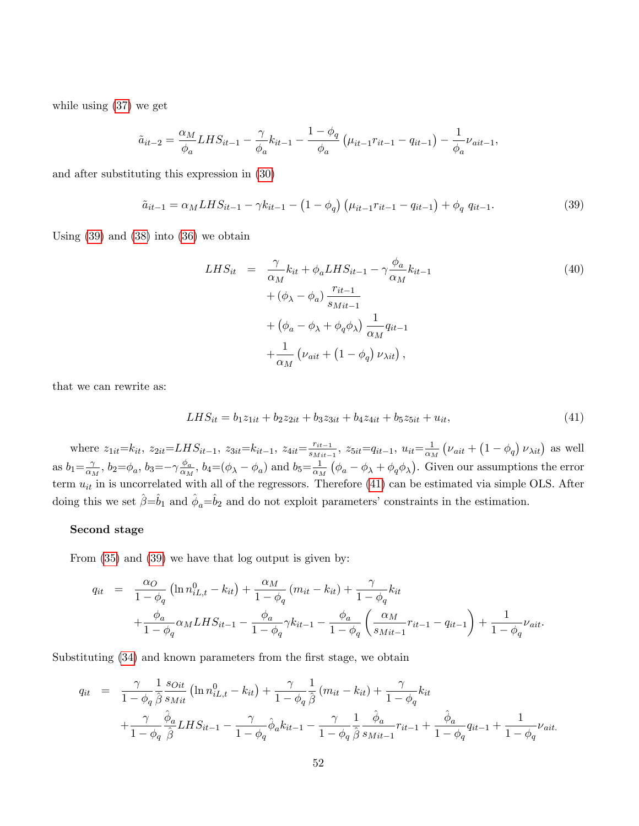while using [\(37\)](#page-52-3) we get

$$
\tilde{a}_{it-2} = \frac{\alpha_M}{\phi_a} LHS_{it-1} - \frac{\gamma}{\phi_a} k_{it-1} - \frac{1 - \phi_q}{\phi_a} (\mu_{it-1} r_{it-1} - q_{it-1}) - \frac{1}{\phi_a} \nu_{ait-1},
$$

and after substituting this expression in [\(30\)](#page-51-2)

<span id="page-53-0"></span>
$$
\tilde{a}_{it-1} = \alpha_M LHS_{it-1} - \gamma k_{it-1} - (1 - \phi_q) \left( \mu_{it-1} r_{it-1} - q_{it-1} \right) + \phi_q \ q_{it-1}.
$$
\n(39)

Using  $(39)$  and  $(38)$  into  $(36)$  we obtain

$$
LHS_{it} = \frac{\gamma}{\alpha_M} k_{it} + \phi_a LHS_{it-1} - \gamma \frac{\phi_a}{\alpha_M} k_{it-1} + (\phi_\lambda - \phi_a) \frac{r_{it-1}}{s_{Mit-1}} + (\phi_a - \phi_\lambda + \phi_q \phi_\lambda) \frac{1}{\alpha_M} q_{it-1} + \frac{1}{\alpha_M} (\nu_{ait} + (1 - \phi_q) \nu_{\lambda it}),
$$
\n(40)

that we can rewrite as:

<span id="page-53-1"></span>
$$
LHS_{it} = b_1 z_{1it} + b_2 z_{2it} + b_3 z_{3it} + b_4 z_{4it} + b_5 z_{5it} + u_{it},
$$
\n
$$
\tag{41}
$$

where  $z_{1it} = k_{it}$ ,  $z_{2it} = LHS_{it-1}$ ,  $z_{3it} = k_{it-1}$ ,  $z_{4it} = \frac{r_{it-1}}{s_{Mit-1}}$  $\frac{r_{it-1}}{s_{Mit-1}}, z_{5it}=q_{it-1}, u_{it}=\frac{1}{\alpha_M}$  $\frac{1}{\alpha_M} \left( \nu_{ait} + \left( 1 - \phi_q \right) \nu_{\lambda it} \right)$  as well as  $b_1 = \frac{\gamma}{\alpha}$  $\frac{\gamma}{\alpha_M}$ ,  $b_2 = \phi_a$ ,  $b_3 = -\gamma \frac{\phi_a}{\alpha_M}$  $\frac{\phi_a}{\alpha_M}$ ,  $b_4 = (\phi_\lambda - \phi_a)$  and  $b_5 = \frac{1}{\alpha_M}$  $\frac{1}{\alpha_M}$   $(\phi_a - \phi_\lambda + \phi_q \phi_\lambda)$ . Given our assumptions the error term  $u_{it}$  in is uncorrelated with all of the regressors. Therefore [\(41\)](#page-53-1) can be estimated via simple OLS. After doing this we set  $\hat{\beta}=\hat{b}_1$  and  $\hat{\phi}_a=\hat{b}_2$  and do not exploit parameters' constraints in the estimation.

#### Second stage

From [\(35\)](#page-52-5) and [\(39\)](#page-53-0) we have that log output is given by:

$$
q_{it} = \frac{\alpha_{O}}{1 - \phi_{q}} (\ln n_{iL,t}^{0} - k_{it}) + \frac{\alpha_{M}}{1 - \phi_{q}} (m_{it} - k_{it}) + \frac{\gamma}{1 - \phi_{q}} k_{it} + \frac{\phi_{a}}{1 - \phi_{q}} \alpha_{M} LHS_{it-1} - \frac{\phi_{a}}{1 - \phi_{q}} \gamma k_{it-1} - \frac{\phi_{a}}{1 - \phi_{q}} \left( \frac{\alpha_{M}}{s_{Mi} - 1} r_{it-1} - q_{it-1} \right) + \frac{1}{1 - \phi_{q}} \nu_{ait}.
$$

Substituting  $(34)$  and known parameters from the first stage, we obtain

$$
q_{it} = \frac{\gamma}{1 - \phi_q} \frac{1}{\hat{\beta}} \frac{s_{Oit}}{s_{Mit}} \left( \ln n_{iL,t}^0 - k_{it} \right) + \frac{\gamma}{1 - \phi_q} \frac{1}{\hat{\beta}} \left( m_{it} - k_{it} \right) + \frac{\gamma}{1 - \phi_q} k_{it}
$$
  
+ 
$$
\frac{\gamma}{1 - \phi_q} \frac{\hat{\phi}_a}{\hat{\beta}} LHS_{it-1} - \frac{\gamma}{1 - \phi_q} \hat{\phi}_a k_{it-1} - \frac{\gamma}{1 - \phi_q} \frac{1}{\hat{\beta}} \frac{\hat{\phi}_a}{s_{Mit-1}} r_{it-1} + \frac{\hat{\phi}_a}{1 - \phi_q} q_{it-1} + \frac{1}{1 - \phi_q} \nu_{ait.}
$$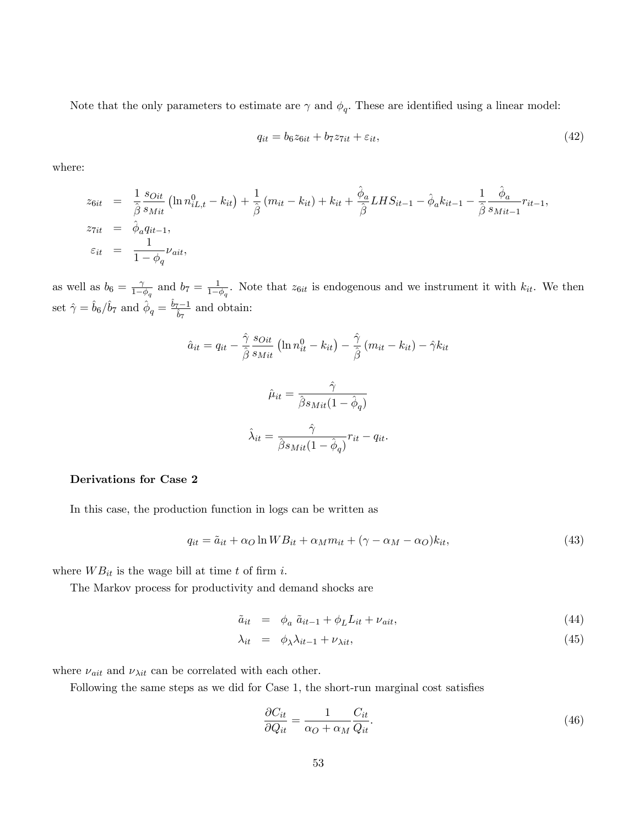Note that the only parameters to estimate are  $\gamma$  and  $\phi_q$ . These are identified using a linear model:

$$
q_{it} = b_6 z_{6it} + b_7 z_{7it} + \varepsilon_{it},\tag{42}
$$

where:

$$
z_{6it} = \frac{1}{\hat{\beta}} \frac{s_{0it}}{s_{Mit}} (\ln n_{iL,t}^0 - k_{it}) + \frac{1}{\hat{\beta}} (m_{it} - k_{it}) + k_{it} + \frac{\hat{\phi}_a}{\hat{\beta}} LHS_{it-1} - \hat{\phi}_a k_{it-1} - \frac{1}{\hat{\beta}} \frac{\hat{\phi}_a}{s_{Mit-1}} r_{it-1},
$$
  
\n
$$
z_{7it} = \hat{\phi}_a q_{it-1},
$$
  
\n
$$
\varepsilon_{it} = \frac{1}{1 - \phi_q} \nu_{ait},
$$

as well as  $b_6 = \frac{\gamma}{1-\alpha}$  $\frac{\gamma}{1-\phi_q}$  and  $b_7 = \frac{1}{1-\phi_q}$  $\frac{1}{1-\phi_q}$ . Note that  $z_{6it}$  is endogenous and we instrument it with  $k_{it}$ . We then set  $\hat{\gamma} = \hat{b}_6/\hat{b}_7$  and  $\hat{\phi}_q = \frac{\hat{b}_7 - 1}{\hat{b}_7}$  and obtain:

$$
\hat{a}_{it} = q_{it} - \frac{\hat{\gamma}}{\hat{\beta}} \frac{s_{Oit}}{s_{Mit}} \left( \ln n_{it}^0 - k_{it} \right) - \frac{\hat{\gamma}}{\hat{\beta}} \left( m_{it} - k_{it} \right) - \hat{\gamma} k_{it}
$$

$$
\hat{\mu}_{it} = \frac{\hat{\gamma}}{\hat{\beta} s_{Mit} (1 - \hat{\phi}_q)}
$$

$$
\hat{\lambda}_{it} = \frac{\hat{\gamma}}{\hat{\beta} s_{Mit} (1 - \hat{\phi}_q)} r_{it} - q_{it}.
$$

### Derivations for Case 2

In this case, the production function in logs can be written as

<span id="page-54-0"></span>
$$
q_{it} = \tilde{a}_{it} + \alpha_O \ln WB_{it} + \alpha_M m_{it} + (\gamma - \alpha_M - \alpha_O)k_{it},\tag{43}
$$

where  $WB_{it}$  is the wage bill at time t of firm i.

The Markov process for productivity and demand shocks are

<span id="page-54-1"></span>
$$
\tilde{a}_{it} = \phi_a \tilde{a}_{it-1} + \phi_L L_{it} + \nu_{ait}, \qquad (44)
$$

$$
\lambda_{it} = \phi_{\lambda} \lambda_{it-1} + \nu_{\lambda it}, \tag{45}
$$

where  $\nu_{ait}$  and  $\nu_{\lambda it}$  can be correlated with each other.

Following the same steps as we did for Case 1, the short-run marginal cost satisfies

$$
\frac{\partial C_{it}}{\partial Q_{it}} = \frac{1}{\alpha_O + \alpha_M} \frac{C_{it}}{Q_{it}}.\tag{46}
$$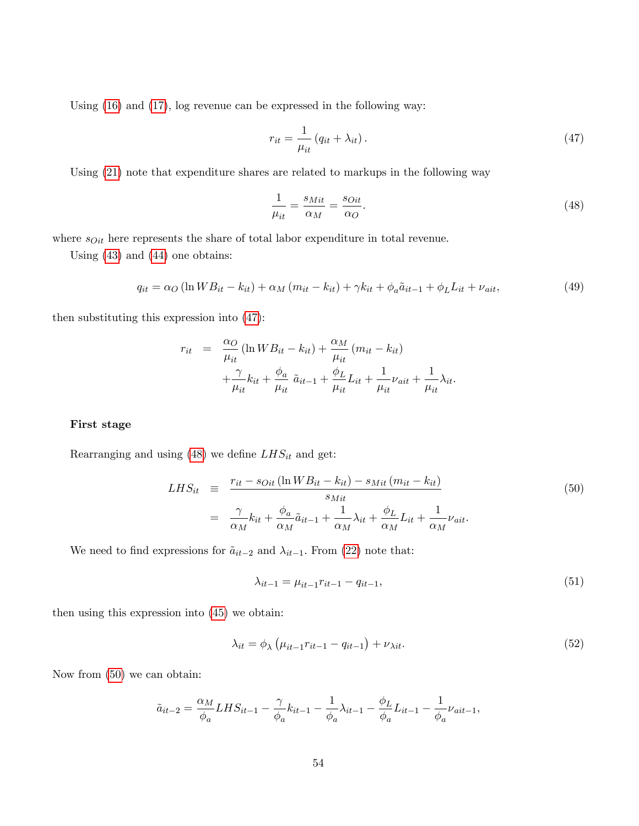Using [\(16\)](#page-49-0) and [\(17\)](#page-49-1), log revenue can be expressed in the following way:

<span id="page-55-0"></span>
$$
r_{it} = \frac{1}{\mu_{it}} \left( q_{it} + \lambda_{it} \right). \tag{47}
$$

Using [\(21\)](#page-49-2) note that expenditure shares are related to markups in the following way

<span id="page-55-1"></span>
$$
\frac{1}{\mu_{it}} = \frac{s_{Mit}}{\alpha_M} = \frac{s_{Oit}}{\alpha_O}.\tag{48}
$$

where  $s_{Oit}$  here represents the share of total labor expenditure in total revenue.

Using [\(43\)](#page-54-0) and [\(44\)](#page-54-1) one obtains:

<span id="page-55-5"></span>
$$
q_{it} = \alpha_O \left( \ln WB_{it} - k_{it} \right) + \alpha_M \left( m_{it} - k_{it} \right) + \gamma k_{it} + \phi_a \tilde{a}_{it-1} + \phi_L L_{it} + \nu_{ait}, \tag{49}
$$

then substituting this expression into [\(47\)](#page-55-0):

$$
r_{it} = \frac{\alpha_O}{\mu_{it}} (\ln WB_{it} - k_{it}) + \frac{\alpha_M}{\mu_{it}} (m_{it} - k_{it})
$$
  
+ 
$$
\frac{\gamma}{\mu_{it}} k_{it} + \frac{\phi_a}{\mu_{it}} \tilde{a}_{it-1} + \frac{\phi_L}{\mu_{it}} L_{it} + \frac{1}{\mu_{it}} \nu_{ait} + \frac{1}{\mu_{it}} \lambda_{it}.
$$

### First stage

Rearranging and using [\(48\)](#page-55-1) we define  $LHS_{it}$  and get:

<span id="page-55-2"></span>
$$
LHS_{it} \equiv \frac{r_{it} - s_{Oit} \left( \ln WB_{it} - k_{it} \right) - s_{Mit} \left( m_{it} - k_{it} \right)}{s_{Mit}}
$$
\n
$$
= \frac{\gamma}{\alpha_M} k_{it} + \frac{\phi_a}{\alpha_M} \tilde{a}_{it-1} + \frac{1}{\alpha_M} \lambda_{it} + \frac{\phi_L}{\alpha_M} L_{it} + \frac{1}{\alpha_M} \nu_{ait}.
$$
\n(50)

We need to find expressions for  $\tilde{a}_{it-2}$  and  $\lambda_{it-1}.$  From [\(22\)](#page-49-5) note that:

<span id="page-55-3"></span>
$$
\lambda_{it-1} = \mu_{it-1} r_{it-1} - q_{it-1},\tag{51}
$$

then using this expression into [\(45\)](#page-54-1) we obtain:

<span id="page-55-4"></span>
$$
\lambda_{it} = \phi_{\lambda} \left( \mu_{it-1} r_{it-1} - q_{it-1} \right) + \nu_{\lambda it}.
$$
\n(52)

Now from [\(50\)](#page-55-2) we can obtain:

$$
\tilde{a}_{it-2} = \frac{\alpha_M}{\phi_a} LHS_{it-1} - \frac{\gamma}{\phi_a} k_{it-1} - \frac{1}{\phi_a} \lambda_{it-1} - \frac{\phi_L}{\phi_a} L_{it-1} - \frac{1}{\phi_a} \nu_{ait-1},
$$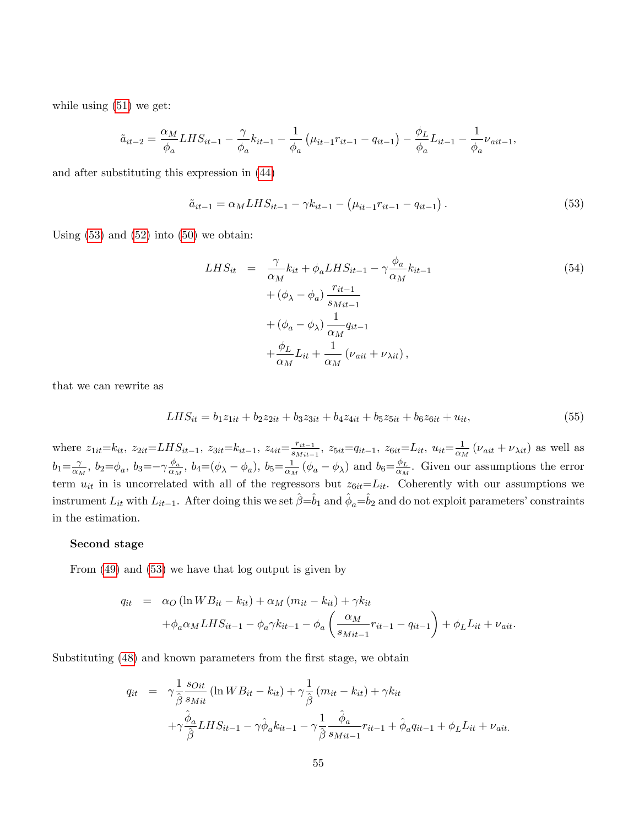while using  $(51)$  we get:

$$
\tilde{a}_{it-2} = \frac{\alpha_M}{\phi_a} LHS_{it-1} - \frac{\gamma}{\phi_a} k_{it-1} - \frac{1}{\phi_a} (\mu_{it-1} r_{it-1} - q_{it-1}) - \frac{\phi_L}{\phi_a} L_{it-1} - \frac{1}{\phi_a} \nu_{ait-1},
$$

and after substituting this expression in [\(44\)](#page-54-1)

<span id="page-56-0"></span>
$$
\tilde{a}_{it-1} = \alpha_M LHS_{it-1} - \gamma k_{it-1} - (\mu_{it-1} r_{it-1} - q_{it-1}). \tag{53}
$$

Using  $(53)$  and  $(52)$  into  $(50)$  we obtain:

$$
LHS_{it} = \frac{\gamma}{\alpha_M} k_{it} + \phi_a LHS_{it-1} - \gamma \frac{\phi_a}{\alpha_M} k_{it-1} + (\phi_\lambda - \phi_a) \frac{r_{it-1}}{s_{Mit-1}} + (\phi_a - \phi_\lambda) \frac{1}{\alpha_M} q_{it-1} + \frac{\phi_L}{\alpha_M} L_{it} + \frac{1}{\alpha_M} (\nu_{ait} + \nu_{\lambda it}),
$$
\n(54)

that we can rewrite as

$$
LHS_{it} = b_1 z_{1it} + b_2 z_{2it} + b_3 z_{3it} + b_4 z_{4it} + b_5 z_{5it} + b_6 z_{6it} + u_{it},
$$
\n
$$
(55)
$$

where  $z_{1it} = k_{it}$ ,  $z_{2it} = LHS_{it-1}$ ,  $z_{3it} = k_{it-1}$ ,  $z_{4it} = \frac{r_{it-1}}{s_{Mit-1}}$  $\frac{r_{it-1}}{s_{Mit-1}}, z_{5it}=q_{it-1}, z_{6it}=L_{it}, u_{it}=\frac{1}{\alpha_N}$  $\frac{1}{\alpha_M}(\nu_{ait} + \nu_{\lambda it})$  as well as  $b_1=\frac{\gamma}{\alpha}$  $\frac{\gamma}{\alpha_M}$ ,  $b_2 = \phi_a$ ,  $b_3 = -\gamma \frac{\phi_a}{\alpha_M}$  $\frac{\phi_a}{\alpha_M}$ ,  $b_4 = (\phi_\lambda - \phi_a)$ ,  $b_5 = \frac{1}{\alpha_M}$  $\frac{1}{\alpha_M}$  ( $\phi_a - \phi_\lambda$ ) and  $b_6 = \frac{\phi_L}{\alpha_M}$  $\frac{\varphi_L}{\alpha_M}$ . Given our assumptions the error term  $u_{it}$  in is uncorrelated with all of the regressors but  $z_{6it}=L_{it}$ . Coherently with our assumptions we instrument  $L_{it}$  with  $L_{it-1}$ . After doing this we set  $\hat{\beta}=\hat{b}_1$  and  $\hat{\phi}_a=\hat{b}_2$  and do not exploit parameters' constraints in the estimation.

#### Second stage

From [\(49\)](#page-55-5) and [\(53\)](#page-56-0) we have that log output is given by

$$
q_{it} = \alpha_O (\ln WB_{it} - k_{it}) + \alpha_M (m_{it} - k_{it}) + \gamma k_{it}
$$
  
+  $\phi_a \alpha_M LHS_{it-1} - \phi_a \gamma k_{it-1} - \phi_a \left( \frac{\alpha_M}{s_{Mit-1}} r_{it-1} - q_{it-1} \right) + \phi_L L_{it} + \nu_{ait}.$ 

Substituting [\(48\)](#page-55-1) and known parameters from the first stage, we obtain

$$
q_{it} = \gamma \frac{1}{\hat{\beta}} \frac{s_{Oit}}{s_{Mit}} (\ln WB_{it} - k_{it}) + \gamma \frac{1}{\hat{\beta}} (m_{it} - k_{it}) + \gamma k_{it}
$$
  
+ $\gamma \frac{\hat{\phi}_a}{\hat{\beta}} LHS_{it-1} - \gamma \hat{\phi}_a k_{it-1} - \gamma \frac{1}{\hat{\beta}} \frac{\hat{\phi}_a}{s_{Mit-1}} r_{it-1} + \hat{\phi}_a q_{it-1} + \phi_L L_{it} + \nu_{ait.}$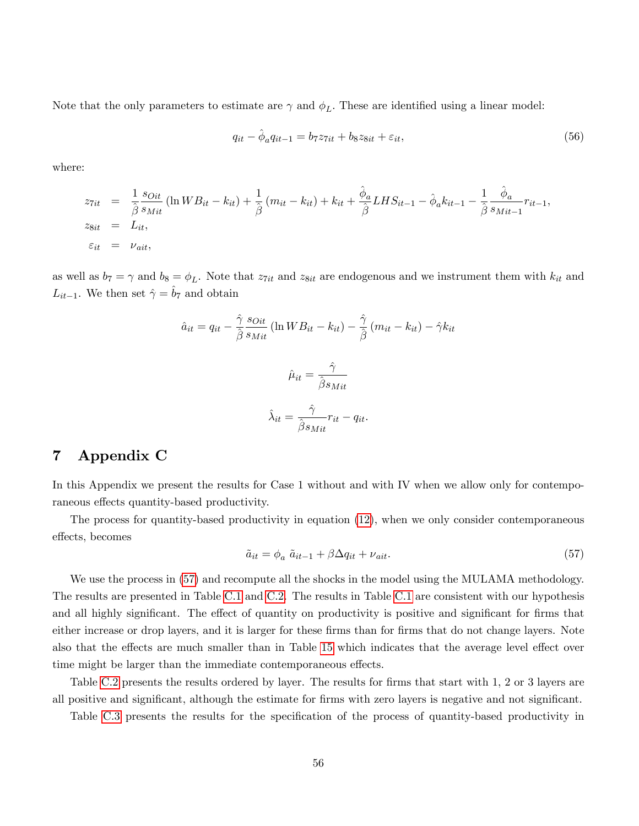Note that the only parameters to estimate are  $\gamma$  and  $\phi_L$ . These are identified using a linear model:

$$
q_{it} - \hat{\phi}_a q_{it-1} = b_7 z_{7it} + b_8 z_{8it} + \varepsilon_{it},\tag{56}
$$

where:

$$
z_{7it} = \frac{1}{\hat{\beta}} \frac{s_{0it}}{s_{Mit}} (\ln WB_{it} - k_{it}) + \frac{1}{\hat{\beta}} (m_{it} - k_{it}) + k_{it} + \frac{\hat{\phi}_a}{\hat{\beta}} LHS_{it-1} - \hat{\phi}_a k_{it-1} - \frac{1}{\hat{\beta}} \frac{\hat{\phi}_a}{s_{Mit-1}} r_{it-1},
$$
  
\n
$$
z_{8it} = L_{it},
$$
  
\n
$$
\varepsilon_{it} = \nu_{ait},
$$

as well as  $b_7 = \gamma$  and  $b_8 = \phi_L$ . Note that  $z_{7it}$  and  $z_{8it}$  are endogenous and we instrument them with  $k_{it}$  and  $L_{it-1}$ . We then set  $\hat{\gamma} = \hat{b}_7$  and obtain

$$
\hat{a}_{it} = q_{it} - \frac{\hat{\gamma}}{\hat{\beta}} \frac{s_{Oit}}{s_{Mit}} (\ln WB_{it} - k_{it}) - \frac{\hat{\gamma}}{\hat{\beta}} (m_{it} - k_{it}) - \hat{\gamma} k_{it}
$$

$$
\hat{\mu}_{it} = \frac{\hat{\gamma}}{\hat{\beta} s_{Mit}}
$$

$$
\hat{\lambda}_{it} = \frac{\hat{\gamma}}{\hat{\beta} s_{Mit}} r_{it} - q_{it}.
$$

# 7 Appendix C

In this Appendix we present the results for Case 1 without and with IV when we allow only for contemporaneous effects quantity-based productivity.

The process for quantity-based productivity in equation [\(12\)](#page-28-1), when we only consider contemporaneous effects, becomes

<span id="page-57-0"></span>
$$
\tilde{a}_{it} = \phi_a \; \tilde{a}_{it-1} + \beta \Delta q_{it} + \nu_{ait}.\tag{57}
$$

We use the process in [\(57\)](#page-57-0) and recompute all the shocks in the model using the MULAMA methodology. The results are presented in Table [C.1](#page-58-0) and [C.2.](#page-58-1) The results in Table [C.1](#page-58-0) are consistent with our hypothesis and all highly significant. The effect of quantity on productivity is positive and significant for firms that either increase or drop layers, and it is larger for these firms than for firms that do not change layers. Note also that the effects are much smaller than in Table [15](#page-29-0) which indicates that the average level effect over time might be larger than the immediate contemporaneous effects.

Table [C.2](#page-58-1) presents the results ordered by layer. The results for firms that start with 1, 2 or 3 layers are all positive and significant, although the estimate for firms with zero layers is negative and not significant.

Table [C.3](#page-59-0) presents the results for the specification of the process of quantity-based productivity in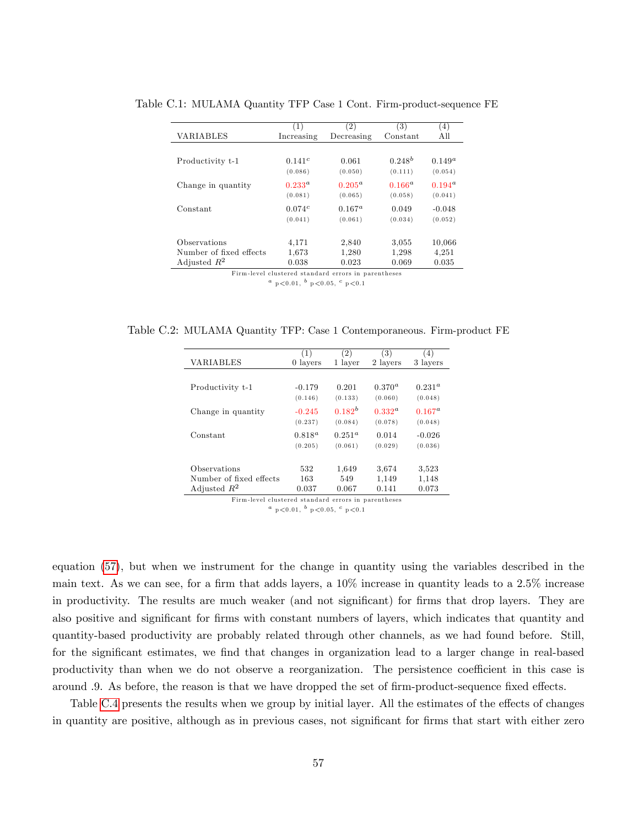|                         | (1)        | (2)                                                 | (3)         | (4)              |
|-------------------------|------------|-----------------------------------------------------|-------------|------------------|
| VARIABLES               | Increasing | Decreasing                                          | Constant    | All              |
|                         |            |                                                     |             |                  |
| Productivity t-1        | 0.141c     | 0.061                                               | $0.248^{b}$ | $0.149^a$        |
|                         | (0.086)    | (0.050)                                             | (0.111)     | (0.054)          |
| Change in quantity      | $0.233^a$  | $0.205^a$                                           | $0.166^a$   | $0.194^{\alpha}$ |
|                         | (0.081)    | (0.065)                                             | (0.058)     | (0.041)          |
| Constant                | 0.074c     | $0.167^a$                                           | 0.049       | $-0.048$         |
|                         | (0.041)    | (0.061)                                             | (0.034)     | (0.052)          |
|                         |            |                                                     |             |                  |
| Observations            | 4,171      | 2,840                                               | 3.055       | 10,066           |
| Number of fixed effects | 1,673      | 1,280                                               | 1,298       | 4.251            |
| Adjusted $R^2$          | 0.038      | 0.023                                               | 0.069       | 0.035            |
|                         |            | Firm-level clustered standard errors in parentheses |             |                  |

<span id="page-58-0"></span>Table C.1: MULAMA Quantity TFP Case 1 Cont. Firm-product-sequence FE

<span id="page-58-1"></span>Table C.2: MULAMA Quantity TFP: Case 1 Contemporaneous. Firm-product FE

|                                                     | (1)         | (2)         | (3)              | (4)         |
|-----------------------------------------------------|-------------|-------------|------------------|-------------|
| <b>VARIABLES</b>                                    | 0 layers    | 1 layer     | 2 layers         | 3 layers    |
|                                                     |             |             |                  |             |
| Productivity t-1                                    | $-0.179$    | 0.201       | $0.370^{a}$      | $0.231^{a}$ |
|                                                     | (0.146)     | (0.133)     | (0.060)          | (0.048)     |
| Change in quantity                                  | $-0.245$    | $0.182^{b}$ | $0.332^{\alpha}$ | $0.167^{a}$ |
|                                                     | (0.237)     | (0.084)     | (0.078)          | (0.048)     |
| Constant                                            | $0.818^{a}$ | $0.251^a$   | 0.014            | $-0.026$    |
|                                                     | (0.205)     | (0.061)     | (0.029)          | (0.036)     |
|                                                     |             |             |                  |             |
| Observations                                        | 532         | 1,649       | 3.674            | 3.523       |
| Number of fixed effects                             | 163         | 549         | 1,149            | 1,148       |
| Adjusted $R^2$                                      | 0.037       | 0.067       | 0.141            | 0.073       |
| Firm-level clustered standard errors in parentheses |             |             |                  |             |

 $a$  p < 0.01,  $b$  p < 0.05,  $c$  p < 0.1

equation [\(57\)](#page-57-0), but when we instrument for the change in quantity using the variables described in the main text. As we can see, for a firm that adds layers, a  $10\%$  increase in quantity leads to a  $2.5\%$  increase in productivity. The results are much weaker (and not significant) for firms that drop layers. They are also positive and significant for firms with constant numbers of layers, which indicates that quantity and quantity-based productivity are probably related through other channels, as we had found before. Still, for the significant estimates, we find that changes in organization lead to a larger change in real-based productivity than when we do not observe a reorganization. The persistence coefficient in this case is around .9. As before, the reason is that we have dropped the set of firm-product-sequence fixed effects.

Table [C.4](#page-59-1) presents the results when we group by initial layer. All the estimates of the effects of changes in quantity are positive, although as in previous cases, not significant for firms that start with either zero